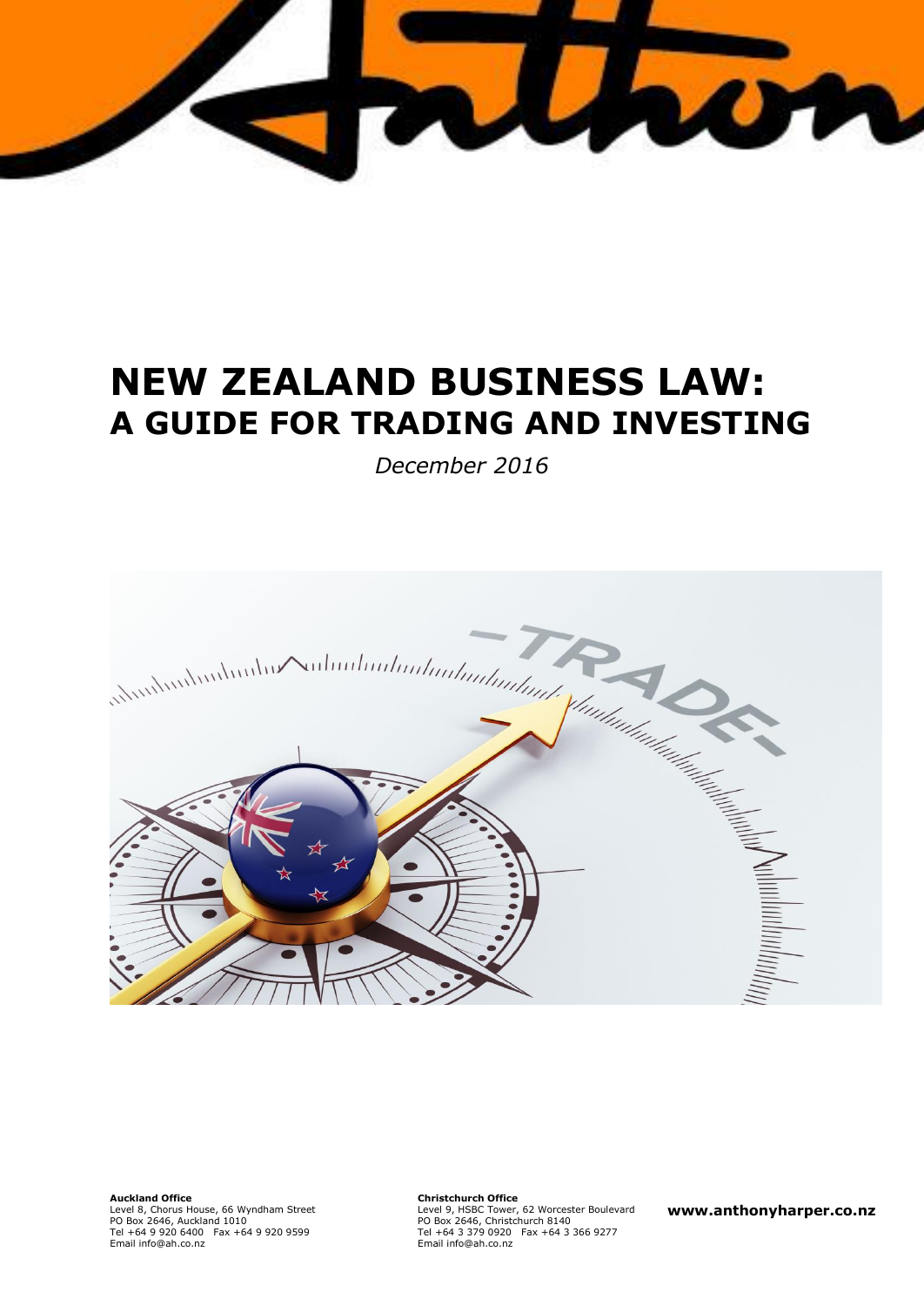

# **NEW ZEALAND BUSINESS LAW: A GUIDE FOR TRADING AND INVESTING**

*December 2016*



**Auckland Office** Level 8, Chorus House, 66 Wyndham Street PO Box 2646, Auckland 1010 Tel +64 9 920 6400 Fax +64 9 920 9599

Email info@ah.co.nz Tel +64 3 Email info@ah.co.nz **Christchurch Office** Level 9, HSBC Tower, 62 Worcester Boulevard PO Box 2646, Christchurch 8140 Tel +64 3 379 0920 Fax +64 3 366 9277

**www.anthonyharper.co.nz**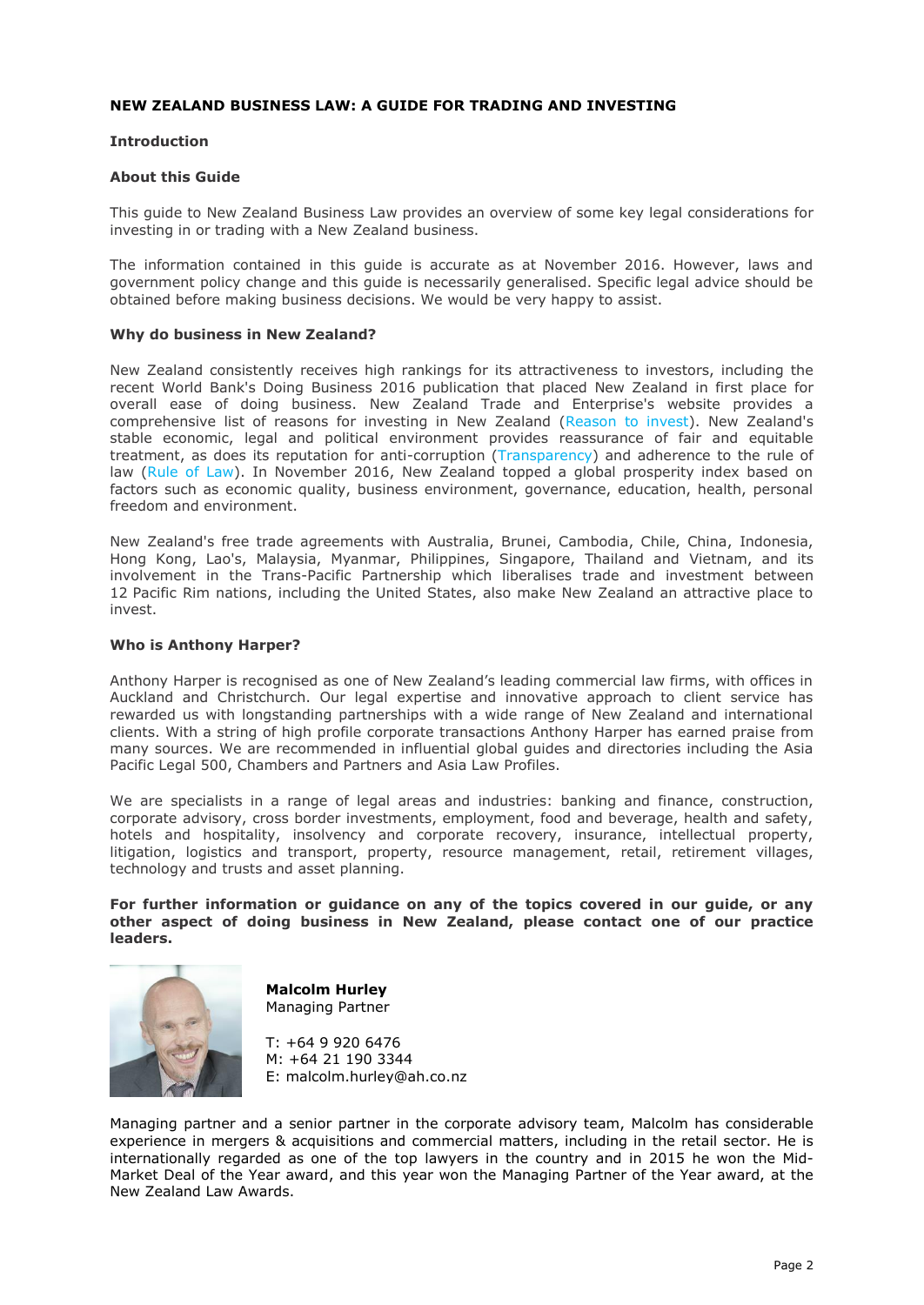## **NEW ZEALAND BUSINESS LAW: A GUIDE FOR TRADING AND INVESTING**

#### **Introduction**

#### **About this Guide**

This guide to New Zealand Business Law provides an overview of some key legal considerations for investing in or trading with a New Zealand business.

The information contained in this guide is accurate as at November 2016. However, laws and government policy change and this guide is necessarily generalised. Specific legal advice should be obtained before making business decisions. We would be very happy to assist.

#### **Why do business in New Zealand?**

New Zealand consistently receives high rankings for its attractiveness to investors, including the recent World Bank's Doing Business 2016 publication that placed New Zealand in first place for overall ease of doing business. New Zealand Trade and Enterprise's website provides a comprehensive list of reasons for investing in New Zealand [\(Reason to invest\)](http://www.nzte.govt.nz/en/invest/new-zealands-investment-advantage). New Zealand's stable economic, legal and political environment provides reassurance of fair and equitable treatment, as does its reputation for anti-corruption [\(Transparency\)](http://www.transparency.org/cpi2014/results) and adherence to the rule of law [\(Rule of Law\)](http://www.worldjusticeproject.org/rule-of-law-index). In November 2016, New Zealand topped a global prosperity index based on factors such as economic quality, business environment, governance, education, health, personal freedom and environment.

New Zealand's free trade agreements with Australia, Brunei, Cambodia, Chile, China, Indonesia, Hong Kong, Lao's, Malaysia, Myanmar, Philippines, Singapore, Thailand and Vietnam, and its involvement in the Trans-Pacific Partnership which liberalises trade and investment between 12 Pacific Rim nations, including the United States, also make New Zealand an attractive place to invest.

#### **Who is Anthony Harper?**

Anthony Harper is recognised as one of New Zealand's leading commercial law firms, with offices in Auckland and Christchurch. Our legal expertise and innovative approach to client service has rewarded us with longstanding partnerships with a wide range of New Zealand and international clients. With a string of high profile corporate transactions Anthony Harper has earned praise from many sources. We are recommended in influential global guides and directories including the Asia Pacific Legal 500, Chambers and Partners and Asia Law Profiles.

We are specialists in a range of legal areas and industries: banking and finance, construction, corporate advisory, cross border investments, employment, food and beverage, health and safety, hotels and hospitality, insolvency and corporate recovery, insurance, intellectual property, litigation, logistics and transport, property, resource management, retail, retirement villages, technology and trusts and asset planning.

**For further information or guidance on any of the topics covered in our guide, or any other aspect of doing business in New Zealand, please contact one of our practice leaders.**



**Malcolm Hurley** Managing Partner

T: +64 9 920 6476 M: +64 21 190 3344 E: malcolm.hurley@ah.co.nz

Managing partner and a senior partner in the corporate advisory team, Malcolm has considerable experience in mergers & acquisitions and commercial matters, including in the retail sector. He is internationally regarded as one of the top lawyers in the country and in 2015 he won the Mid-Market Deal of the Year award, and this year won the Managing Partner of the Year award, at the New Zealand Law Awards.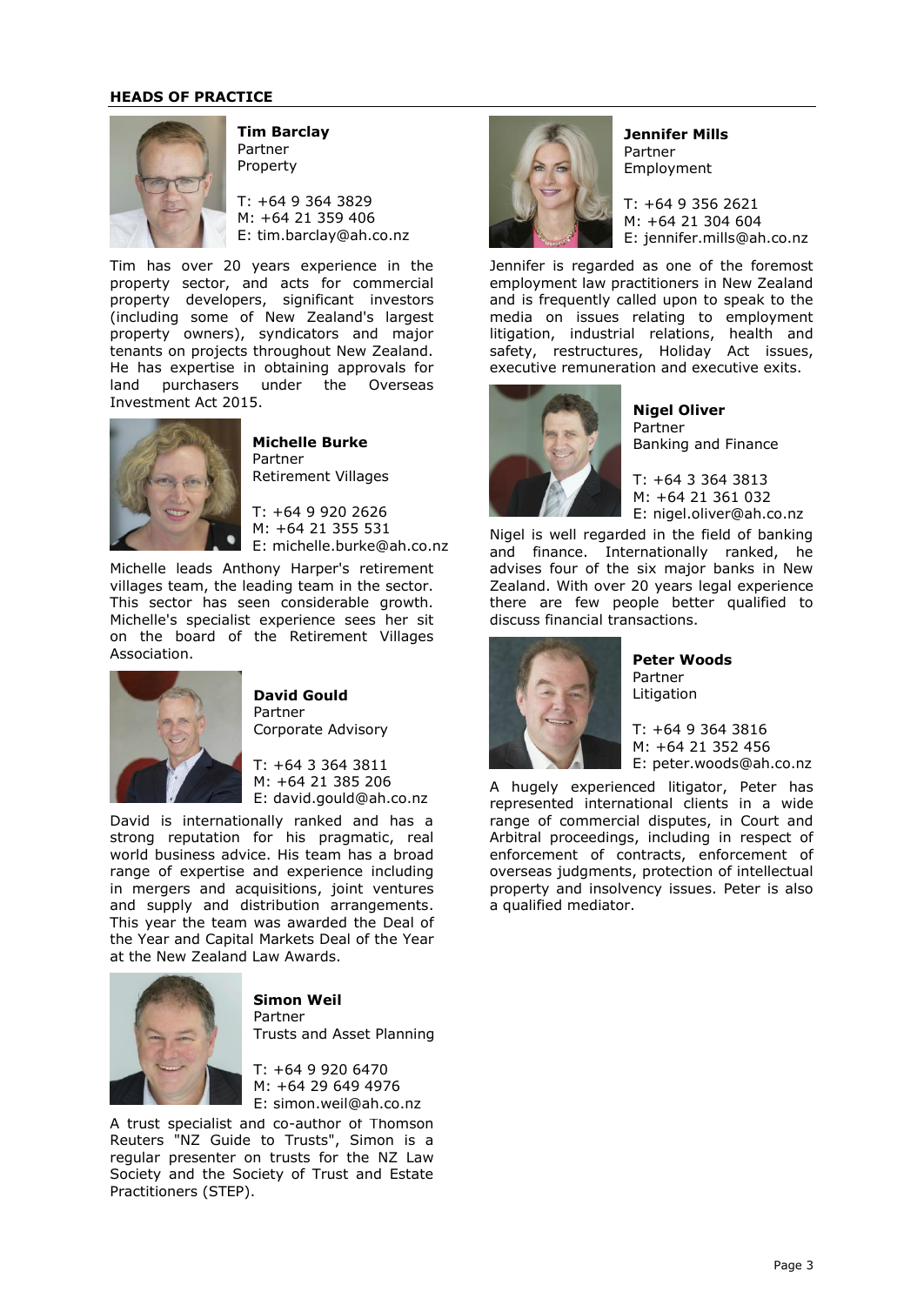#### **HEADS OF PRACTICE**



**Tim Barclay** Partner Property

T: +64 9 364 3829 M: +64 21 359 406 E: tim.barclay@ah.co.nz

Tim has over 20 years experience in the property sector, and acts for commercial property developers, significant investors (including some of New Zealand's largest property owners), syndicators and major tenants on projects throughout New Zealand. He has expertise in obtaining approvals for land purchasers under the Overseas Investment Act 2015.



**Michelle Burke** Partner Retirement Villages

T: +64 9 920 2626 M: +64 21 355 531 E: michelle.burke@ah.co.nz

Michelle leads Anthony Harper's retirement villages team, the leading team in the sector. This sector has seen considerable growth. Michelle's specialist experience sees her sit on the board of the Retirement Villages Association.



**David Gould** Partner Corporate Advisory

T: +64 3 364 3811 M: +64 21 385 206 E: david.gould@ah.co.nz

David is internationally ranked and has a strong reputation for his pragmatic, real world business advice. His team has a broad range of expertise and experience including in mergers and acquisitions, joint ventures and supply and distribution arrangements. This year the team was awarded the Deal of the Year and Capital Markets Deal of the Year at the New Zealand Law Awards.



**Simon Weil** Partner Trusts and Asset Planning

T: +64 9 920 6470 M: +64 29 649 4976 E: simon.weil@ah.co.nz

A trust specialist and co-author of Thomson Reuters "NZ Guide to Trusts", Simon is a regular presenter on trusts for the NZ Law Society and the Society of Trust and Estate Practitioners (STEP).



**Jennifer Mills** Partner Employment

T: +64 9 356 2621 M: +64 21 304 604 E: jennifer.mills@ah.co.nz

Jennifer is regarded as one of the foremost employment law practitioners in New Zealand and is frequently called upon to speak to the media on issues relating to employment litigation, industrial relations, health and safety, restructures, Holiday Act issues, executive remuneration and executive exits.



**Nigel Oliver** Partner Banking and Finance

T: +64 3 364 3813 M: +64 21 361 032 E: nigel.oliver@ah.co.nz

Nigel is well regarded in the field of banking and finance. Internationally ranked, he advises four of the six major banks in New Zealand. With over 20 years legal experience there are few people better qualified to discuss financial transactions.



**Peter Woods** Partner Litigation

T: +64 9 364 3816 M: +64 21 352 456 E: peter.woods@ah.co.nz

A hugely experienced litigator, Peter has represented international clients in a wide range of commercial disputes, in Court and Arbitral proceedings, including in respect of enforcement of contracts, enforcement of overseas judgments, protection of intellectual property and insolvency issues. Peter is also a qualified mediator.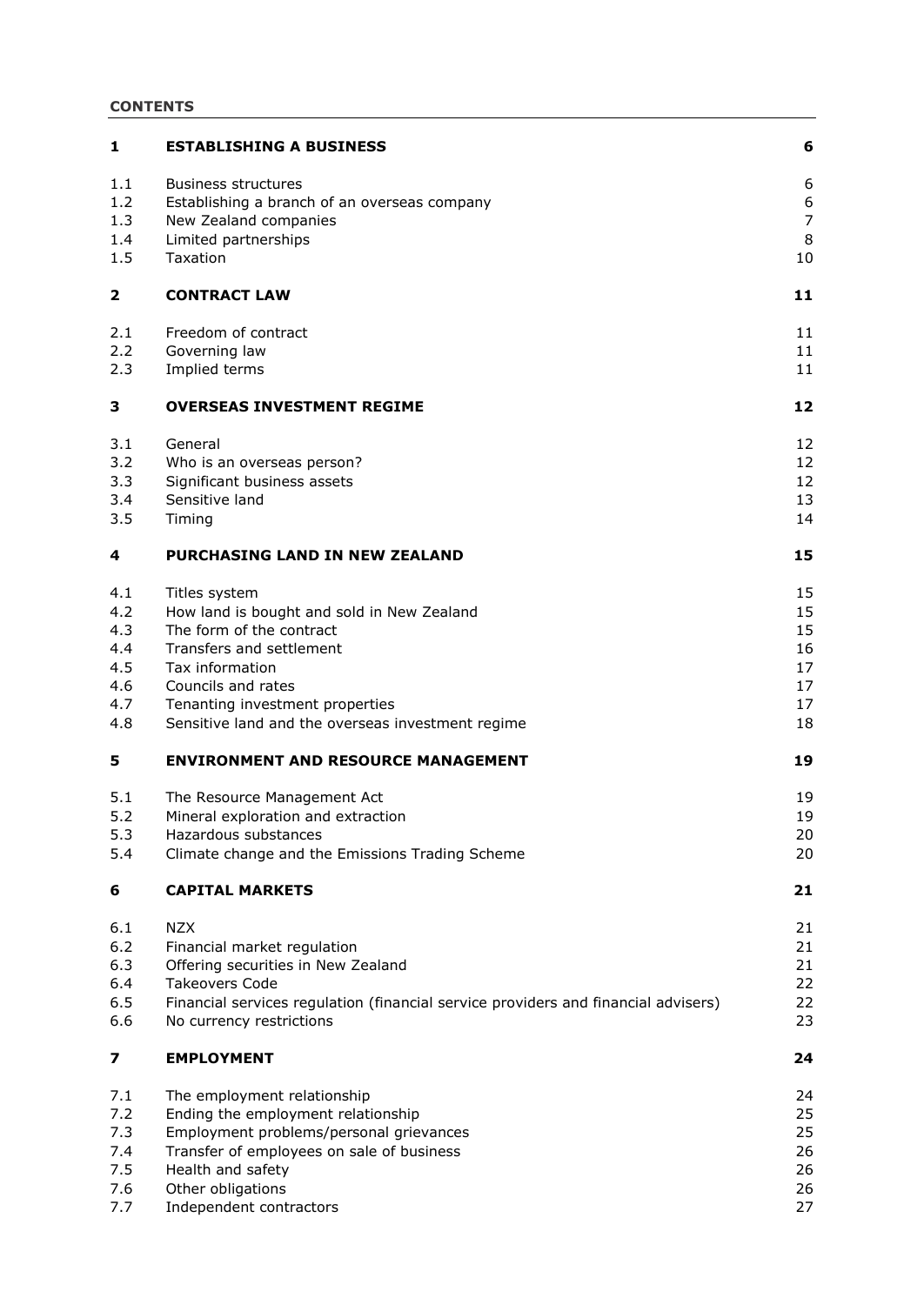# **CONTENTS**

| 1   | <b>ESTABLISHING A BUSINESS</b>                                                     | 6                |
|-----|------------------------------------------------------------------------------------|------------------|
| 1.1 | <b>Business structures</b>                                                         | 6                |
| 1.2 | Establishing a branch of an overseas company                                       | $\boldsymbol{6}$ |
| 1.3 | New Zealand companies                                                              | $\overline{7}$   |
| 1.4 | Limited partnerships                                                               | 8                |
| 1.5 | Taxation                                                                           | 10               |
| 2   | <b>CONTRACT LAW</b>                                                                | 11               |
| 2.1 | Freedom of contract                                                                | 11               |
| 2.2 | Governing law                                                                      | 11               |
| 2.3 | Implied terms                                                                      | 11               |
| 3   | <b>OVERSEAS INVESTMENT REGIME</b>                                                  | 12               |
| 3.1 | General                                                                            | 12               |
| 3.2 | Who is an overseas person?                                                         | 12               |
| 3.3 | Significant business assets                                                        | 12               |
| 3.4 | Sensitive land                                                                     | 13               |
| 3.5 | Timing                                                                             | 14               |
| 4   | <b>PURCHASING LAND IN NEW ZEALAND</b>                                              | 15               |
| 4.1 | Titles system                                                                      | 15               |
| 4.2 | How land is bought and sold in New Zealand                                         | 15               |
| 4.3 | The form of the contract                                                           | 15               |
| 4.4 | Transfers and settlement                                                           | 16               |
| 4.5 | Tax information                                                                    | 17               |
| 4.6 | Councils and rates                                                                 | 17               |
| 4.7 | Tenanting investment properties                                                    | 17               |
| 4.8 | Sensitive land and the overseas investment regime                                  | 18               |
| 5   | <b>ENVIRONMENT AND RESOURCE MANAGEMENT</b>                                         | 19               |
| 5.1 | The Resource Management Act                                                        | 19               |
| 5.2 | Mineral exploration and extraction                                                 | 19               |
| 5.3 | Hazardous substances                                                               | 20               |
| 5.4 | Climate change and the Emissions Trading Scheme                                    | 20               |
| 6   | <b>CAPITAL MARKETS</b>                                                             | 21               |
| 6.1 | <b>NZX</b>                                                                         | 21               |
| 6.2 | Financial market regulation                                                        | 21               |
| 6.3 | Offering securities in New Zealand                                                 | 21               |
| 6.4 | <b>Takeovers Code</b>                                                              | 22               |
| 6.5 | Financial services regulation (financial service providers and financial advisers) | 22               |
| 6.6 | No currency restrictions                                                           | 23               |
| 7   | <b>EMPLOYMENT</b>                                                                  | 24               |
| 7.1 | The employment relationship                                                        | 24               |
| 7.2 | Ending the employment relationship                                                 | 25               |
| 7.3 | Employment problems/personal grievances                                            | 25               |
| 7.4 | Transfer of employees on sale of business                                          | 26               |
| 7.5 | Health and safety                                                                  | 26               |
| 7.6 | Other obligations                                                                  | 26               |
| 7.7 | Independent contractors                                                            | 27               |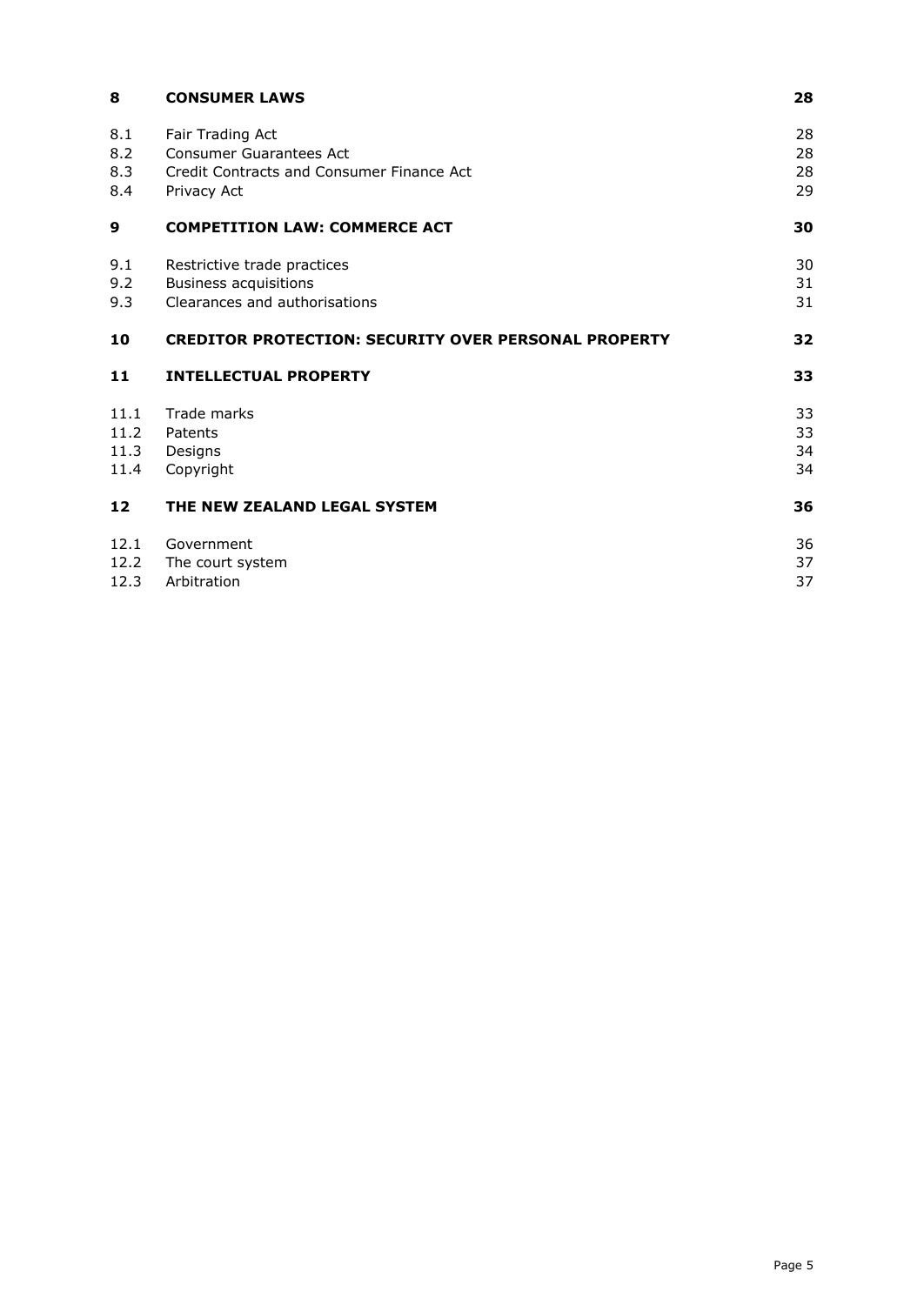| 8                            | <b>CONSUMER LAWS</b>                                                                                    | 28                   |
|------------------------------|---------------------------------------------------------------------------------------------------------|----------------------|
| 8.1<br>8.2<br>8.3<br>8.4     | Fair Trading Act<br>Consumer Guarantees Act<br>Credit Contracts and Consumer Finance Act<br>Privacy Act | 28<br>28<br>28<br>29 |
| 9                            | <b>COMPETITION LAW: COMMERCE ACT</b>                                                                    | 30                   |
| 9.1<br>9.2<br>9.3            | Restrictive trade practices<br><b>Business acquisitions</b><br>Clearances and authorisations            | 30<br>31<br>31       |
| 10                           | <b>CREDITOR PROTECTION: SECURITY OVER PERSONAL PROPERTY</b>                                             | 32                   |
| 11                           | <b>INTELLECTUAL PROPERTY</b>                                                                            | 33                   |
| 11.1<br>11.2<br>11.3<br>11.4 | Trade marks<br>Patents<br>Designs<br>Copyright                                                          | 33<br>33<br>34<br>34 |
| 12                           | THE NEW ZEALAND LEGAL SYSTEM                                                                            | 36                   |
| 12.1<br>12.2<br>12.3         | Government<br>The court system<br>Arbitration                                                           | 36<br>37<br>37       |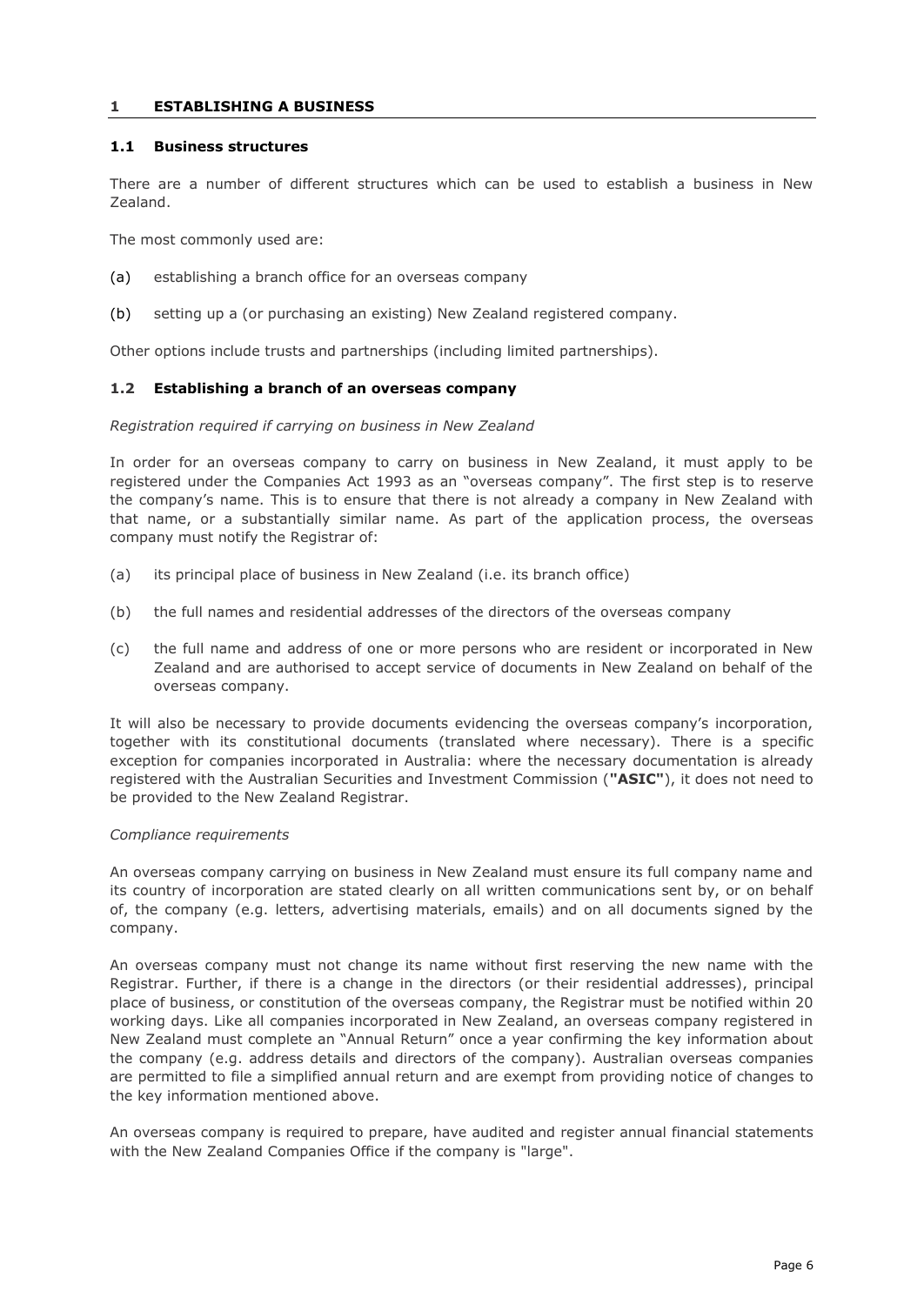## <span id="page-5-0"></span>**1 ESTABLISHING A BUSINESS**

## <span id="page-5-1"></span>**1.1 Business structures**

There are a number of different structures which can be used to establish a business in New Zealand.

The most commonly used are:

- (a) establishing a branch office for an overseas company
- (b) setting up a (or purchasing an existing) New Zealand registered company.

Other options include trusts and partnerships (including limited partnerships).

## <span id="page-5-2"></span>**1.2 Establishing a branch of an overseas company**

## *Registration required if carrying on business in New Zealand*

In order for an overseas company to carry on business in New Zealand, it must apply to be registered under the Companies Act 1993 as an "overseas company". The first step is to reserve the company's name. This is to ensure that there is not already a company in New Zealand with that name, or a substantially similar name. As part of the application process, the overseas company must notify the Registrar of:

- (a) its principal place of business in New Zealand (i.e. its branch office)
- (b) the full names and residential addresses of the directors of the overseas company
- (c) the full name and address of one or more persons who are resident or incorporated in New Zealand and are authorised to accept service of documents in New Zealand on behalf of the overseas company.

It will also be necessary to provide documents evidencing the overseas company's incorporation, together with its constitutional documents (translated where necessary). There is a specific exception for companies incorporated in Australia: where the necessary documentation is already registered with the Australian Securities and Investment Commission (**"ASIC"**), it does not need to be provided to the New Zealand Registrar.

## *Compliance requirements*

An overseas company carrying on business in New Zealand must ensure its full company name and its country of incorporation are stated clearly on all written communications sent by, or on behalf of, the company (e.g. letters, advertising materials, emails) and on all documents signed by the company.

An overseas company must not change its name without first reserving the new name with the Registrar. Further, if there is a change in the directors (or their residential addresses), principal place of business, or constitution of the overseas company, the Registrar must be notified within 20 working days. Like all companies incorporated in New Zealand, an overseas company registered in New Zealand must complete an "Annual Return" once a year confirming the key information about the company (e.g. address details and directors of the company). Australian overseas companies are permitted to file a simplified annual return and are exempt from providing notice of changes to the key information mentioned above.

An overseas company is required to prepare, have audited and register annual financial statements with the New Zealand Companies Office if the company is "large".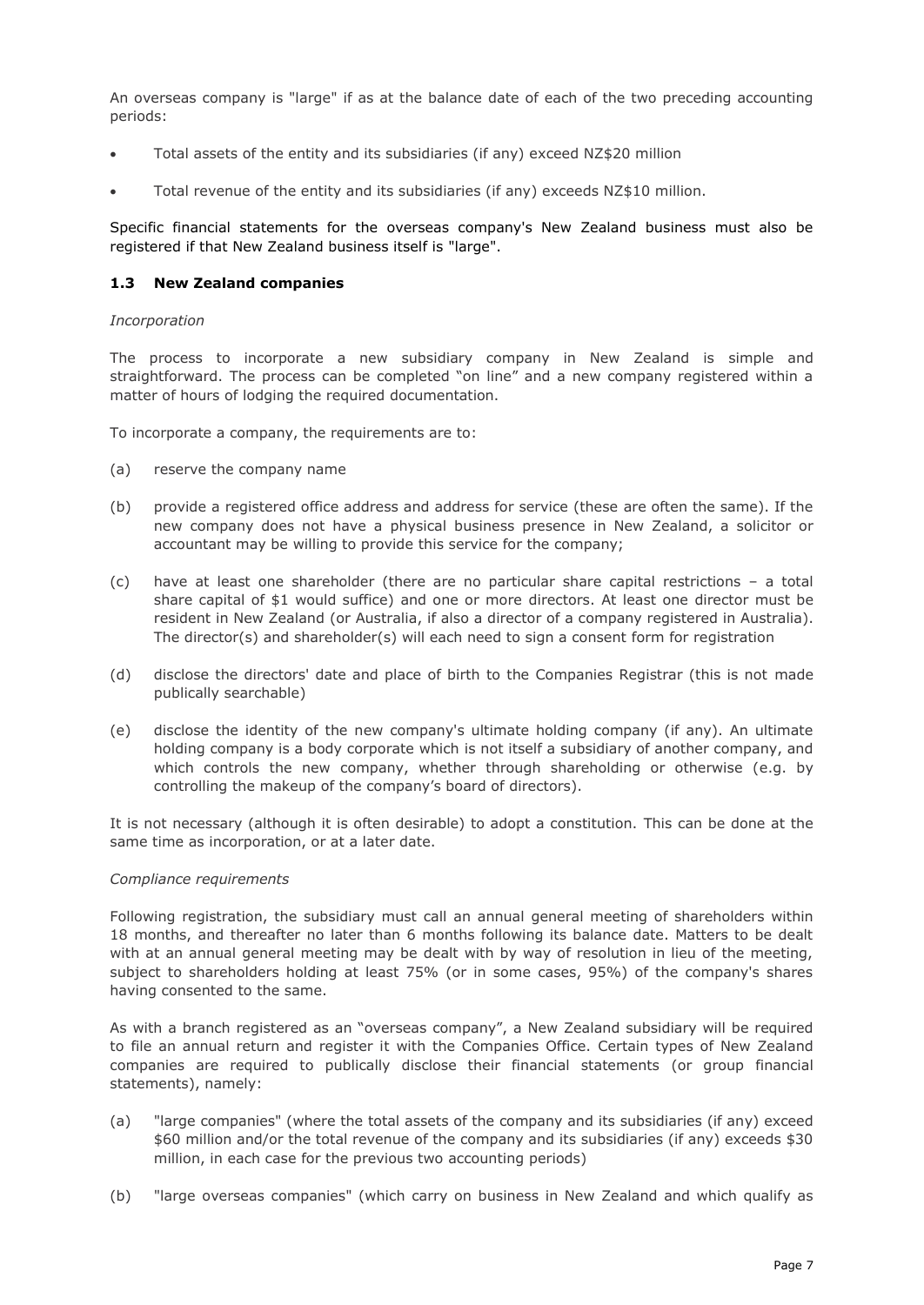An overseas company is "large" if as at the balance date of each of the two preceding accounting periods:

- Total assets of the entity and its subsidiaries (if any) exceed NZ\$20 million
- Total revenue of the entity and its subsidiaries (if any) exceeds NZ\$10 million.

Specific financial statements for the overseas company's New Zealand business must also be registered if that New Zealand business itself is "large".

## <span id="page-6-0"></span>**1.3 New Zealand companies**

#### *Incorporation*

The process to incorporate a new subsidiary company in New Zealand is simple and straightforward. The process can be completed "on line" and a new company registered within a matter of hours of lodging the required documentation.

To incorporate a company, the requirements are to:

- (a) reserve the company name
- (b) provide a registered office address and address for service (these are often the same). If the new company does not have a physical business presence in New Zealand, a solicitor or accountant may be willing to provide this service for the company;
- (c) have at least one shareholder (there are no particular share capital restrictions a total share capital of \$1 would suffice) and one or more directors. At least one director must be resident in New Zealand (or Australia, if also a director of a company registered in Australia). The director(s) and shareholder(s) will each need to sign a consent form for registration
- (d) disclose the directors' date and place of birth to the Companies Registrar (this is not made publically searchable)
- (e) disclose the identity of the new company's ultimate holding company (if any). An ultimate holding company is a body corporate which is not itself a subsidiary of another company, and which controls the new company, whether through shareholding or otherwise (e.g. by controlling the makeup of the company's board of directors).

It is not necessary (although it is often desirable) to adopt a constitution. This can be done at the same time as incorporation, or at a later date.

## *Compliance requirements*

Following registration, the subsidiary must call an annual general meeting of shareholders within 18 months, and thereafter no later than 6 months following its balance date. Matters to be dealt with at an annual general meeting may be dealt with by way of resolution in lieu of the meeting, subject to shareholders holding at least 75% (or in some cases, 95%) of the company's shares having consented to the same.

As with a branch registered as an "overseas company", a New Zealand subsidiary will be required to file an annual return and register it with the Companies Office. Certain types of New Zealand companies are required to publically disclose their financial statements (or group financial statements), namely:

- (a) "large companies" (where the total assets of the company and its subsidiaries (if any) exceed \$60 million and/or the total revenue of the company and its subsidiaries (if any) exceeds \$30 million, in each case for the previous two accounting periods)
- (b) "large overseas companies" (which carry on business in New Zealand and which qualify as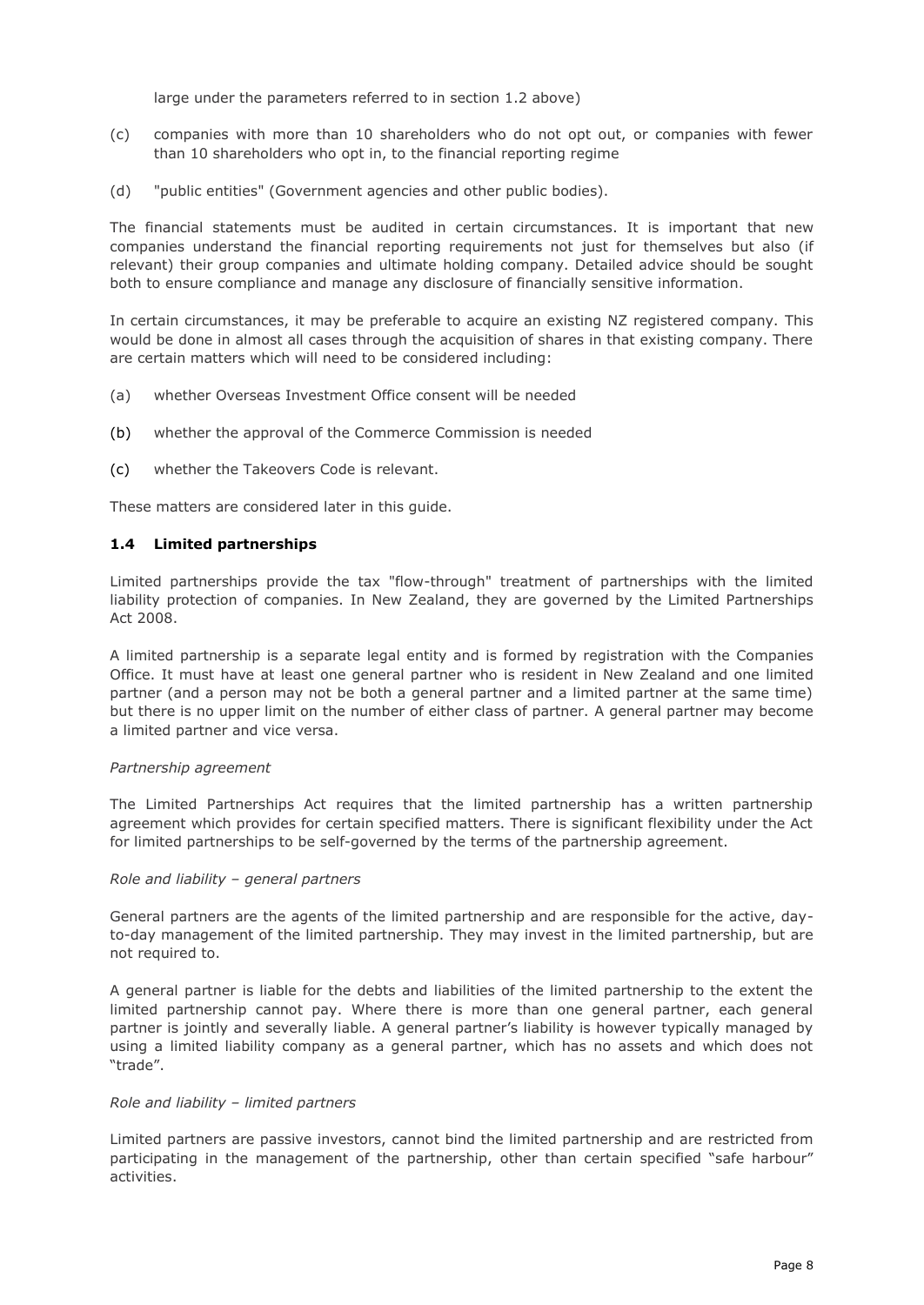large under the parameters referred to in section 1.2 above)

- (c) companies with more than 10 shareholders who do not opt out, or companies with fewer than 10 shareholders who opt in, to the financial reporting regime
- (d) "public entities" (Government agencies and other public bodies).

The financial statements must be audited in certain circumstances. It is important that new companies understand the financial reporting requirements not just for themselves but also (if relevant) their group companies and ultimate holding company. Detailed advice should be sought both to ensure compliance and manage any disclosure of financially sensitive information.

In certain circumstances, it may be preferable to acquire an existing NZ registered company. This would be done in almost all cases through the acquisition of shares in that existing company. There are certain matters which will need to be considered including:

- (a) whether Overseas Investment Office consent will be needed
- (b) whether the approval of the Commerce Commission is needed
- (c) whether the Takeovers Code is relevant.

These matters are considered later in this guide.

## <span id="page-7-0"></span>**1.4 Limited partnerships**

Limited partnerships provide the tax "flow-through" treatment of partnerships with the limited liability protection of companies. In New Zealand, they are governed by the Limited Partnerships Act 2008.

A limited partnership is a separate legal entity and is formed by registration with the Companies Office. It must have at least one general partner who is resident in New Zealand and one limited partner (and a person may not be both a general partner and a limited partner at the same time) but there is no upper limit on the number of either class of partner. A general partner may become a limited partner and vice versa.

#### *Partnership agreement*

The Limited Partnerships Act requires that the limited partnership has a written partnership agreement which provides for certain specified matters. There is significant flexibility under the Act for limited partnerships to be self-governed by the terms of the partnership agreement.

#### *Role and liability – general partners*

General partners are the agents of the limited partnership and are responsible for the active, dayto-day management of the limited partnership. They may invest in the limited partnership, but are not required to.

A general partner is liable for the debts and liabilities of the limited partnership to the extent the limited partnership cannot pay. Where there is more than one general partner, each general partner is jointly and severally liable. A general partner's liability is however typically managed by using a limited liability company as a general partner, which has no assets and which does not "trade".

#### *Role and liability – limited partners*

Limited partners are passive investors, cannot bind the limited partnership and are restricted from participating in the management of the partnership, other than certain specified "safe harbour" activities.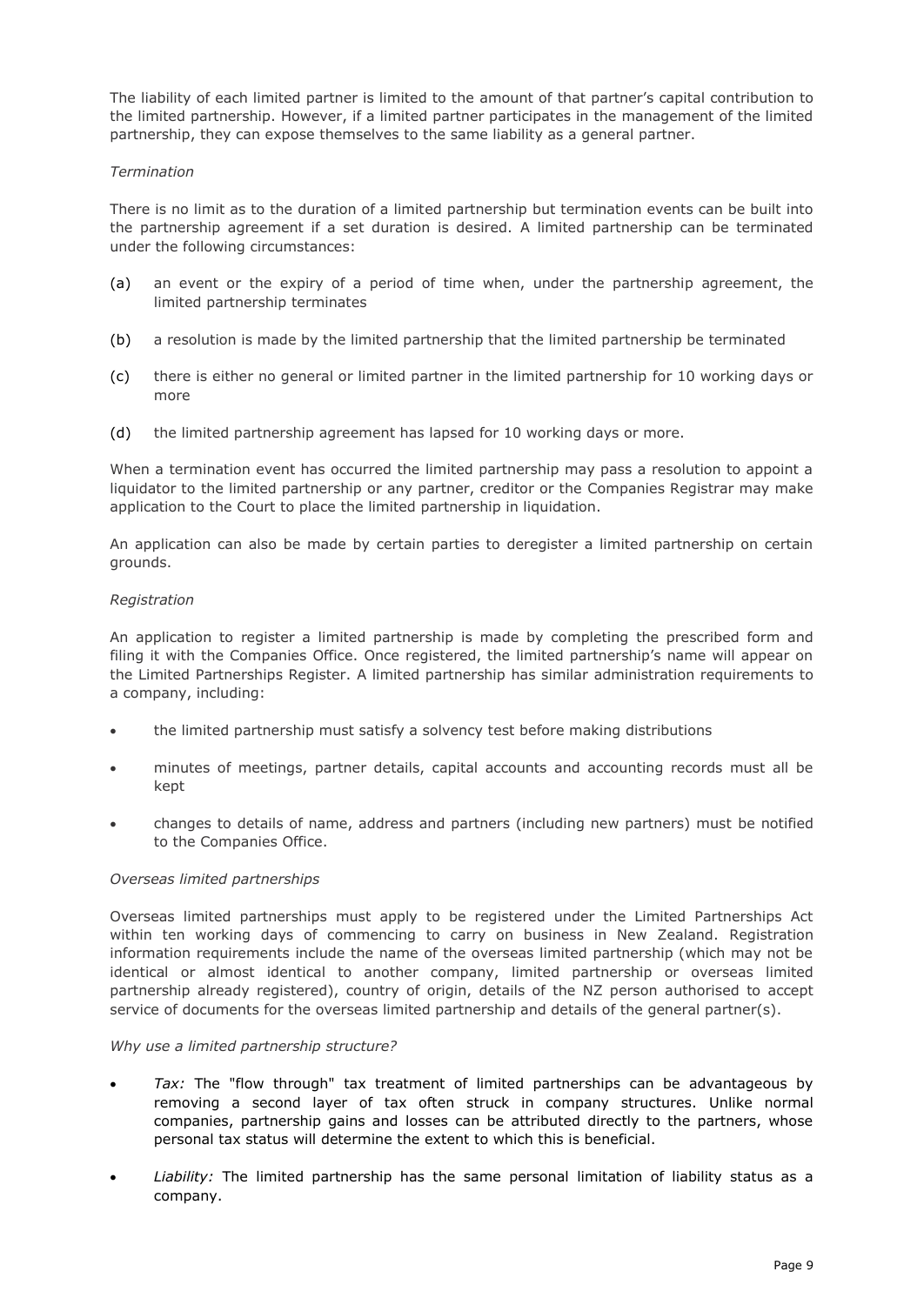The liability of each limited partner is limited to the amount of that partner's capital contribution to the limited partnership. However, if a limited partner participates in the management of the limited partnership, they can expose themselves to the same liability as a general partner.

## *Termination*

There is no limit as to the duration of a limited partnership but termination events can be built into the partnership agreement if a set duration is desired. A limited partnership can be terminated under the following circumstances:

- (a) an event or the expiry of a period of time when, under the partnership agreement, the limited partnership terminates
- (b) a resolution is made by the limited partnership that the limited partnership be terminated
- (c) there is either no general or limited partner in the limited partnership for 10 working days or more
- (d) the limited partnership agreement has lapsed for 10 working days or more.

When a termination event has occurred the limited partnership may pass a resolution to appoint a liquidator to the limited partnership or any partner, creditor or the Companies Registrar may make application to the Court to place the limited partnership in liquidation.

An application can also be made by certain parties to deregister a limited partnership on certain grounds.

## *Registration*

An application to register a limited partnership is made by completing the prescribed form and filing it with the Companies Office. Once registered, the limited partnership's name will appear on the Limited Partnerships Register. A limited partnership has similar administration requirements to a company, including:

- the limited partnership must satisfy a solvency test before making distributions
- minutes of meetings, partner details, capital accounts and accounting records must all be kept
- changes to details of name, address and partners (including new partners) must be notified to the Companies Office.

# *Overseas limited partnerships*

Overseas limited partnerships must apply to be registered under the Limited Partnerships Act within ten working days of commencing to carry on business in New Zealand. Registration information requirements include the name of the overseas limited partnership (which may not be identical or almost identical to another company, limited partnership or overseas limited partnership already registered), country of origin, details of the NZ person authorised to accept service of documents for the overseas limited partnership and details of the general partner(s).

## *Why use a limited partnership structure?*

- *Tax:* The "flow through" tax treatment of limited partnerships can be advantageous by removing a second layer of tax often struck in company structures. Unlike normal companies, partnership gains and losses can be attributed directly to the partners, whose personal tax status will determine the extent to which this is beneficial.
- *Liability:* The limited partnership has the same personal limitation of liability status as a company.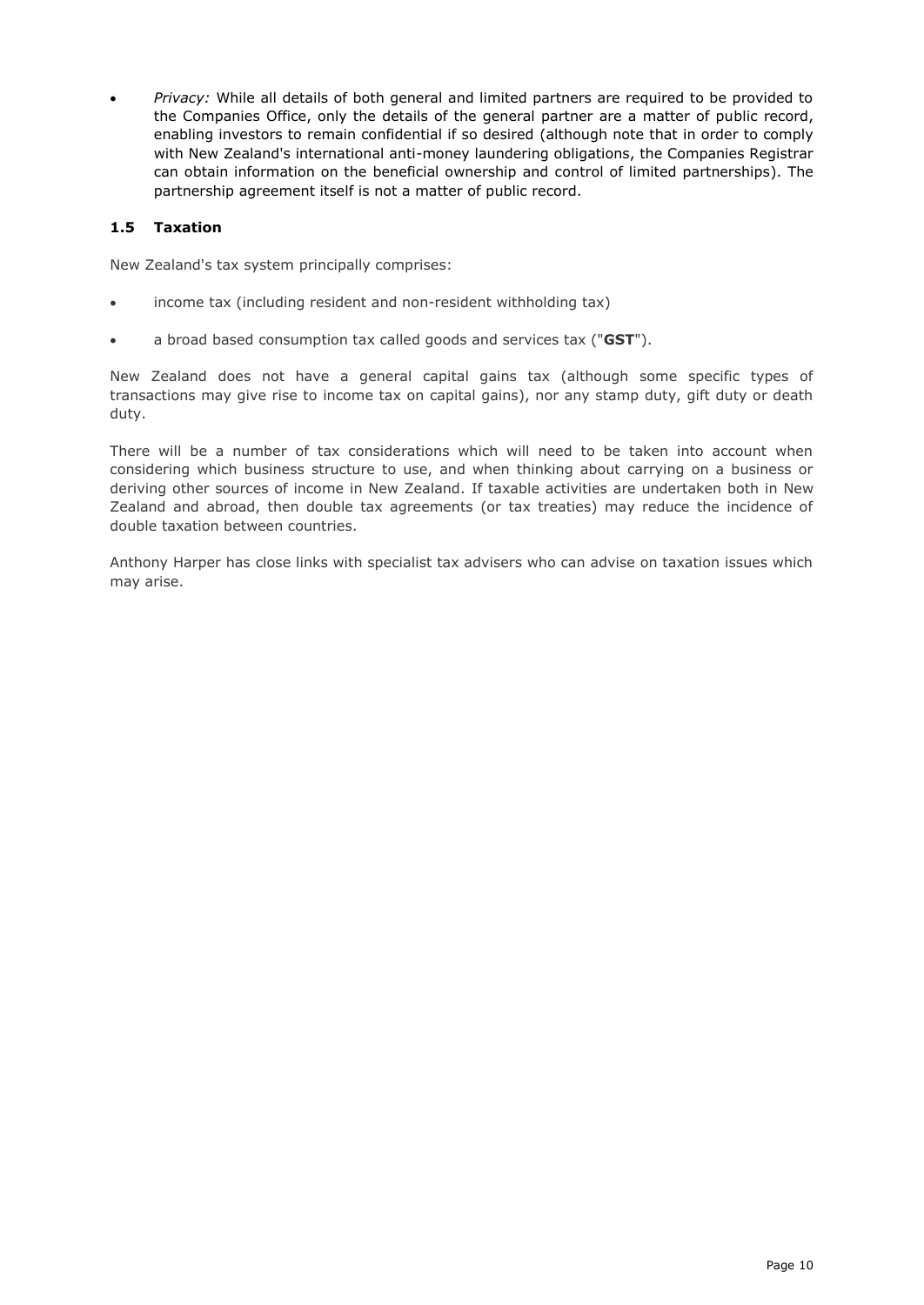*Privacy:* While all details of both general and limited partners are required to be provided to the Companies Office, only the details of the general partner are a matter of public record, enabling investors to remain confidential if so desired (although note that in order to comply with New Zealand's international anti-money laundering obligations, the Companies Registrar can obtain information on the beneficial ownership and control of limited partnerships). The partnership agreement itself is not a matter of public record.

# <span id="page-9-0"></span>**1.5 Taxation**

New Zealand's tax system principally comprises:

- income tax (including resident and non-resident withholding tax)
- a broad based consumption tax called goods and services tax ("**GST**").

New Zealand does not have a general capital gains tax (although some specific types of transactions may give rise to income tax on capital gains), nor any stamp duty, gift duty or death duty.

There will be a number of tax considerations which will need to be taken into account when considering which business structure to use, and when thinking about carrying on a business or deriving other sources of income in New Zealand. If taxable activities are undertaken both in New Zealand and abroad, then double tax agreements (or tax treaties) may reduce the incidence of double taxation between countries.

<span id="page-9-1"></span>Anthony Harper has close links with specialist tax advisers who can advise on taxation issues which may arise.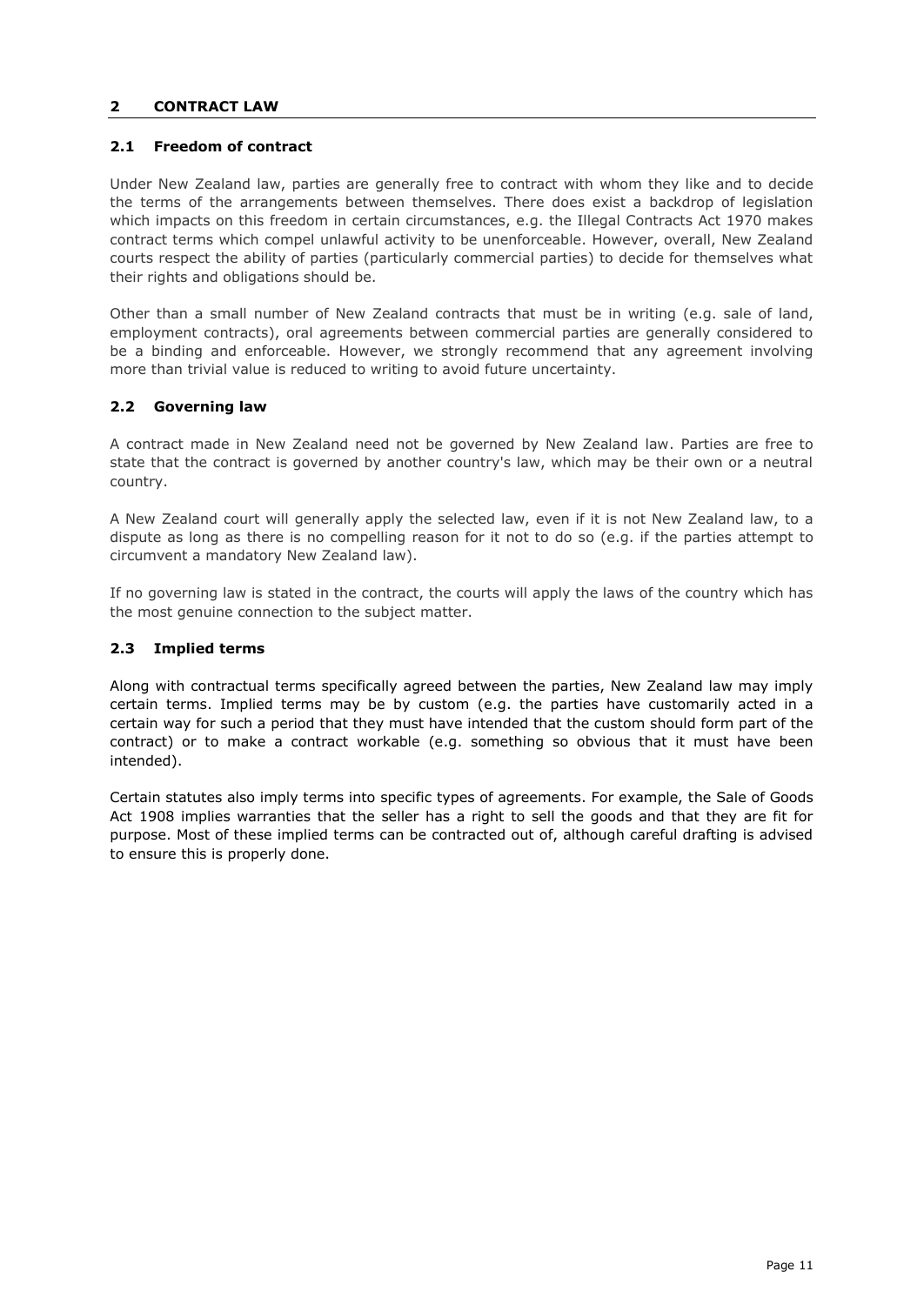## **2 CONTRACT LAW**

## <span id="page-10-0"></span>**2.1 Freedom of contract**

Under New Zealand law, parties are generally free to contract with whom they like and to decide the terms of the arrangements between themselves. There does exist a backdrop of legislation which impacts on this freedom in certain circumstances, e.g. the Illegal Contracts Act 1970 makes contract terms which compel unlawful activity to be unenforceable. However, overall, New Zealand courts respect the ability of parties (particularly commercial parties) to decide for themselves what their rights and obligations should be.

Other than a small number of New Zealand contracts that must be in writing (e.g. sale of land, employment contracts), oral agreements between commercial parties are generally considered to be a binding and enforceable. However, we strongly recommend that any agreement involving more than trivial value is reduced to writing to avoid future uncertainty.

# <span id="page-10-1"></span>**2.2 Governing law**

A contract made in New Zealand need not be governed by New Zealand law. Parties are free to state that the contract is governed by another country's law, which may be their own or a neutral country.

A New Zealand court will generally apply the selected law, even if it is not New Zealand law, to a dispute as long as there is no compelling reason for it not to do so (e.g. if the parties attempt to circumvent a mandatory New Zealand law).

If no governing law is stated in the contract, the courts will apply the laws of the country which has the most genuine connection to the subject matter.

# <span id="page-10-2"></span>**2.3 Implied terms**

Along with contractual terms specifically agreed between the parties, New Zealand law may imply certain terms. Implied terms may be by custom (e.g. the parties have customarily acted in a certain way for such a period that they must have intended that the custom should form part of the contract) or to make a contract workable (e.g. something so obvious that it must have been intended).

<span id="page-10-3"></span>Certain statutes also imply terms into specific types of agreements. For example, the Sale of Goods Act 1908 implies warranties that the seller has a right to sell the goods and that they are fit for purpose. Most of these implied terms can be contracted out of, although careful drafting is advised to ensure this is properly done.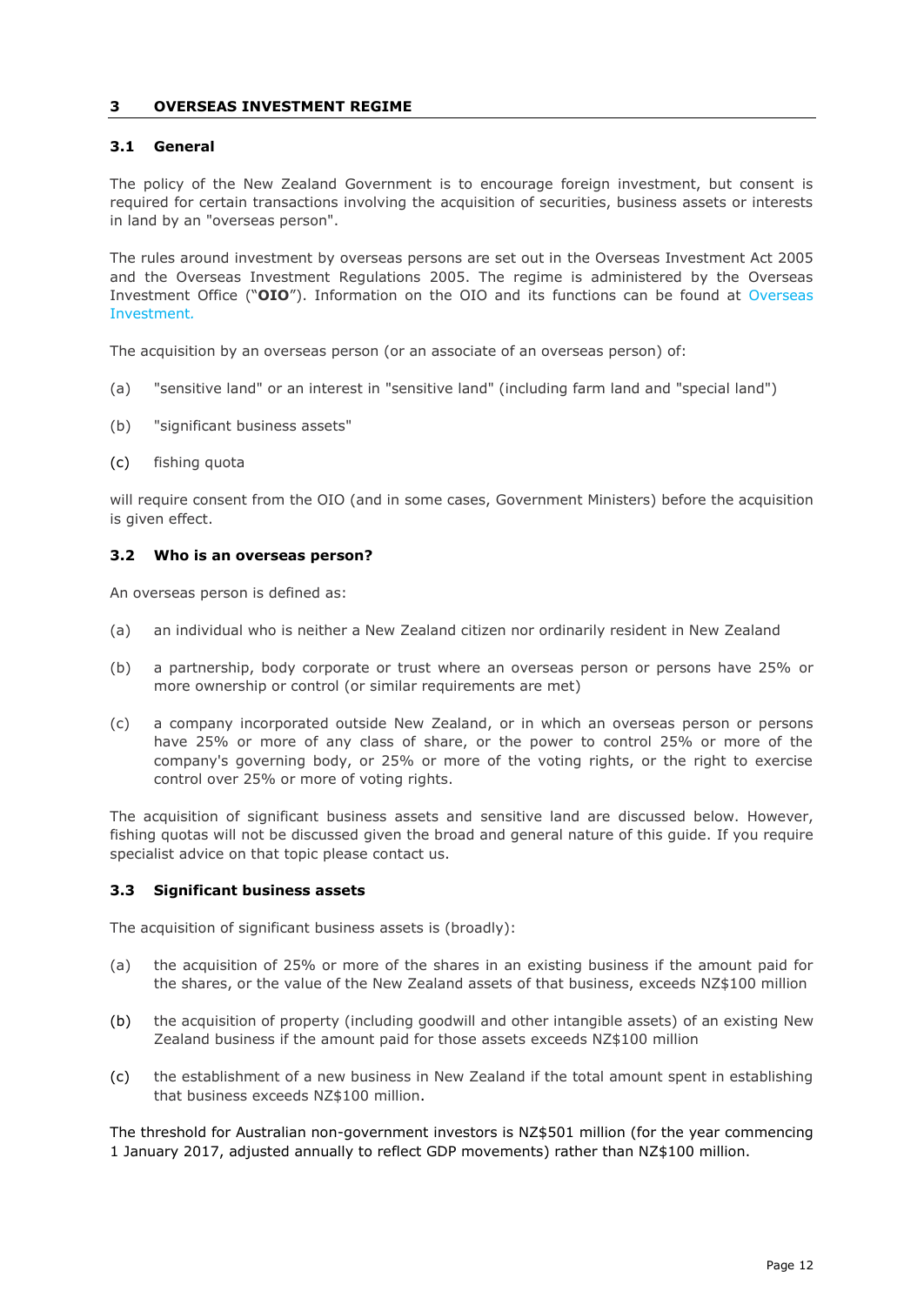## **3 OVERSEAS INVESTMENT REGIME**

## <span id="page-11-0"></span>**3.1 General**

The policy of the New Zealand Government is to encourage foreign investment, but consent is required for certain transactions involving the acquisition of securities, business assets or interests in land by an "overseas person".

The rules around investment by overseas persons are set out in the Overseas Investment Act 2005 and the Overseas Investment Regulations 2005. The regime is administered by the Overseas Investment Office ("**OIO**"). Information on the OIO and its functions can be found at [Overseas](http://www.linz.govt.nz/regulatory/overseas-investment)  [Investment](http://www.linz.govt.nz/regulatory/overseas-investment)*.*

The acquisition by an overseas person (or an associate of an overseas person) of:

- (a) "sensitive land" or an interest in "sensitive land" (including farm land and "special land")
- (b) "significant business assets"
- (c) fishing quota

will require consent from the OIO (and in some cases, Government Ministers) before the acquisition is given effect.

## <span id="page-11-1"></span>**3.2 Who is an overseas person?**

An overseas person is defined as:

- (a) an individual who is neither a New Zealand citizen nor ordinarily resident in New Zealand
- (b) a partnership, body corporate or trust where an overseas person or persons have 25% or more ownership or control (or similar requirements are met)
- (c) a company incorporated outside New Zealand, or in which an overseas person or persons have 25% or more of any class of share, or the power to control 25% or more of the company's governing body, or 25% or more of the voting rights, or the right to exercise control over 25% or more of voting rights.

The acquisition of significant business assets and sensitive land are discussed below. However, fishing quotas will not be discussed given the broad and general nature of this guide. If you require specialist advice on that topic please contact us.

## <span id="page-11-2"></span>**3.3 Significant business assets**

The acquisition of significant business assets is (broadly):

- (a) the acquisition of 25% or more of the shares in an existing business if the amount paid for the shares, or the value of the New Zealand assets of that business, exceeds NZ\$100 million
- (b) the acquisition of property (including goodwill and other intangible assets) of an existing New Zealand business if the amount paid for those assets exceeds NZ\$100 million
- (c) the establishment of a new business in New Zealand if the total amount spent in establishing that business exceeds NZ\$100 million.

The threshold for Australian non-government investors is NZ\$501 million (for the year commencing 1 January 2017, adjusted annually to reflect GDP movements) rather than NZ\$100 million.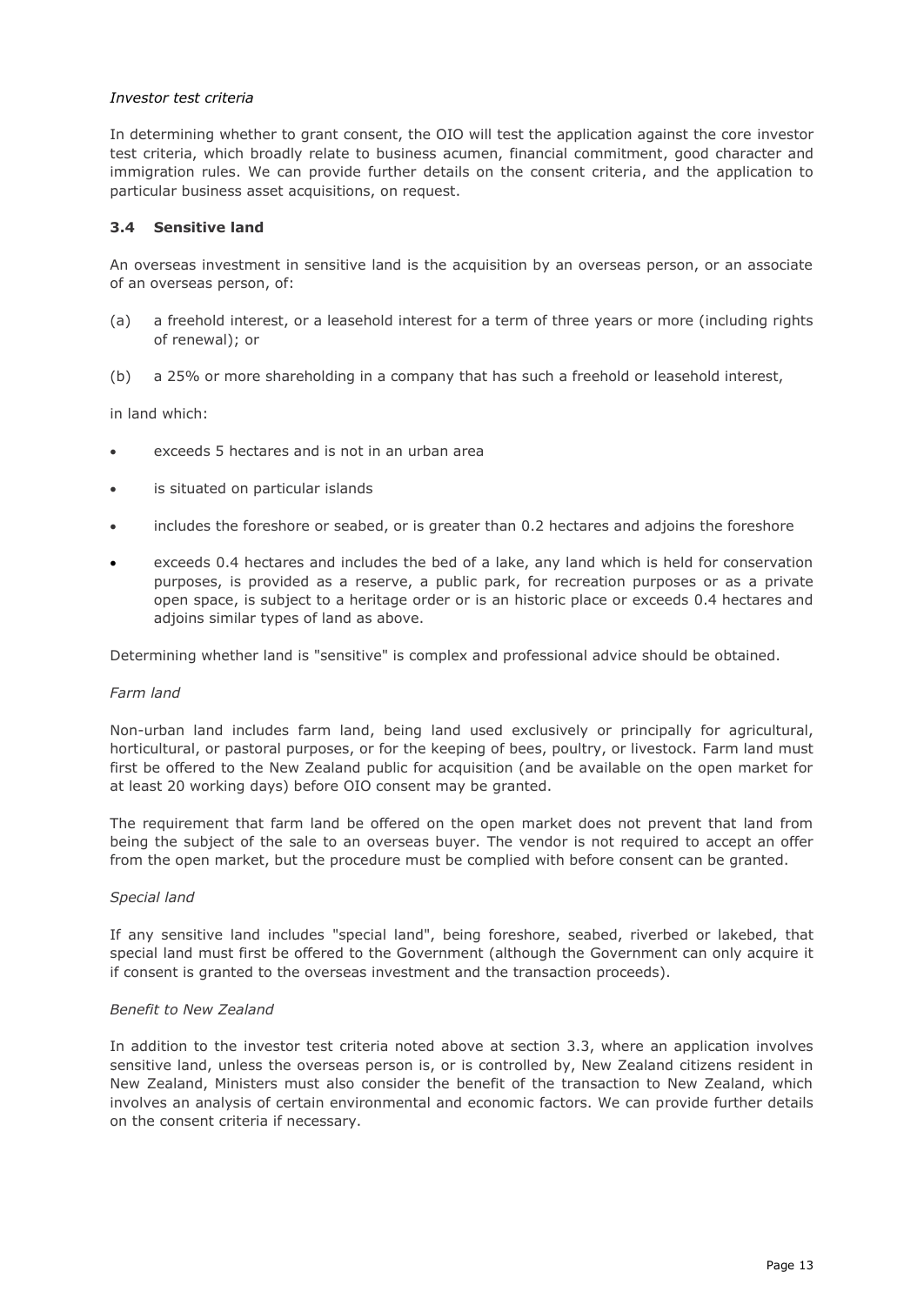## *Investor test criteria*

In determining whether to grant consent, the OIO will test the application against the core investor test criteria, which broadly relate to business acumen, financial commitment, good character and immigration rules. We can provide further details on the consent criteria, and the application to particular business asset acquisitions, on request.

#### <span id="page-12-0"></span>**3.4 Sensitive land**

An overseas investment in sensitive land is the acquisition by an overseas person, or an associate of an overseas person, of:

- (a) a freehold interest, or a leasehold interest for a term of three years or more (including rights of renewal); or
- (b) a 25% or more shareholding in a company that has such a freehold or leasehold interest,

in land which:

- exceeds 5 hectares and is not in an urban area
- is situated on particular islands
- includes the foreshore or seabed, or is greater than 0.2 hectares and adjoins the foreshore
- exceeds 0.4 hectares and includes the bed of a lake, any land which is held for conservation purposes, is provided as a reserve, a public park, for recreation purposes or as a private open space, is subject to a heritage order or is an historic place or exceeds 0.4 hectares and adjoins similar types of land as above.

Determining whether land is "sensitive" is complex and professional advice should be obtained.

#### *Farm land*

Non-urban land includes farm land, being land used exclusively or principally for agricultural, horticultural, or pastoral purposes, or for the keeping of bees, poultry, or livestock. Farm land must first be offered to the New Zealand public for acquisition (and be available on the open market for at least 20 working days) before OIO consent may be granted.

The requirement that farm land be offered on the open market does not prevent that land from being the subject of the sale to an overseas buyer. The vendor is not required to accept an offer from the open market, but the procedure must be complied with before consent can be granted.

## *Special land*

If any sensitive land includes "special land", being foreshore, seabed, riverbed or lakebed, that special land must first be offered to the Government (although the Government can only acquire it if consent is granted to the overseas investment and the transaction proceeds).

## *Benefit to New Zealand*

In addition to the investor test criteria noted above at section 3.3, where an application involves sensitive land, unless the overseas person is, or is controlled by, New Zealand citizens resident in New Zealand, Ministers must also consider the benefit of the transaction to New Zealand, which involves an analysis of certain environmental and economic factors. We can provide further details on the consent criteria if necessary.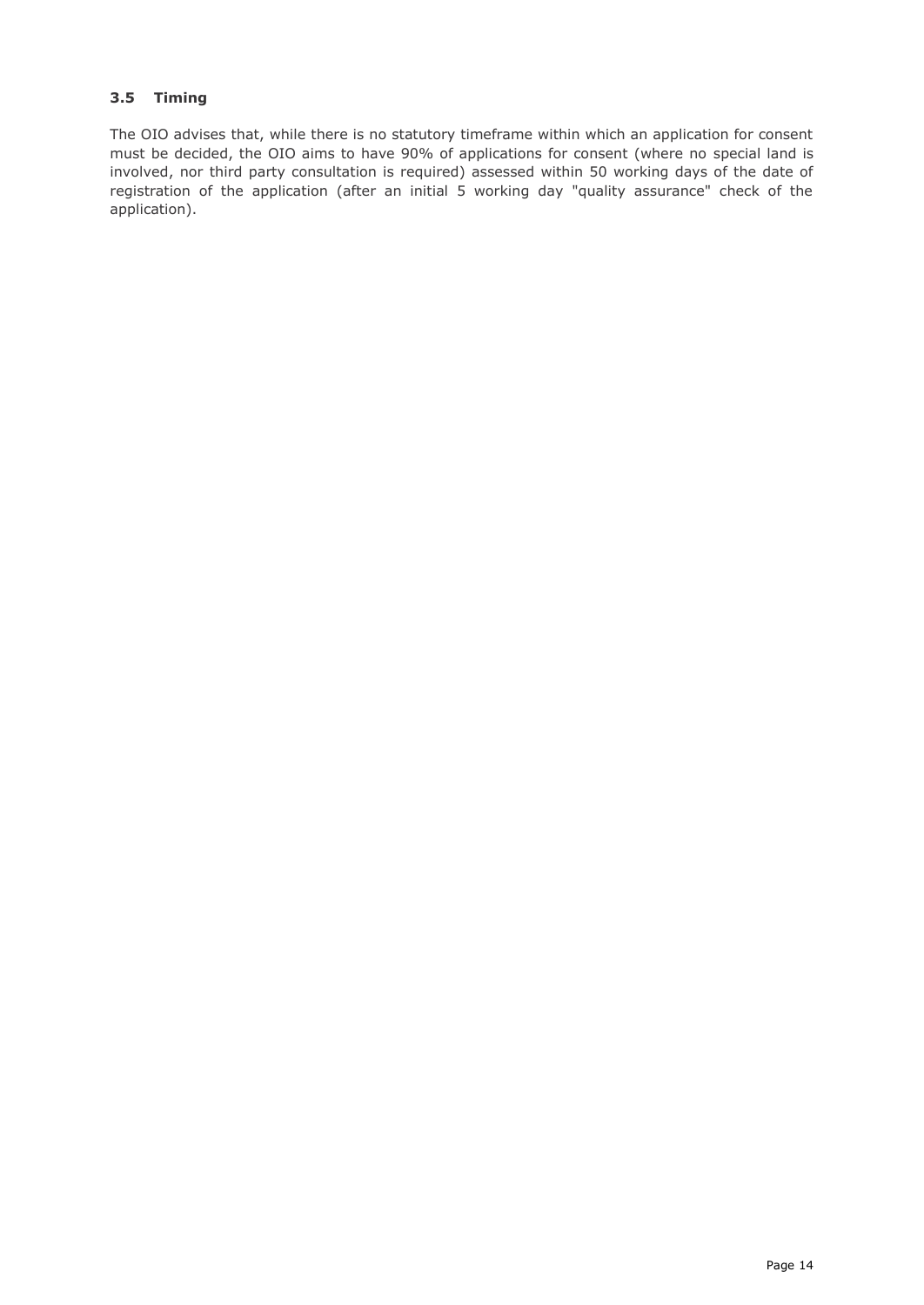# <span id="page-13-0"></span>**3.5 Timing**

<span id="page-13-1"></span>The OIO advises that, while there is no statutory timeframe within which an application for consent must be decided, the OIO aims to have 90% of applications for consent (where no special land is involved, nor third party consultation is required) assessed within 50 working days of the date of registration of the application (after an initial 5 working day "quality assurance" check of the application).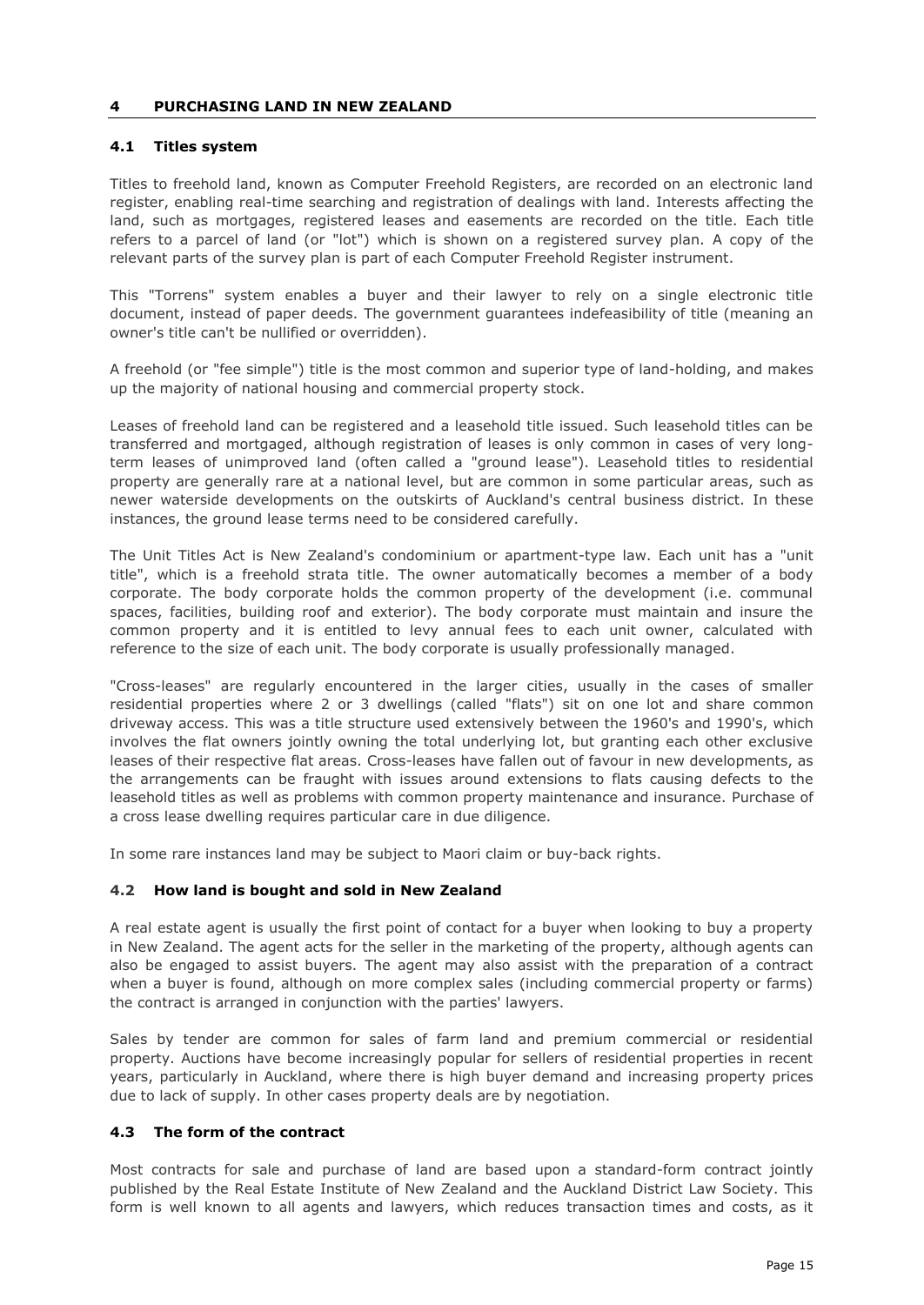## **4 PURCHASING LAND IN NEW ZEALAND**

## <span id="page-14-0"></span>**4.1 Titles system**

Titles to freehold land, known as Computer Freehold Registers, are recorded on an electronic land register, enabling real-time searching and registration of dealings with land. Interests affecting the land, such as mortgages, registered leases and easements are recorded on the title. Each title refers to a parcel of land (or "lot") which is shown on a registered survey plan. A copy of the relevant parts of the survey plan is part of each Computer Freehold Register instrument.

This "Torrens" system enables a buyer and their lawyer to rely on a single electronic title document, instead of paper deeds. The government guarantees indefeasibility of title (meaning an owner's title can't be nullified or overridden).

A freehold (or "fee simple") title is the most common and superior type of land-holding, and makes up the majority of national housing and commercial property stock.

Leases of freehold land can be registered and a leasehold title issued. Such leasehold titles can be transferred and mortgaged, although registration of leases is only common in cases of very longterm leases of unimproved land (often called a "ground lease"). Leasehold titles to residential property are generally rare at a national level, but are common in some particular areas, such as newer waterside developments on the outskirts of Auckland's central business district. In these instances, the ground lease terms need to be considered carefully.

The Unit Titles Act is New Zealand's condominium or apartment-type law. Each unit has a "unit title", which is a freehold strata title. The owner automatically becomes a member of a body corporate. The body corporate holds the common property of the development (i.e. communal spaces, facilities, building roof and exterior). The body corporate must maintain and insure the common property and it is entitled to levy annual fees to each unit owner, calculated with reference to the size of each unit. The body corporate is usually professionally managed.

"Cross-leases" are regularly encountered in the larger cities, usually in the cases of smaller residential properties where 2 or 3 dwellings (called "flats") sit on one lot and share common driveway access. This was a title structure used extensively between the 1960's and 1990's, which involves the flat owners jointly owning the total underlying lot, but granting each other exclusive leases of their respective flat areas. Cross-leases have fallen out of favour in new developments, as the arrangements can be fraught with issues around extensions to flats causing defects to the leasehold titles as well as problems with common property maintenance and insurance. Purchase of a cross lease dwelling requires particular care in due diligence.

In some rare instances land may be subject to Maori claim or buy-back rights.

## <span id="page-14-1"></span>**4.2 How land is bought and sold in New Zealand**

A real estate agent is usually the first point of contact for a buyer when looking to buy a property in New Zealand. The agent acts for the seller in the marketing of the property, although agents can also be engaged to assist buyers. The agent may also assist with the preparation of a contract when a buyer is found, although on more complex sales (including commercial property or farms) the contract is arranged in conjunction with the parties' lawyers.

Sales by tender are common for sales of farm land and premium commercial or residential property. Auctions have become increasingly popular for sellers of residential properties in recent years, particularly in Auckland, where there is high buyer demand and increasing property prices due to lack of supply. In other cases property deals are by negotiation.

# <span id="page-14-2"></span>**4.3 The form of the contract**

Most contracts for sale and purchase of land are based upon a standard-form contract jointly published by the Real Estate Institute of New Zealand and the Auckland District Law Society. This form is well known to all agents and lawyers, which reduces transaction times and costs, as it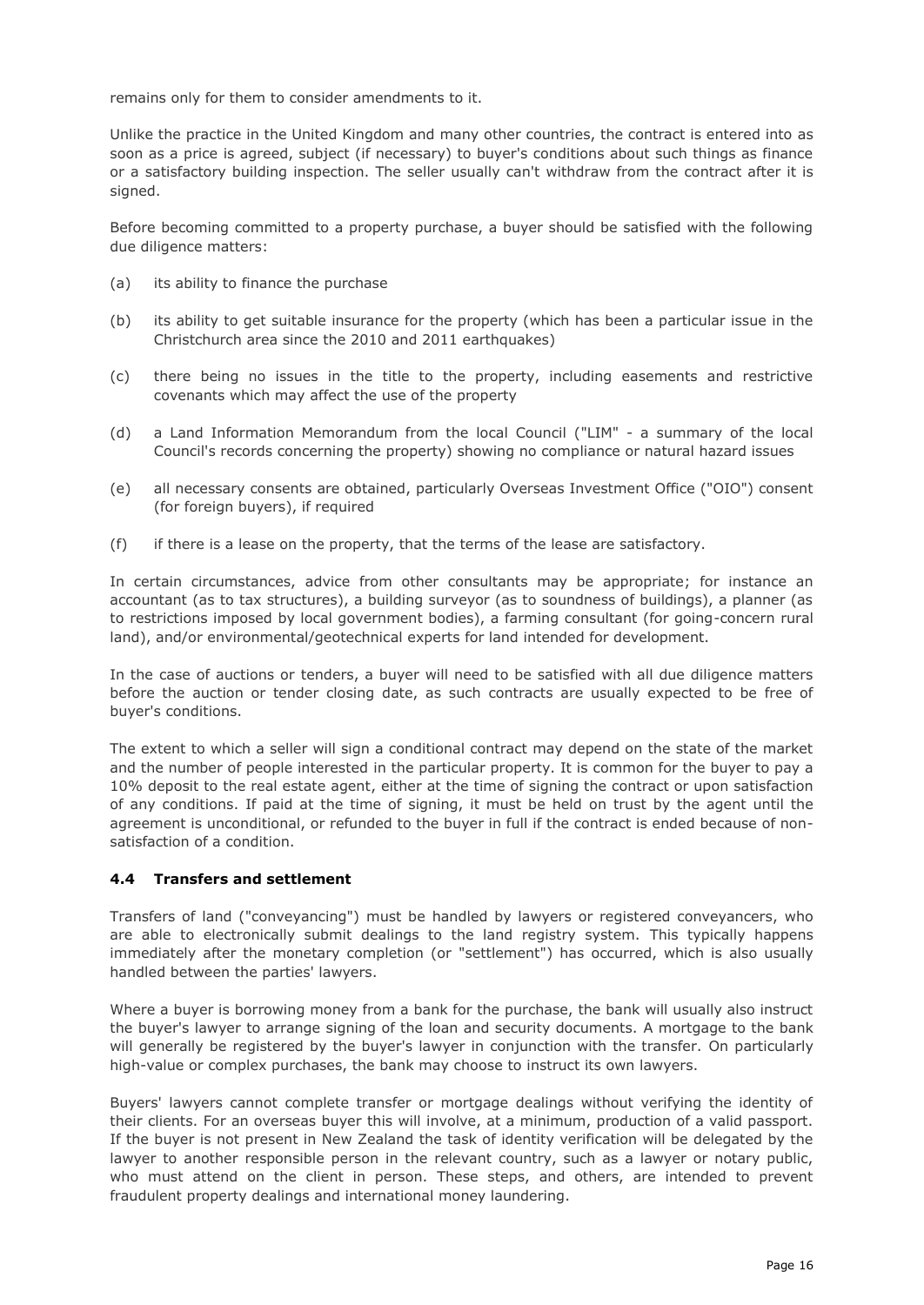remains only for them to consider amendments to it.

Unlike the practice in the United Kingdom and many other countries, the contract is entered into as soon as a price is agreed, subject (if necessary) to buyer's conditions about such things as finance or a satisfactory building inspection. The seller usually can't withdraw from the contract after it is signed.

Before becoming committed to a property purchase, a buyer should be satisfied with the following due diligence matters:

- (a) its ability to finance the purchase
- (b) its ability to get suitable insurance for the property (which has been a particular issue in the Christchurch area since the 2010 and 2011 earthquakes)
- (c) there being no issues in the title to the property, including easements and restrictive covenants which may affect the use of the property
- (d) a Land Information Memorandum from the local Council ("LIM" a summary of the local Council's records concerning the property) showing no compliance or natural hazard issues
- (e) all necessary consents are obtained, particularly Overseas Investment Office ("OIO") consent (for foreign buyers), if required
- (f) if there is a lease on the property, that the terms of the lease are satisfactory.

In certain circumstances, advice from other consultants may be appropriate; for instance an accountant (as to tax structures), a building surveyor (as to soundness of buildings), a planner (as to restrictions imposed by local government bodies), a farming consultant (for going-concern rural land), and/or environmental/geotechnical experts for land intended for development.

In the case of auctions or tenders, a buyer will need to be satisfied with all due diligence matters before the auction or tender closing date, as such contracts are usually expected to be free of buyer's conditions.

The extent to which a seller will sign a conditional contract may depend on the state of the market and the number of people interested in the particular property. It is common for the buyer to pay a 10% deposit to the real estate agent, either at the time of signing the contract or upon satisfaction of any conditions. If paid at the time of signing, it must be held on trust by the agent until the agreement is unconditional, or refunded to the buyer in full if the contract is ended because of nonsatisfaction of a condition.

## <span id="page-15-0"></span>**4.4 Transfers and settlement**

Transfers of land ("conveyancing") must be handled by lawyers or registered conveyancers, who are able to electronically submit dealings to the land registry system. This typically happens immediately after the monetary completion (or "settlement") has occurred, which is also usually handled between the parties' lawyers.

Where a buyer is borrowing money from a bank for the purchase, the bank will usually also instruct the buyer's lawyer to arrange signing of the loan and security documents. A mortgage to the bank will generally be registered by the buyer's lawyer in conjunction with the transfer. On particularly high-value or complex purchases, the bank may choose to instruct its own lawyers.

Buyers' lawyers cannot complete transfer or mortgage dealings without verifying the identity of their clients. For an overseas buyer this will involve, at a minimum, production of a valid passport. If the buyer is not present in New Zealand the task of identity verification will be delegated by the lawyer to another responsible person in the relevant country, such as a lawyer or notary public, who must attend on the client in person. These steps, and others, are intended to prevent fraudulent property dealings and international money laundering.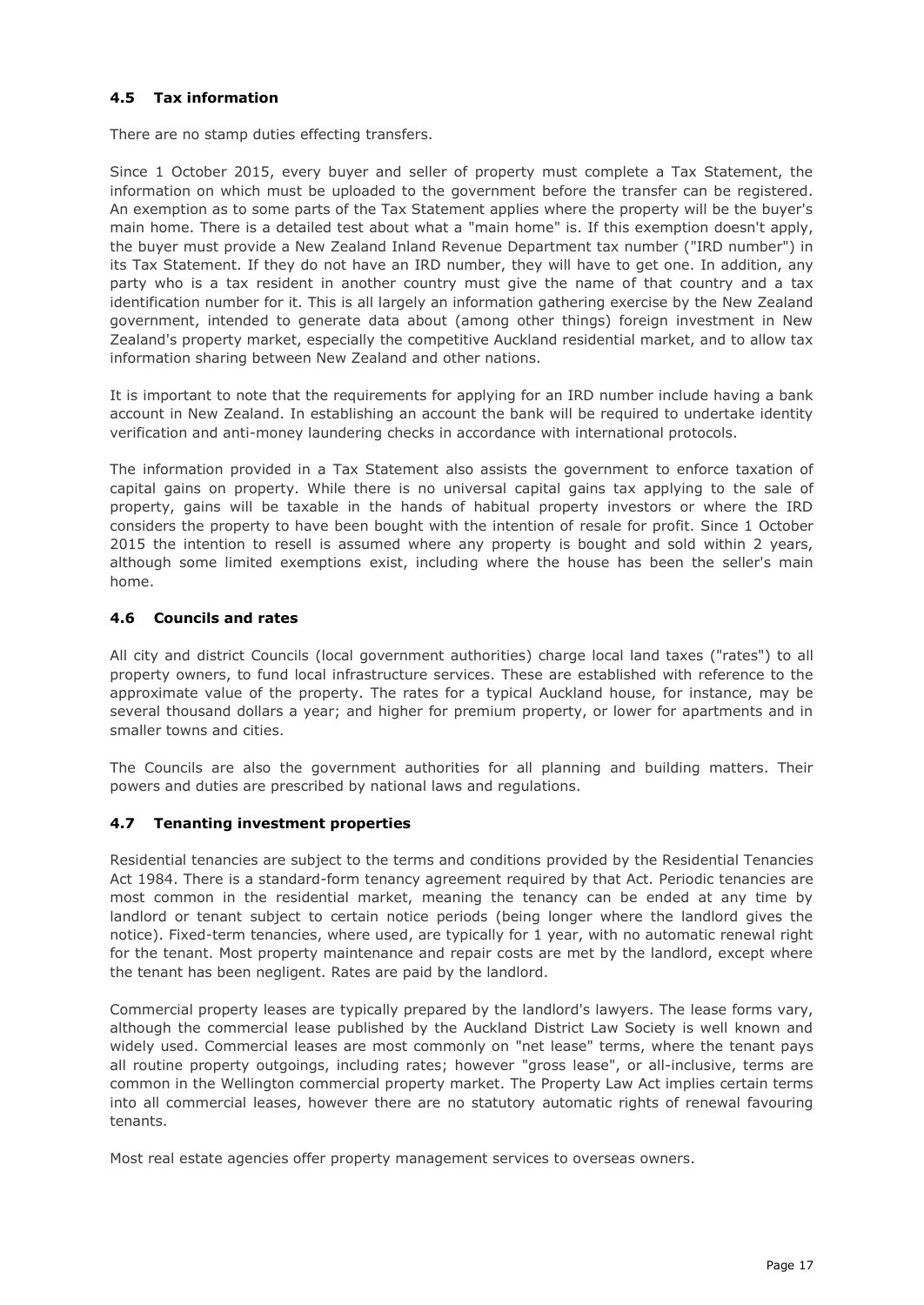# <span id="page-16-0"></span>**4.5 Tax information**

There are no stamp duties effecting transfers.

Since 1 October 2015, every buyer and seller of property must complete a Tax Statement, the information on which must be uploaded to the government before the transfer can be registered. An exemption as to some parts of the Tax Statement applies where the property will be the buyer's main home. There is a detailed test about what a "main home" is. If this exemption doesn't apply, the buyer must provide a New Zealand Inland Revenue Department tax number ("IRD number") in its Tax Statement. If they do not have an IRD number, they will have to get one. In addition, any party who is a tax resident in another country must give the name of that country and a tax identification number for it. This is all largely an information gathering exercise by the New Zealand government, intended to generate data about (among other things) foreign investment in New Zealand's property market, especially the competitive Auckland residential market, and to allow tax information sharing between New Zealand and other nations.

It is important to note that the requirements for applying for an IRD number include having a bank account in New Zealand. In establishing an account the bank will be required to undertake identity verification and anti-money laundering checks in accordance with international protocols.

The information provided in a Tax Statement also assists the government to enforce taxation of capital gains on property. While there is no universal capital gains tax applying to the sale of property, gains will be taxable in the hands of habitual property investors or where the IRD considers the property to have been bought with the intention of resale for profit. Since 1 October 2015 the intention to resell is assumed where any property is bought and sold within 2 years, although some limited exemptions exist, including where the house has been the seller's main home.

# <span id="page-16-1"></span>**4.6 Councils and rates**

All city and district Councils (local government authorities) charge local land taxes ("rates") to all property owners, to fund local infrastructure services. These are established with reference to the approximate value of the property. The rates for a typical Auckland house, for instance, may be several thousand dollars a year; and higher for premium property, or lower for apartments and in smaller towns and cities.

The Councils are also the government authorities for all planning and building matters. Their powers and duties are prescribed by national laws and regulations.

# <span id="page-16-2"></span>**4.7 Tenanting investment properties**

Residential tenancies are subject to the terms and conditions provided by the Residential Tenancies Act 1984. There is a standard-form tenancy agreement required by that Act. Periodic tenancies are most common in the residential market, meaning the tenancy can be ended at any time by landlord or tenant subject to certain notice periods (being longer where the landlord gives the notice). Fixed-term tenancies, where used, are typically for 1 year, with no automatic renewal right for the tenant. Most property maintenance and repair costs are met by the landlord, except where the tenant has been negligent. Rates are paid by the landlord.

Commercial property leases are typically prepared by the landlord's lawyers. The lease forms vary, although the commercial lease published by the Auckland District Law Society is well known and widely used. Commercial leases are most commonly on "net lease" terms, where the tenant pays all routine property outgoings, including rates; however "gross lease", or all-inclusive, terms are common in the Wellington commercial property market. The Property Law Act implies certain terms into all commercial leases, however there are no statutory automatic rights of renewal favouring tenants.

Most real estate agencies offer property management services to overseas owners.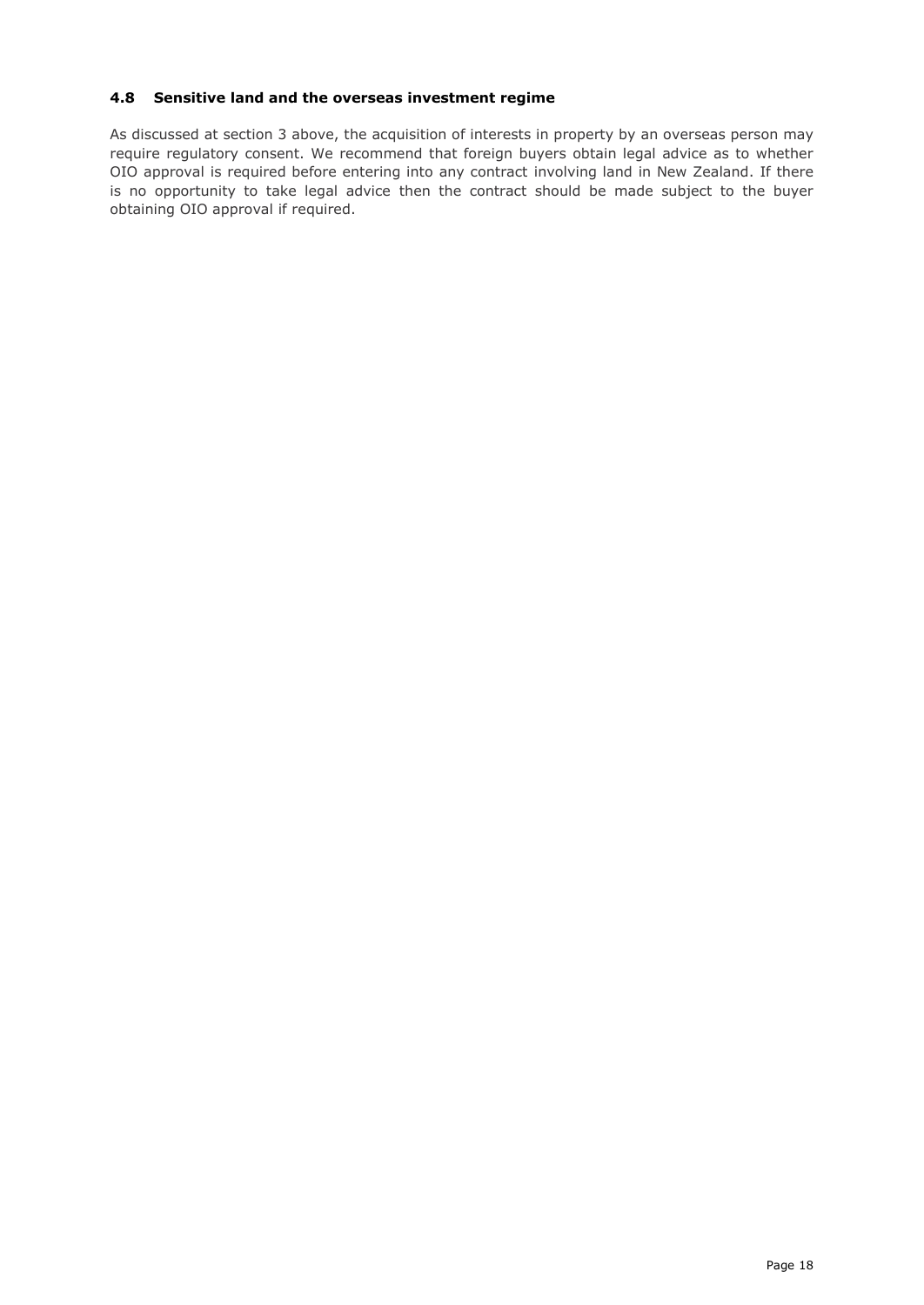# <span id="page-17-0"></span>**4.8 Sensitive land and the overseas investment regime**

<span id="page-17-1"></span>As discussed at section 3 above, the acquisition of interests in property by an overseas person may require regulatory consent. We recommend that foreign buyers obtain legal advice as to whether OIO approval is required before entering into any contract involving land in New Zealand. If there is no opportunity to take legal advice then the contract should be made subject to the buyer obtaining OIO approval if required.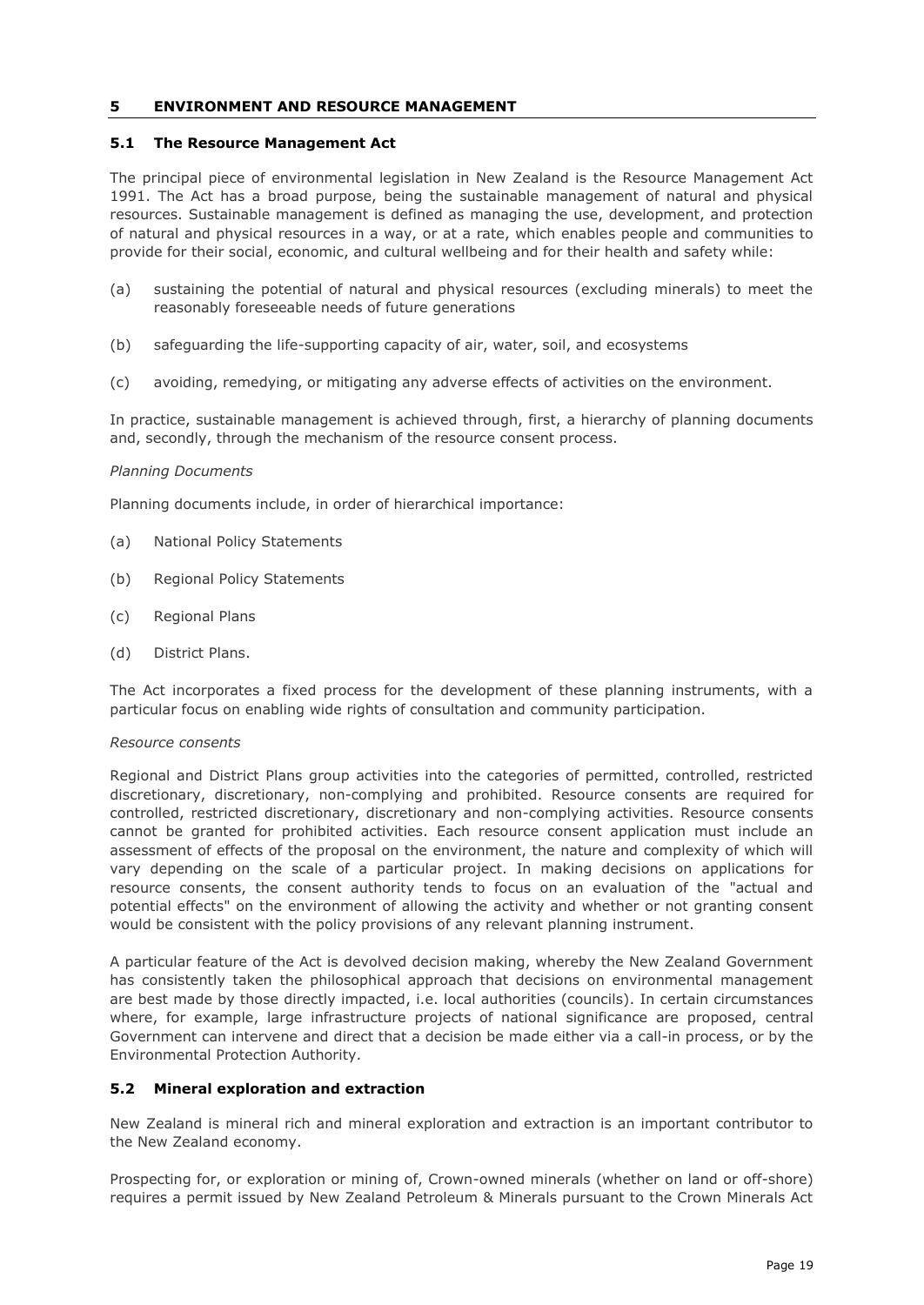## **5 ENVIRONMENT AND RESOURCE MANAGEMENT**

## <span id="page-18-0"></span>**5.1 The Resource Management Act**

The principal piece of environmental legislation in New Zealand is the Resource Management Act 1991. The Act has a broad purpose, being the sustainable management of natural and physical resources. Sustainable management is defined as managing the use, development, and protection of natural and physical resources in a way, or at a rate, which enables people and communities to provide for their social, economic, and cultural wellbeing and for their health and safety while:

- (a) sustaining the potential of natural and physical resources (excluding minerals) to meet the reasonably foreseeable needs of future generations
- (b) safeguarding the life-supporting capacity of air, water, soil, and ecosystems
- (c) avoiding, remedying, or mitigating any adverse effects of activities on the environment.

In practice, sustainable management is achieved through, first, a hierarchy of planning documents and, secondly, through the mechanism of the resource consent process.

## *Planning Documents*

Planning documents include, in order of hierarchical importance:

- (a) National Policy Statements
- (b) Regional Policy Statements
- (c) Regional Plans
- (d) District Plans.

The Act incorporates a fixed process for the development of these planning instruments, with a particular focus on enabling wide rights of consultation and community participation.

## *Resource consents*

Regional and District Plans group activities into the categories of permitted, controlled, restricted discretionary, discretionary, non-complying and prohibited. Resource consents are required for controlled, restricted discretionary, discretionary and non-complying activities. Resource consents cannot be granted for prohibited activities. Each resource consent application must include an assessment of effects of the proposal on the environment, the nature and complexity of which will vary depending on the scale of a particular project. In making decisions on applications for resource consents, the consent authority tends to focus on an evaluation of the "actual and potential effects" on the environment of allowing the activity and whether or not granting consent would be consistent with the policy provisions of any relevant planning instrument.

A particular feature of the Act is devolved decision making, whereby the New Zealand Government has consistently taken the philosophical approach that decisions on environmental management are best made by those directly impacted, i.e. local authorities (councils). In certain circumstances where, for example, large infrastructure projects of national significance are proposed, central Government can intervene and direct that a decision be made either via a call-in process, or by the Environmental Protection Authority.

## <span id="page-18-1"></span>**5.2 Mineral exploration and extraction**

New Zealand is mineral rich and mineral exploration and extraction is an important contributor to the New Zealand economy.

Prospecting for, or exploration or mining of, Crown-owned minerals (whether on land or off-shore) requires a permit issued by New Zealand Petroleum & Minerals pursuant to the Crown Minerals Act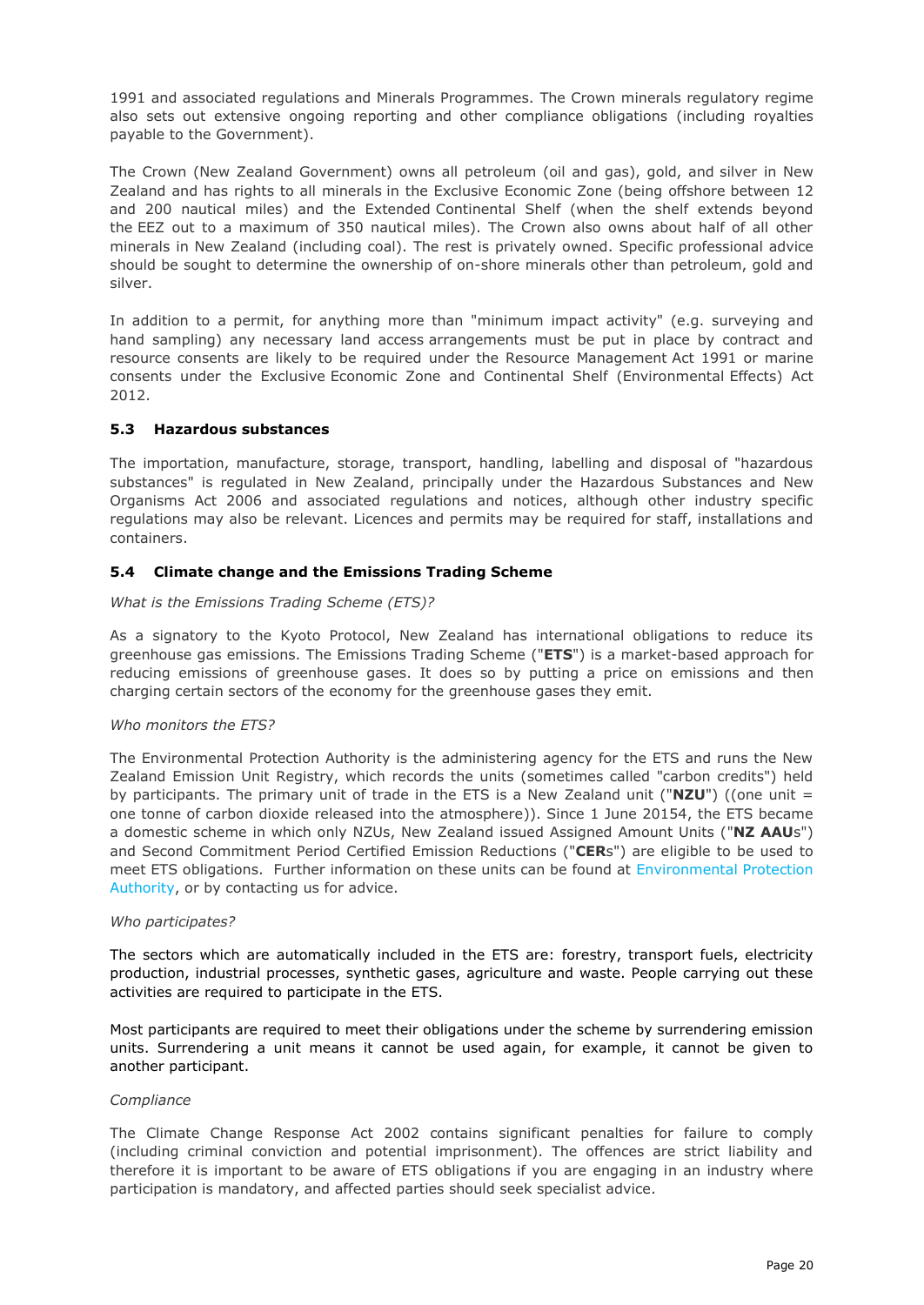1991 and associated regulations and Minerals Programmes. The Crown minerals regulatory regime also sets out extensive ongoing reporting and other compliance obligations (including royalties payable to the Government).

The Crown (New Zealand Government) owns all petroleum (oil and gas), gold, and silver in New Zealand and has rights to all minerals in the Exclusive Economic Zone (being offshore between 12 and 200 nautical miles) and the Extended Continental Shelf (when the shelf extends beyond the EEZ out to a maximum of 350 nautical miles). The Crown also owns about half of all other minerals in New Zealand (including coal). The rest is privately owned. Specific professional advice should be sought to determine the ownership of on-shore minerals other than petroleum, gold and silver.

In addition to a permit, for anything more than "minimum impact activity" (e.g. surveying and hand sampling) any necessary land access arrangements must be put in place by contract and resource consents are likely to be required under the Resource Management Act 1991 or marine consents under the Exclusive Economic Zone and Continental Shelf (Environmental Effects) Act 2012.

## <span id="page-19-0"></span>**5.3 Hazardous substances**

The importation, manufacture, storage, transport, handling, labelling and disposal of "hazardous substances" is regulated in New Zealand, principally under the Hazardous Substances and New Organisms Act 2006 and associated regulations and notices, although other industry specific regulations may also be relevant. Licences and permits may be required for staff, installations and containers.

## <span id="page-19-1"></span>**5.4 Climate change and the Emissions Trading Scheme**

## *What is the Emissions Trading Scheme (ETS)?*

As a signatory to the Kyoto Protocol, New Zealand has international obligations to reduce its greenhouse gas emissions. The Emissions Trading Scheme ("**ETS**") is a market-based approach for reducing emissions of greenhouse gases. It does so by putting a price on emissions and then charging certain sectors of the economy for the greenhouse gases they emit.

## *Who monitors the ETS?*

The Environmental Protection Authority is the administering agency for the ETS and runs the New Zealand Emission Unit Registry, which records the units (sometimes called "carbon credits") held by participants. The primary unit of trade in the ETS is a New Zealand unit ("**NZU**") ((one unit = one tonne of carbon dioxide released into the atmosphere)). Since 1 June 20154, the ETS became a domestic scheme in which only NZUs, New Zealand issued Assigned Amount Units ("**NZ AAU**s") and Second Commitment Period Certified Emission Reductions ("**CER**s") are eligible to be used to meet ETS obligations. Further information on these units can be found at [Environmental Protection](http://www.epa.govt.nz/e-m-t/Pages/default.aspx)  [Authority,](http://www.epa.govt.nz/e-m-t/Pages/default.aspx) or by contacting us for advice.

## *Who participates?*

The sectors which are automatically included in the ETS are: forestry, transport fuels, electricity production, industrial processes, synthetic gases, agriculture and waste. People carrying out these activities are required to participate in the ETS.

Most participants are required to meet their obligations under the scheme by surrendering emission units. Surrendering a unit means it cannot be used again, for example, it cannot be given to another participant.

## *Compliance*

<span id="page-19-2"></span>The Climate Change Response Act 2002 contains significant penalties for failure to comply (including criminal conviction and potential imprisonment). The offences are strict liability and therefore it is important to be aware of ETS obligations if you are engaging in an industry where participation is mandatory, and affected parties should seek specialist advice.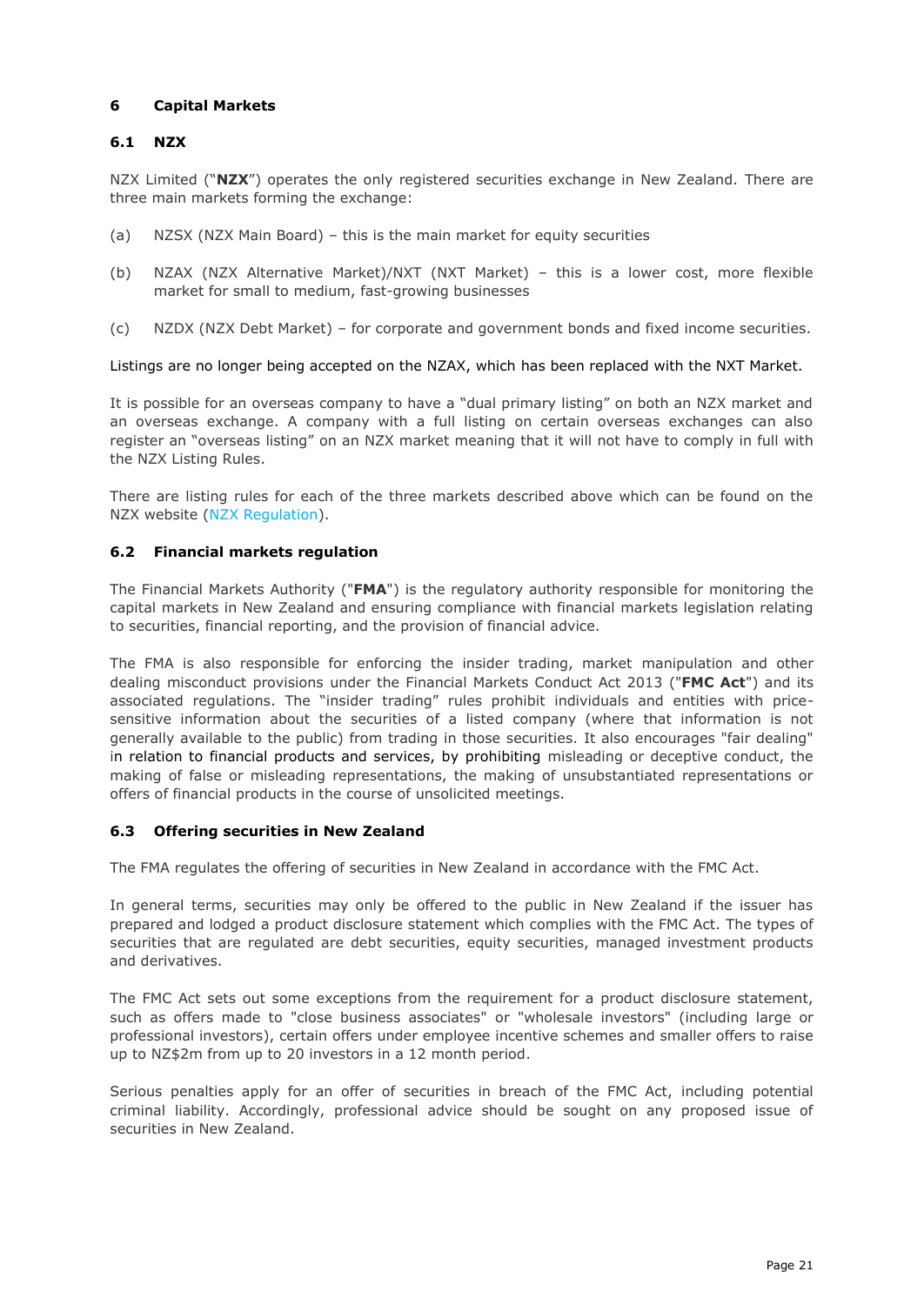# **6 Capital Markets**

# <span id="page-20-0"></span>**6.1 NZX**

NZX Limited ("**NZX**") operates the only registered securities exchange in New Zealand. There are three main markets forming the exchange:

- (a) NZSX (NZX Main Board) this is the main market for equity securities
- (b) NZAX (NZX Alternative Market)/NXT (NXT Market) this is a lower cost, more flexible market for small to medium, fast-growing businesses
- (c) NZDX (NZX Debt Market) for corporate and government bonds and fixed income securities.

## Listings are no longer being accepted on the NZAX, which has been replaced with the NXT Market.

It is possible for an overseas company to have a "dual primary listing" on both an NZX market and an overseas exchange. A company with a full listing on certain overseas exchanges can also register an "overseas listing" on an NZX market meaning that it will not have to comply in full with the NZX Listing Rules.

There are listing rules for each of the three markets described above which can be found on the NZX website [\(NZX Regulation\)](https://www.nzx.com/regulation).

## <span id="page-20-1"></span>**6.2 Financial markets regulation**

The Financial Markets Authority ("**FMA**") is the regulatory authority responsible for monitoring the capital markets in New Zealand and ensuring compliance with financial markets legislation relating to securities, financial reporting, and the provision of financial advice.

The FMA is also responsible for enforcing the insider trading, market manipulation and other dealing misconduct provisions under the Financial Markets Conduct Act 2013 ("**FMC Act**") and its associated regulations. The "insider trading" rules prohibit individuals and entities with pricesensitive information about the securities of a listed company (where that information is not generally available to the public) from trading in those securities. It also encourages "fair dealing" in relation to financial products and services, by prohibiting misleading or deceptive conduct, the making of false or misleading representations, the making of unsubstantiated representations or offers of financial products in the course of unsolicited meetings.

# <span id="page-20-2"></span>**6.3 Offering securities in New Zealand**

The FMA regulates the offering of securities in New Zealand in accordance with the FMC Act.

In general terms, securities may only be offered to the public in New Zealand if the issuer has prepared and lodged a product disclosure statement which complies with the FMC Act. The types of securities that are regulated are debt securities, equity securities, managed investment products and derivatives.

The FMC Act sets out some exceptions from the requirement for a product disclosure statement, such as offers made to "close business associates" or "wholesale investors" (including large or professional investors), certain offers under employee incentive schemes and smaller offers to raise up to NZ\$2m from up to 20 investors in a 12 month period.

Serious penalties apply for an offer of securities in breach of the FMC Act, including potential criminal liability. Accordingly, professional advice should be sought on any proposed issue of securities in New Zealand.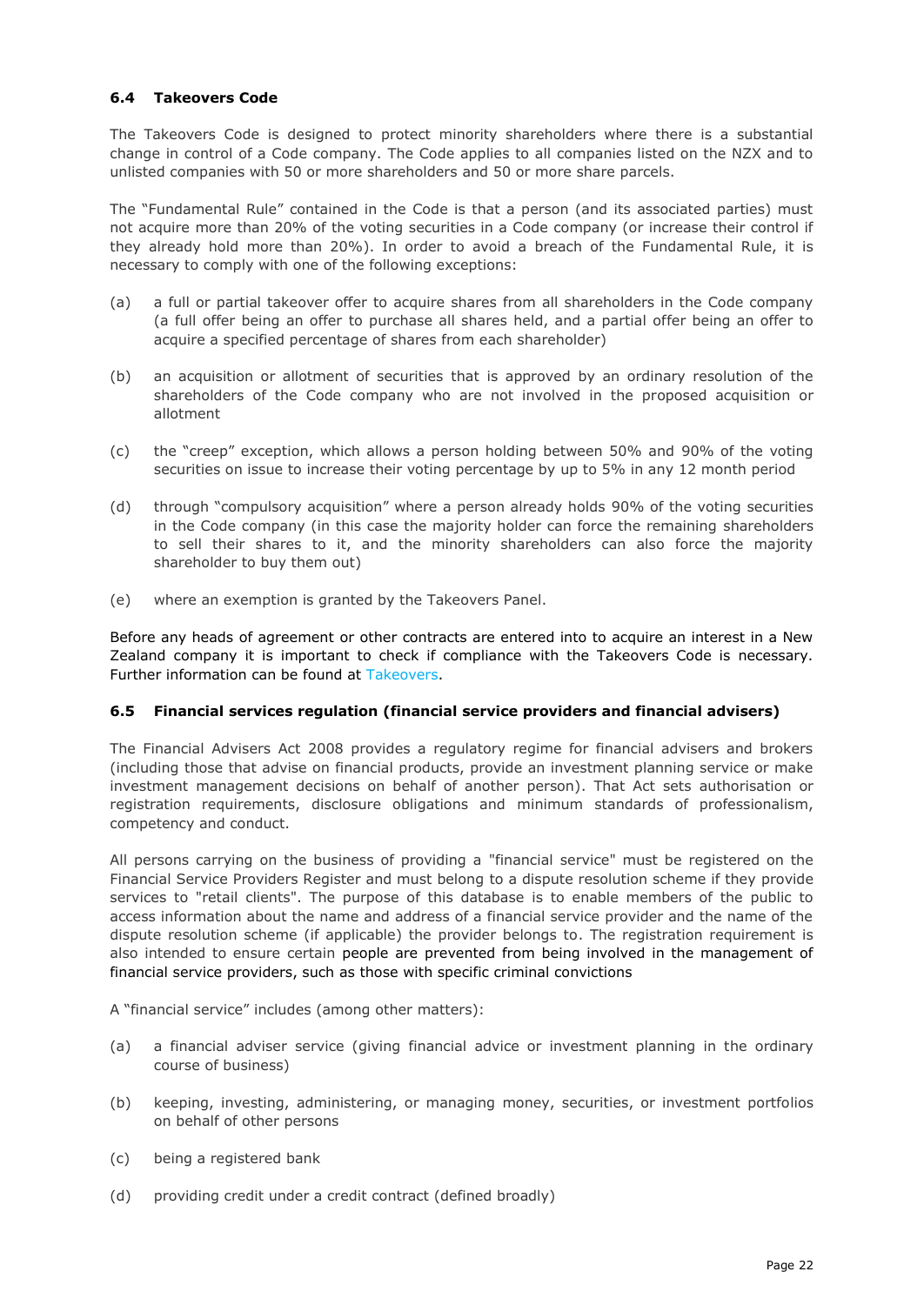# <span id="page-21-0"></span>**6.4 Takeovers Code**

The Takeovers Code is designed to protect minority shareholders where there is a substantial change in control of a Code company. The Code applies to all companies listed on the NZX and to unlisted companies with 50 or more shareholders and 50 or more share parcels.

The "Fundamental Rule" contained in the Code is that a person (and its associated parties) must not acquire more than 20% of the voting securities in a Code company (or increase their control if they already hold more than 20%). In order to avoid a breach of the Fundamental Rule, it is necessary to comply with one of the following exceptions:

- (a) a full or partial takeover offer to acquire shares from all shareholders in the Code company (a full offer being an offer to purchase all shares held, and a partial offer being an offer to acquire a specified percentage of shares from each shareholder)
- (b) an acquisition or allotment of securities that is approved by an ordinary resolution of the shareholders of the Code company who are not involved in the proposed acquisition or allotment
- (c) the "creep" exception, which allows a person holding between 50% and 90% of the voting securities on issue to increase their voting percentage by up to 5% in any 12 month period
- (d) through "compulsory acquisition" where a person already holds 90% of the voting securities in the Code company (in this case the majority holder can force the remaining shareholders to sell their shares to it, and the minority shareholders can also force the majority shareholder to buy them out)
- (e) where an exemption is granted by the Takeovers Panel.

Before any heads of agreement or other contracts are entered into to acquire an interest in a New Zealand company it is important to check if compliance with the Takeovers Code is necessary. Further information can be found at [Takeovers.](http://www.takeovers.govt.nz/)

## <span id="page-21-1"></span>**6.5 Financial services regulation (financial service providers and financial advisers)**

The Financial Advisers Act 2008 provides a regulatory regime for financial advisers and brokers (including those that advise on financial products, provide an investment planning service or make investment management decisions on behalf of another person). That Act sets authorisation or registration requirements, disclosure obligations and minimum standards of professionalism, competency and conduct.

All persons carrying on the business of providing a "financial service" must be registered on the Financial Service Providers Register and must belong to a dispute resolution scheme if they provide services to "retail clients". The purpose of this database is to enable members of the public to access information about the name and address of a financial service provider and the name of the dispute resolution scheme (if applicable) the provider belongs to. The registration requirement is also intended to ensure certain people are prevented from being involved in the management of financial service providers, such as those with specific criminal convictions

A "financial service" includes (among other matters):

- (a) a financial adviser service (giving financial advice or investment planning in the ordinary course of business)
- (b) keeping, investing, administering, or managing money, securities, or investment portfolios on behalf of other persons
- (c) being a registered bank
- (d) providing credit under a credit contract (defined broadly)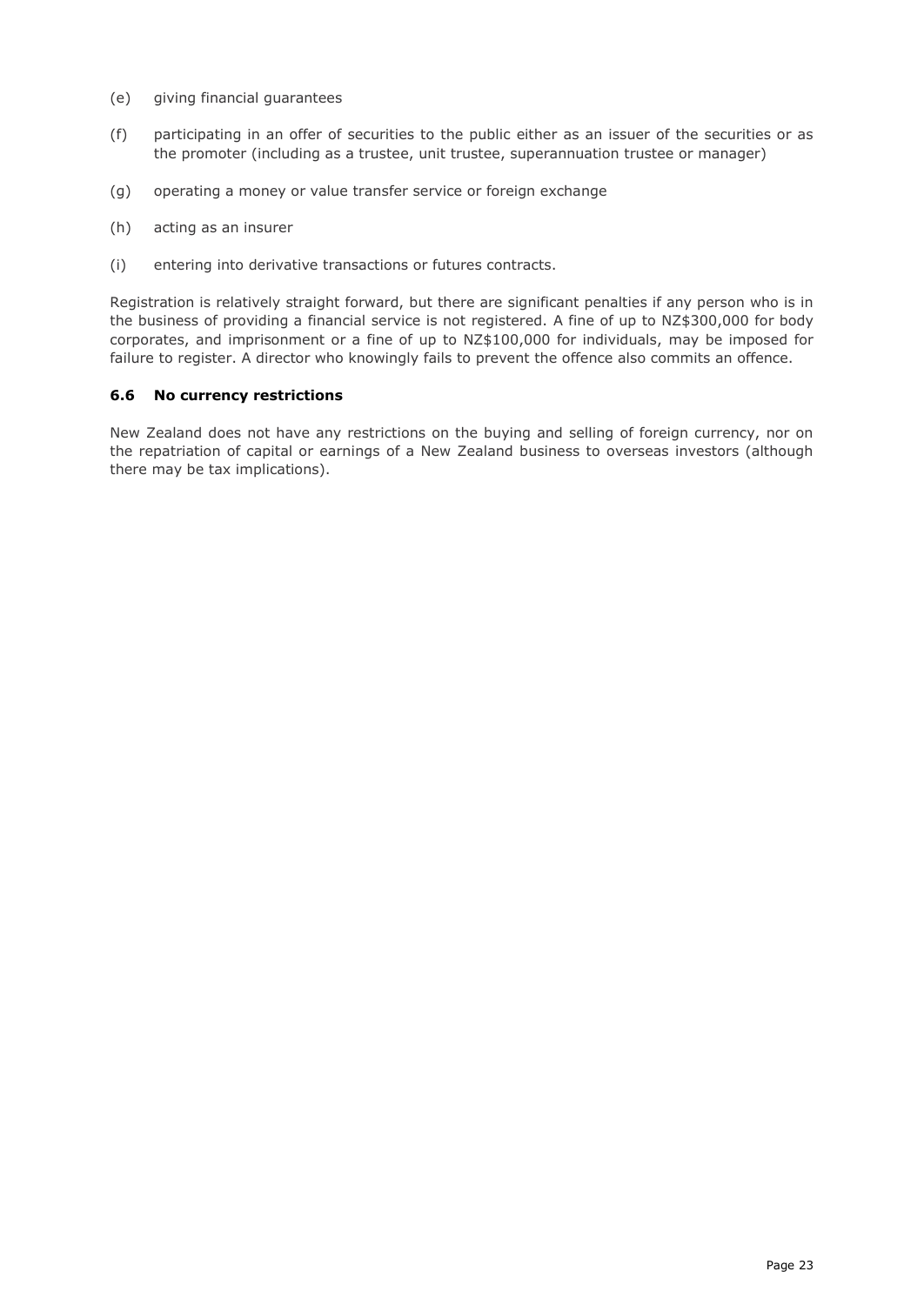- (e) giving financial guarantees
- (f) participating in an offer of securities to the public either as an issuer of the securities or as the promoter (including as a trustee, unit trustee, superannuation trustee or manager)
- (g) operating a money or value transfer service or foreign exchange
- (h) acting as an insurer
- (i) entering into derivative transactions or futures contracts.

Registration is relatively straight forward, but there are significant penalties if any person who is in the business of providing a financial service is not registered. A fine of up to NZ\$300,000 for body corporates, and imprisonment or a fine of up to NZ\$100,000 for individuals, may be imposed for failure to register. A director who knowingly fails to prevent the offence also commits an offence.

## <span id="page-22-0"></span>**6.6 No currency restrictions**

<span id="page-22-1"></span>New Zealand does not have any restrictions on the buying and selling of foreign currency, nor on the repatriation of capital or earnings of a New Zealand business to overseas investors (although there may be tax implications).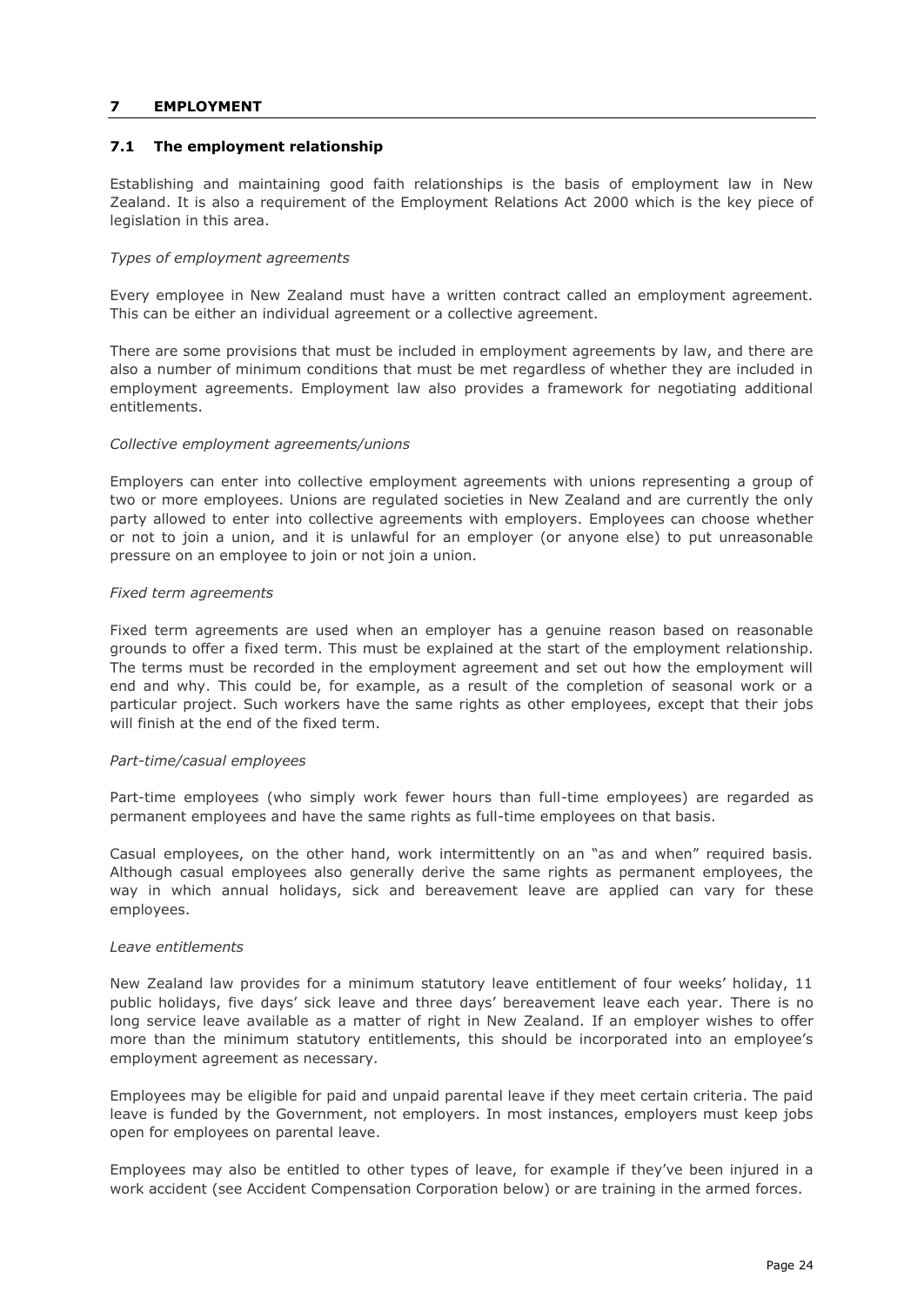## **7 EMPLOYMENT**

## <span id="page-23-0"></span>**7.1 The employment relationship**

Establishing and maintaining good faith relationships is the basis of employment law in New Zealand. It is also a requirement of the Employment Relations Act 2000 which is the key piece of legislation in this area.

## *Types of employment agreements*

Every employee in New Zealand must have a written contract called an employment agreement. This can be either an individual agreement or a collective agreement.

There are some provisions that must be included in employment agreements by law, and there are also a number of minimum conditions that must be met regardless of whether they are included in employment agreements. Employment law also provides a framework for negotiating additional entitlements.

## *Collective employment agreements/unions*

Employers can enter into collective employment agreements with unions representing a group of two or more employees. Unions are regulated societies in New Zealand and are currently the only party allowed to enter into collective agreements with employers. Employees can choose whether or not to join a union, and it is unlawful for an employer (or anyone else) to put unreasonable pressure on an employee to join or not join a union.

## *Fixed term agreements*

Fixed term agreements are used when an employer has a genuine reason based on reasonable grounds to offer a fixed term. This must be explained at the start of the employment relationship. The terms must be recorded in the employment agreement and set out how the employment will end and why. This could be, for example, as a result of the completion of seasonal work or a particular project. Such workers have the same rights as other employees, except that their jobs will finish at the end of the fixed term.

## *Part-time/casual employees*

Part-time employees (who simply work fewer hours than full-time employees) are regarded as permanent employees and have the same rights as full-time employees on that basis.

Casual employees, on the other hand, work intermittently on an "as and when" required basis. Although casual employees also generally derive the same rights as permanent employees, the way in which annual holidays, sick and bereavement leave are applied can vary for these employees.

## *Leave entitlements*

New Zealand law provides for a minimum statutory leave entitlement of four weeks' holiday, 11 public holidays, five days' sick leave and three days' bereavement leave each year. There is no long service leave available as a matter of right in New Zealand. If an employer wishes to offer more than the minimum statutory entitlements, this should be incorporated into an employee's employment agreement as necessary.

Employees may be eligible for paid and unpaid parental leave if they meet certain criteria. The paid leave is funded by the Government, not employers. In most instances, employers must keep jobs open for employees on parental leave.

Employees may also be entitled to other types of leave, for example if they've been injured in a work accident (see Accident Compensation Corporation below) or are training in the armed forces.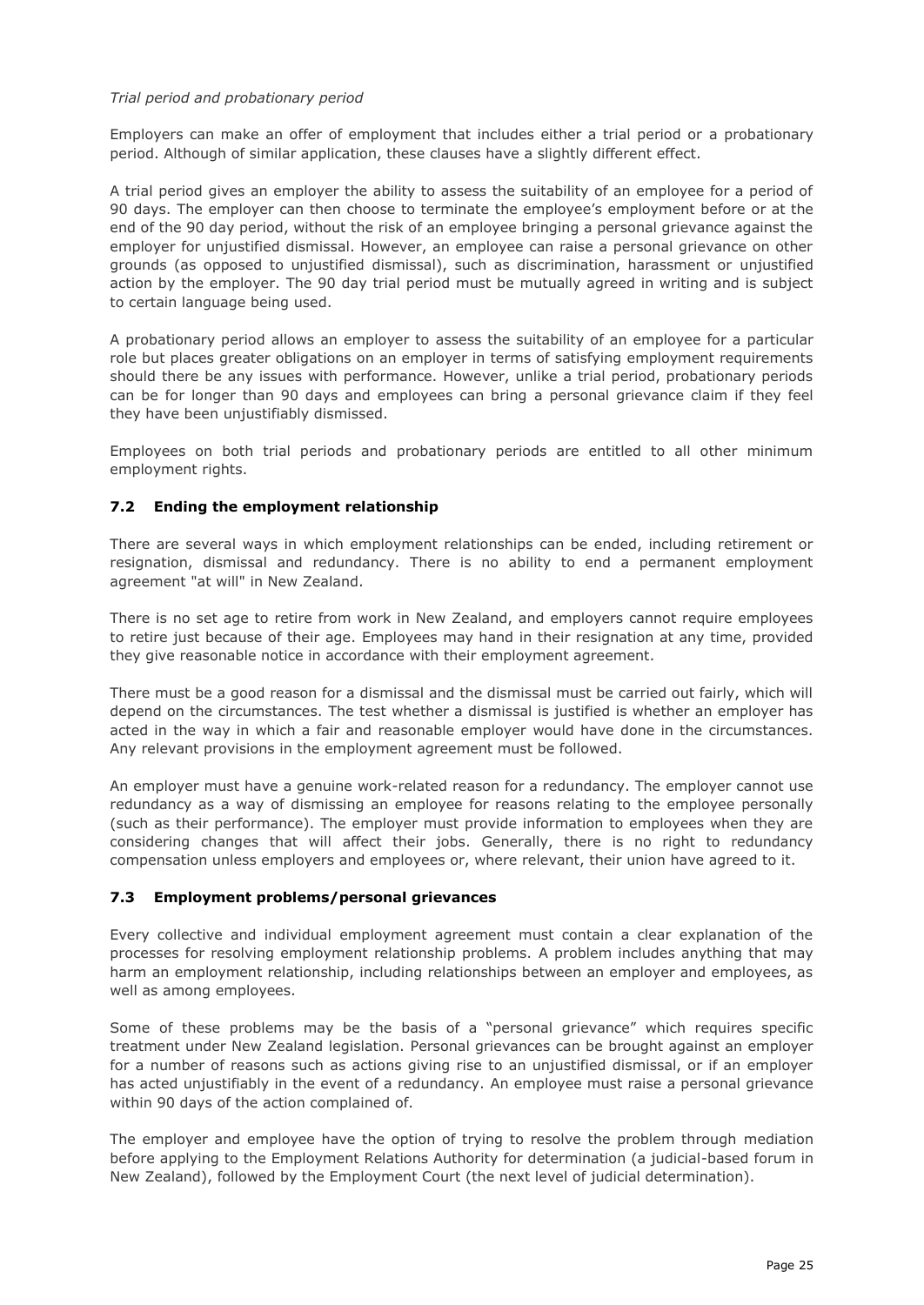## *Trial period and probationary period*

Employers can make an offer of employment that includes either a trial period or a probationary period. Although of similar application, these clauses have a slightly different effect.

A trial period gives an employer the ability to assess the suitability of an employee for a period of 90 days. The employer can then choose to terminate the employee's employment before or at the end of the 90 day period, without the risk of an employee bringing a personal grievance against the employer for unjustified dismissal. However, an employee can raise a personal grievance on other grounds (as opposed to unjustified dismissal), such as discrimination, harassment or unjustified action by the employer. The 90 day trial period must be mutually agreed in writing and is subject to certain language being used.

A probationary period allows an employer to assess the suitability of an employee for a particular role but places greater obligations on an employer in terms of satisfying employment requirements should there be any issues with performance. However, unlike a trial period, probationary periods can be for longer than 90 days and employees can bring a personal grievance claim if they feel they have been unjustifiably dismissed.

Employees on both trial periods and probationary periods are entitled to all other minimum employment rights.

# <span id="page-24-0"></span>**7.2 Ending the employment relationship**

There are several ways in which employment relationships can be ended, including retirement or resignation, dismissal and redundancy. There is no ability to end a permanent employment agreement "at will" in New Zealand.

There is no set age to retire from work in New Zealand, and employers cannot require employees to retire just because of their age. Employees may hand in their resignation at any time, provided they give reasonable notice in accordance with their employment agreement.

There must be a good reason for a dismissal and the dismissal must be carried out fairly, which will depend on the circumstances. The test whether a dismissal is justified is whether an employer has acted in the way in which a fair and reasonable employer would have done in the circumstances. Any relevant provisions in the employment agreement must be followed.

An employer must have a genuine work-related reason for a redundancy. The employer cannot use redundancy as a way of dismissing an employee for reasons relating to the employee personally (such as their performance). The employer must provide information to employees when they are considering changes that will affect their jobs. Generally, there is no right to redundancy compensation unless employers and employees or, where relevant, their union have agreed to it.

# <span id="page-24-1"></span>**7.3 Employment problems/personal grievances**

Every collective and individual employment agreement must contain a clear explanation of the processes for resolving employment relationship problems. A problem includes anything that may harm an employment relationship, including relationships between an employer and employees, as well as among employees.

Some of these problems may be the basis of a "personal grievance" which requires specific treatment under New Zealand legislation. Personal grievances can be brought against an employer for a number of reasons such as actions giving rise to an unjustified dismissal, or if an employer has acted unjustifiably in the event of a redundancy. An employee must raise a personal grievance within 90 days of the action complained of.

The employer and employee have the option of trying to resolve the problem through mediation before applying to the Employment Relations Authority for determination (a judicial-based forum in New Zealand), followed by the Employment Court (the next level of judicial determination).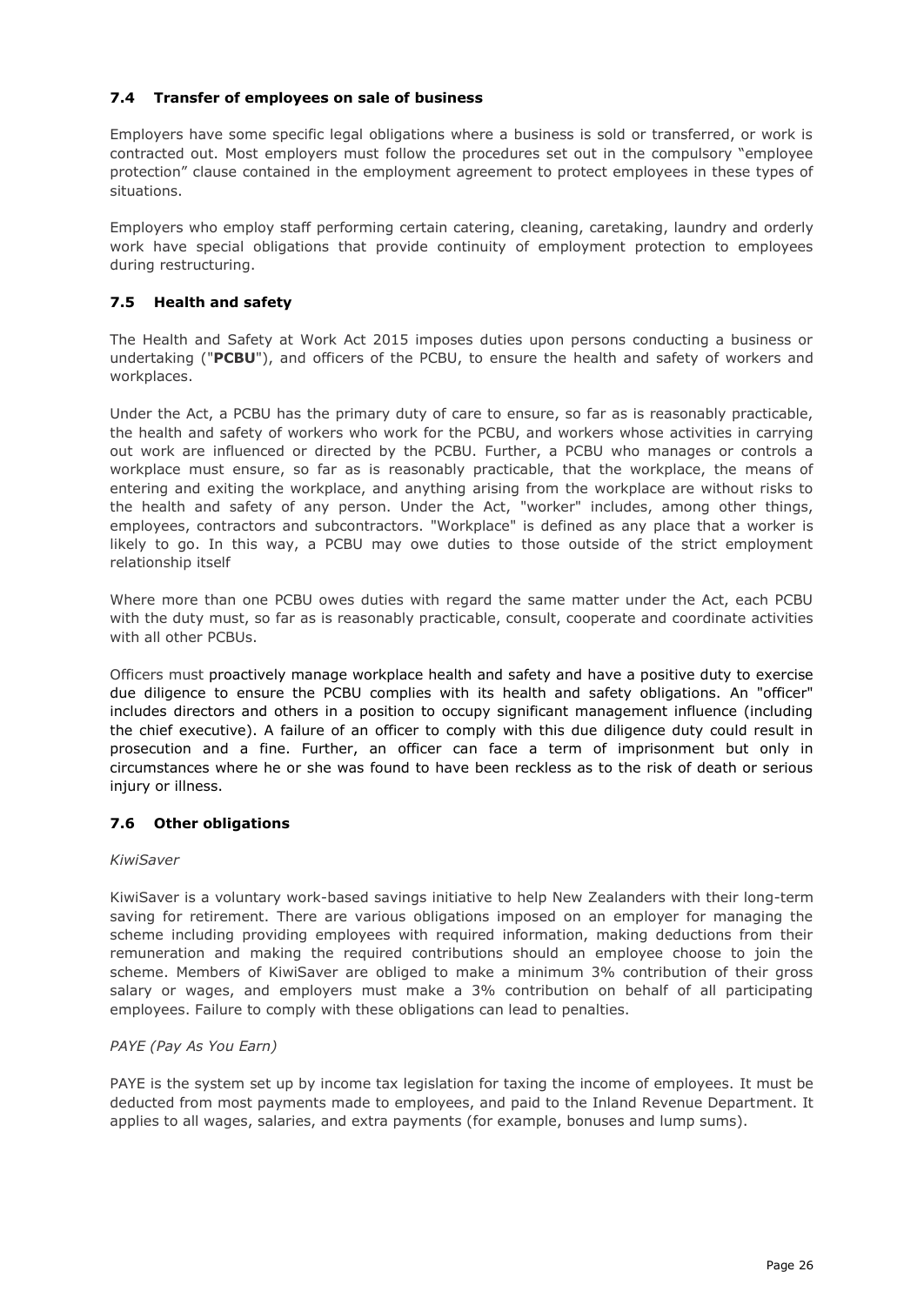# <span id="page-25-0"></span>**7.4 Transfer of employees on sale of business**

Employers have some specific legal obligations where a business is sold or transferred, or work is contracted out. Most employers must follow the procedures set out in the compulsory "employee protection" clause contained in the employment agreement to protect employees in these types of situations.

Employers who employ staff performing certain catering, cleaning, caretaking, laundry and orderly work have special obligations that provide continuity of employment protection to employees during restructuring.

# <span id="page-25-1"></span>**7.5 Health and safety**

The Health and Safety at Work Act 2015 imposes duties upon persons conducting a business or undertaking ("**PCBU**"), and officers of the PCBU, to ensure the health and safety of workers and workplaces.

Under the Act, a PCBU has the primary duty of care to ensure, so far as is reasonably practicable, the health and safety of workers who work for the PCBU, and workers whose activities in carrying out work are influenced or directed by the PCBU. Further, a PCBU who manages or controls a workplace must ensure, so far as is reasonably practicable, that the workplace, the means of entering and exiting the workplace, and anything arising from the workplace are without risks to the health and safety of any person. Under the Act, "worker" includes, among other things, employees, contractors and subcontractors. "Workplace" is defined as any place that a worker is likely to go. In this way, a PCBU may owe duties to those outside of the strict employment relationship itself

Where more than one PCBU owes duties with regard the same matter under the Act, each PCBU with the duty must, so far as is reasonably practicable, consult, cooperate and coordinate activities with all other PCBUs.

Officers must proactively manage workplace health and safety and have a positive duty to exercise due diligence to ensure the PCBU complies with its health and safety obligations. An "officer" includes directors and others in a position to occupy significant management influence (including the chief executive). A failure of an officer to comply with this due diligence duty could result in prosecution and a fine. Further, an officer can face a term of imprisonment but only in circumstances where he or she was found to have been reckless as to the risk of death or serious injury or illness.

# <span id="page-25-2"></span>**7.6 Other obligations**

# *KiwiSaver*

KiwiSaver is a voluntary work-based savings initiative to help New Zealanders with their long-term saving for retirement. There are various obligations imposed on an employer for managing the scheme including providing employees with required information, making deductions from their remuneration and making the required contributions should an employee choose to join the scheme. Members of KiwiSaver are obliged to make a minimum 3% contribution of their gross salary or wages, and employers must make a 3% contribution on behalf of all participating employees. Failure to comply with these obligations can lead to penalties.

# *PAYE (Pay As You Earn)*

PAYE is the system set up by income tax legislation for taxing the income of employees. It must be deducted from most payments made to employees, and paid to the Inland Revenue Department. It applies to all wages, salaries, and extra payments (for example, bonuses and lump sums).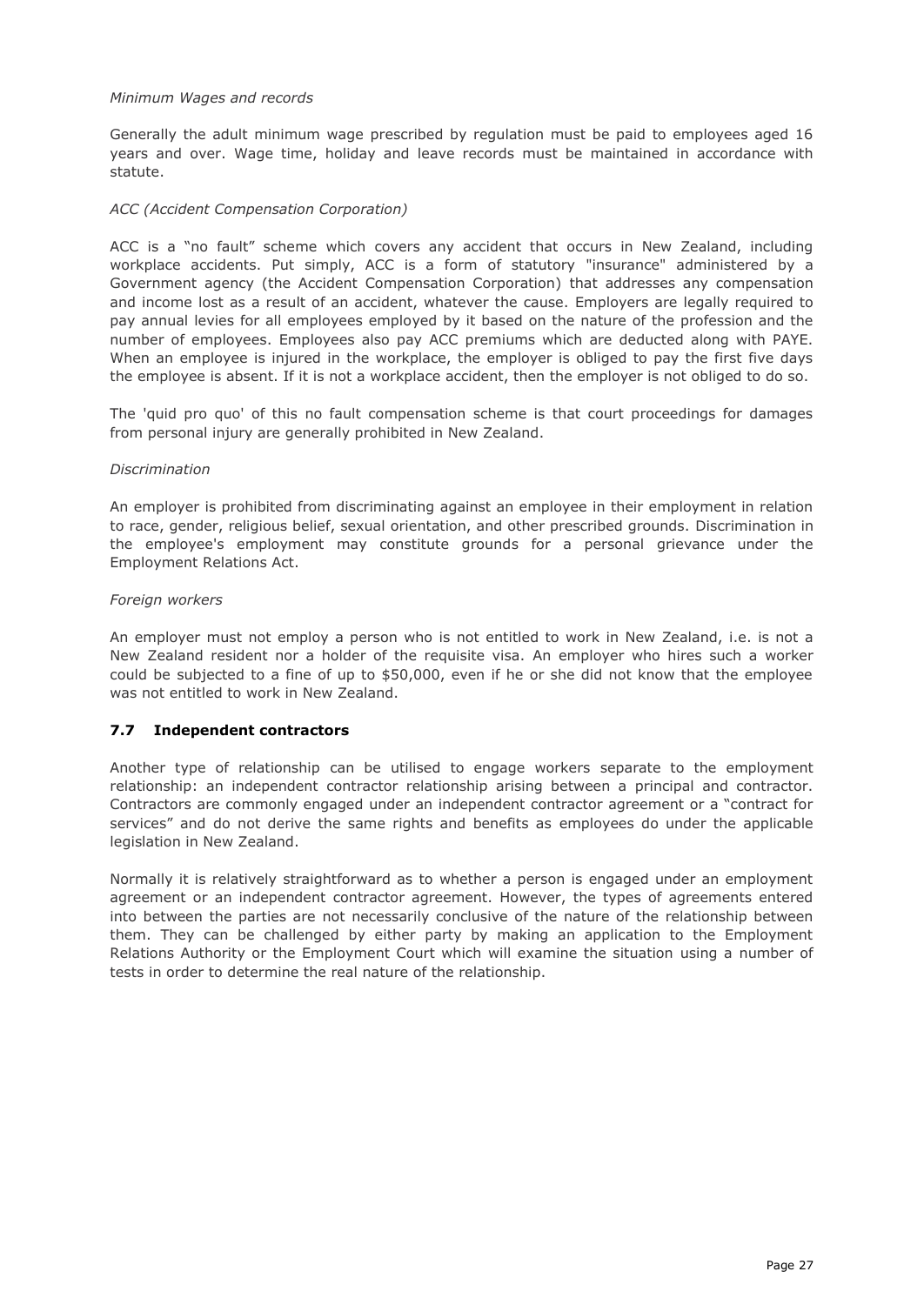## *Minimum Wages and records*

Generally the adult minimum wage prescribed by regulation must be paid to employees aged 16 years and over. Wage time, holiday and leave records must be maintained in accordance with statute.

#### *ACC (Accident Compensation Corporation)*

ACC is a "no fault" scheme which covers any accident that occurs in New Zealand, including workplace accidents. Put simply, ACC is a form of statutory "insurance" administered by a Government agency (the Accident Compensation Corporation) that addresses any compensation and income lost as a result of an accident, whatever the cause. Employers are legally required to pay annual levies for all employees employed by it based on the nature of the profession and the number of employees. Employees also pay ACC premiums which are deducted along with PAYE. When an employee is injured in the workplace, the employer is obliged to pay the first five days the employee is absent. If it is not a workplace accident, then the employer is not obliged to do so.

The 'quid pro quo' of this no fault compensation scheme is that court proceedings for damages from personal injury are generally prohibited in New Zealand.

#### *Discrimination*

An employer is prohibited from discriminating against an employee in their employment in relation to race, gender, religious belief, sexual orientation, and other prescribed grounds. Discrimination in the employee's employment may constitute grounds for a personal grievance under the Employment Relations Act.

#### *Foreign workers*

An employer must not employ a person who is not entitled to work in New Zealand, i.e. is not a New Zealand resident nor a holder of the requisite visa. An employer who hires such a worker could be subjected to a fine of up to \$50,000, even if he or she did not know that the employee was not entitled to work in New Zealand.

## <span id="page-26-0"></span>**7.7 Independent contractors**

Another type of relationship can be utilised to engage workers separate to the employment relationship: an independent contractor relationship arising between a principal and contractor. Contractors are commonly engaged under an independent contractor agreement or a "contract for services" and do not derive the same rights and benefits as employees do under the applicable legislation in New Zealand.

<span id="page-26-1"></span>Normally it is relatively straightforward as to whether a person is engaged under an employment agreement or an independent contractor agreement. However, the types of agreements entered into between the parties are not necessarily conclusive of the nature of the relationship between them. They can be challenged by either party by making an application to the Employment Relations Authority or the Employment Court which will examine the situation using a number of tests in order to determine the real nature of the relationship.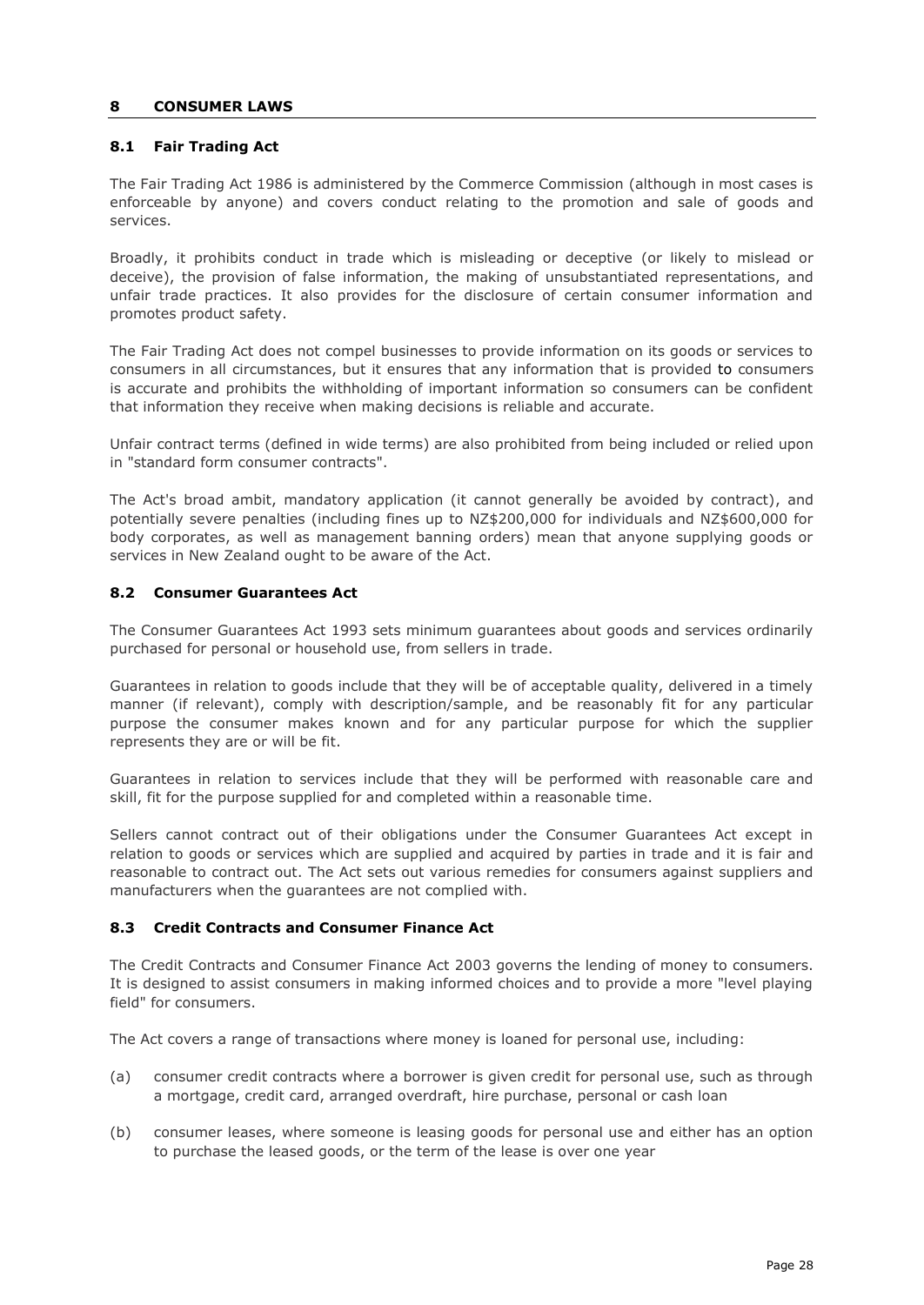## **8 CONSUMER LAWS**

## <span id="page-27-0"></span>**8.1 Fair Trading Act**

The Fair Trading Act 1986 is administered by the Commerce Commission (although in most cases is enforceable by anyone) and covers conduct relating to the promotion and sale of goods and services.

Broadly, it prohibits conduct in trade which is misleading or deceptive (or likely to mislead or deceive), the provision of false information, the making of unsubstantiated representations, and unfair trade practices. It also provides for the disclosure of certain consumer information and promotes product safety.

The Fair Trading Act does not compel businesses to provide information on its goods or services to consumers in all circumstances, but it ensures that any information that is provided to consumers is accurate and prohibits the withholding of important information so consumers can be confident that information they receive when making decisions is reliable and accurate.

Unfair contract terms (defined in wide terms) are also prohibited from being included or relied upon in "standard form consumer contracts".

The Act's broad ambit, mandatory application (it cannot generally be avoided by contract), and potentially severe penalties (including fines up to NZ\$200,000 for individuals and NZ\$600,000 for body corporates, as well as management banning orders) mean that anyone supplying goods or services in New Zealand ought to be aware of the Act.

## <span id="page-27-1"></span>**8.2 Consumer Guarantees Act**

The Consumer Guarantees Act 1993 sets minimum guarantees about goods and services ordinarily purchased for personal or household use, from sellers in trade.

Guarantees in relation to goods include that they will be of acceptable quality, delivered in a timely manner (if relevant), comply with description/sample, and be reasonably fit for any particular purpose the consumer makes known and for any particular purpose for which the supplier represents they are or will be fit.

Guarantees in relation to services include that they will be performed with reasonable care and skill, fit for the purpose supplied for and completed within a reasonable time.

Sellers cannot contract out of their obligations under the Consumer Guarantees Act except in relation to goods or services which are supplied and acquired by parties in trade and it is fair and reasonable to contract out. The Act sets out various remedies for consumers against suppliers and manufacturers when the guarantees are not complied with.

## <span id="page-27-2"></span>**8.3 Credit Contracts and Consumer Finance Act**

The Credit Contracts and Consumer Finance Act 2003 governs the lending of money to consumers. It is designed to assist consumers in making informed choices and to provide a more "level playing field" for consumers.

The Act covers a range of transactions where money is loaned for personal use, including:

- (a) consumer credit contracts where a borrower is given credit for personal use, such as through a mortgage, credit card, arranged overdraft, hire purchase, personal or cash loan
- (b) consumer leases, where someone is leasing goods for personal use and either has an option to purchase the leased goods, or the term of the lease is over one year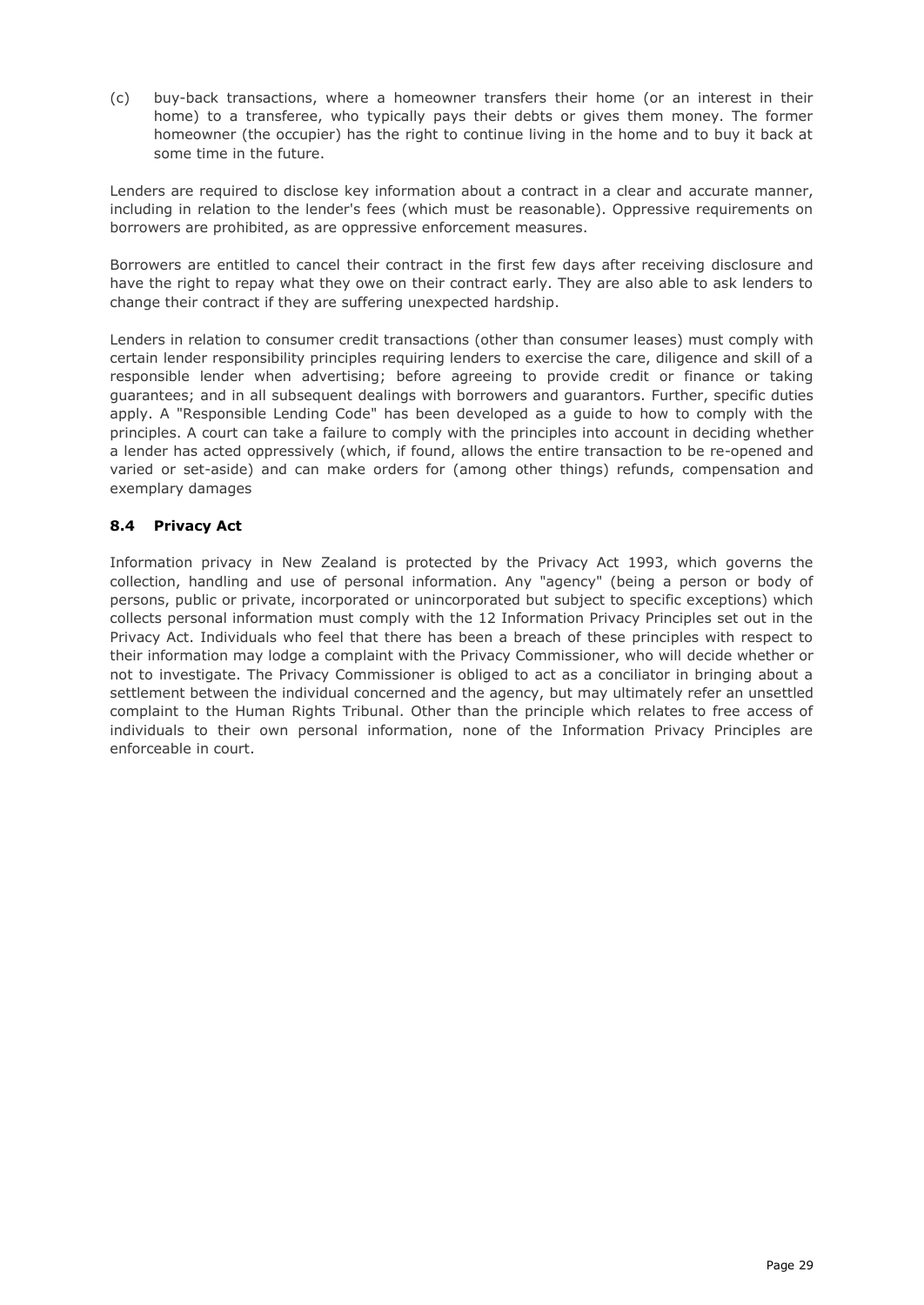(c) buy-back transactions, where a homeowner transfers their home (or an interest in their home) to a transferee, who typically pays their debts or gives them money. The former homeowner (the occupier) has the right to continue living in the home and to buy it back at some time in the future.

Lenders are required to disclose key information about a contract in a clear and accurate manner, including in relation to the lender's fees (which must be reasonable). Oppressive requirements on borrowers are prohibited, as are oppressive enforcement measures.

Borrowers are entitled to cancel their contract in the first few days after receiving disclosure and have the right to repay what they owe on their contract early. They are also able to ask lenders to change their contract if they are suffering unexpected hardship.

Lenders in relation to consumer credit transactions (other than consumer leases) must comply with certain lender responsibility principles requiring lenders to exercise the care, diligence and skill of a responsible lender when advertising; before agreeing to provide credit or finance or taking guarantees; and in all subsequent dealings with borrowers and guarantors. Further, specific duties apply. A "Responsible Lending Code" has been developed as a guide to how to comply with the principles. A court can take a failure to comply with the principles into account in deciding whether a lender has acted oppressively (which, if found, allows the entire transaction to be re-opened and varied or set-aside) and can make orders for (among other things) refunds, compensation and exemplary damages

# <span id="page-28-0"></span>**8.4 Privacy Act**

<span id="page-28-1"></span>Information privacy in New Zealand is protected by the Privacy Act 1993, which governs the collection, handling and use of personal information. Any "agency" (being a person or body of persons, public or private, incorporated or unincorporated but subject to specific exceptions) which collects personal information must comply with the 12 Information Privacy Principles set out in the Privacy Act. Individuals who feel that there has been a breach of these principles with respect to their information may lodge a complaint with the Privacy Commissioner, who will decide whether or not to investigate. The Privacy Commissioner is obliged to act as a conciliator in bringing about a settlement between the individual concerned and the agency, but may ultimately refer an unsettled complaint to the Human Rights Tribunal. Other than the principle which relates to free access of individuals to their own personal information, none of the Information Privacy Principles are enforceable in court.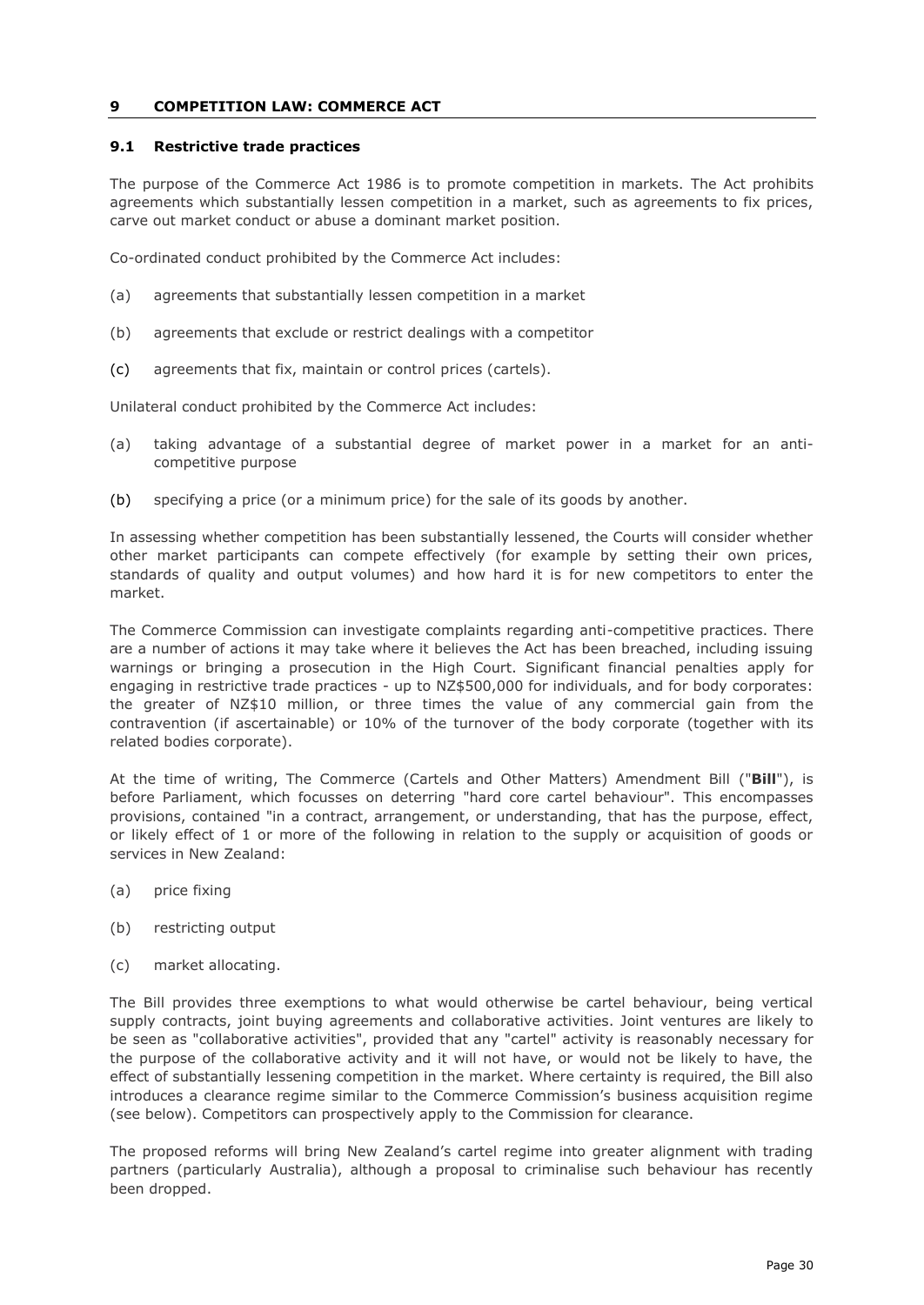## **9 COMPETITION LAW: COMMERCE ACT**

## <span id="page-29-0"></span>**9.1 Restrictive trade practices**

The purpose of the Commerce Act 1986 is to promote competition in markets. The Act prohibits agreements which substantially lessen competition in a market, such as agreements to fix prices, carve out market conduct or abuse a dominant market position.

Co-ordinated conduct prohibited by the Commerce Act includes:

- (a) agreements that substantially lessen competition in a market
- (b) agreements that exclude or restrict dealings with a competitor
- (c) agreements that fix, maintain or control prices (cartels).

Unilateral conduct prohibited by the Commerce Act includes:

- (a) taking advantage of a substantial degree of market power in a market for an anticompetitive purpose
- (b) specifying a price (or a minimum price) for the sale of its goods by another.

In assessing whether competition has been substantially lessened, the Courts will consider whether other market participants can compete effectively (for example by setting their own prices, standards of quality and output volumes) and how hard it is for new competitors to enter the market.

The Commerce Commission can investigate complaints regarding anti-competitive practices. There are a number of actions it may take where it believes the Act has been breached, including issuing warnings or bringing a prosecution in the High Court. Significant financial penalties apply for engaging in restrictive trade practices - up to NZ\$500,000 for individuals, and for body corporates: the greater of NZ\$10 million, or three times the value of any commercial gain from the contravention (if ascertainable) or 10% of the turnover of the body corporate (together with its related bodies corporate).

At the time of writing, The Commerce (Cartels and Other Matters) Amendment Bill ("**Bill**"), is before Parliament, which focusses on deterring "hard core cartel behaviour". This encompasses provisions, contained "in a contract, arrangement, or understanding, that has the purpose, effect, or likely effect of 1 or more of the following in relation to the supply or acquisition of goods or services in New Zealand:

- (a) price fixing
- (b) restricting output
- (c) market allocating.

The Bill provides three exemptions to what would otherwise be cartel behaviour, being vertical supply contracts, joint buying agreements and collaborative activities. Joint ventures are likely to be seen as "collaborative activities", provided that any "cartel" activity is reasonably necessary for the purpose of the collaborative activity and it will not have, or would not be likely to have, the effect of substantially lessening competition in the market. Where certainty is required, the Bill also introduces a clearance regime similar to the Commerce Commission's business acquisition regime (see below). Competitors can prospectively apply to the Commission for clearance.

The proposed reforms will bring New Zealand's cartel regime into greater alignment with trading partners (particularly Australia), although a proposal to criminalise such behaviour has recently been dropped.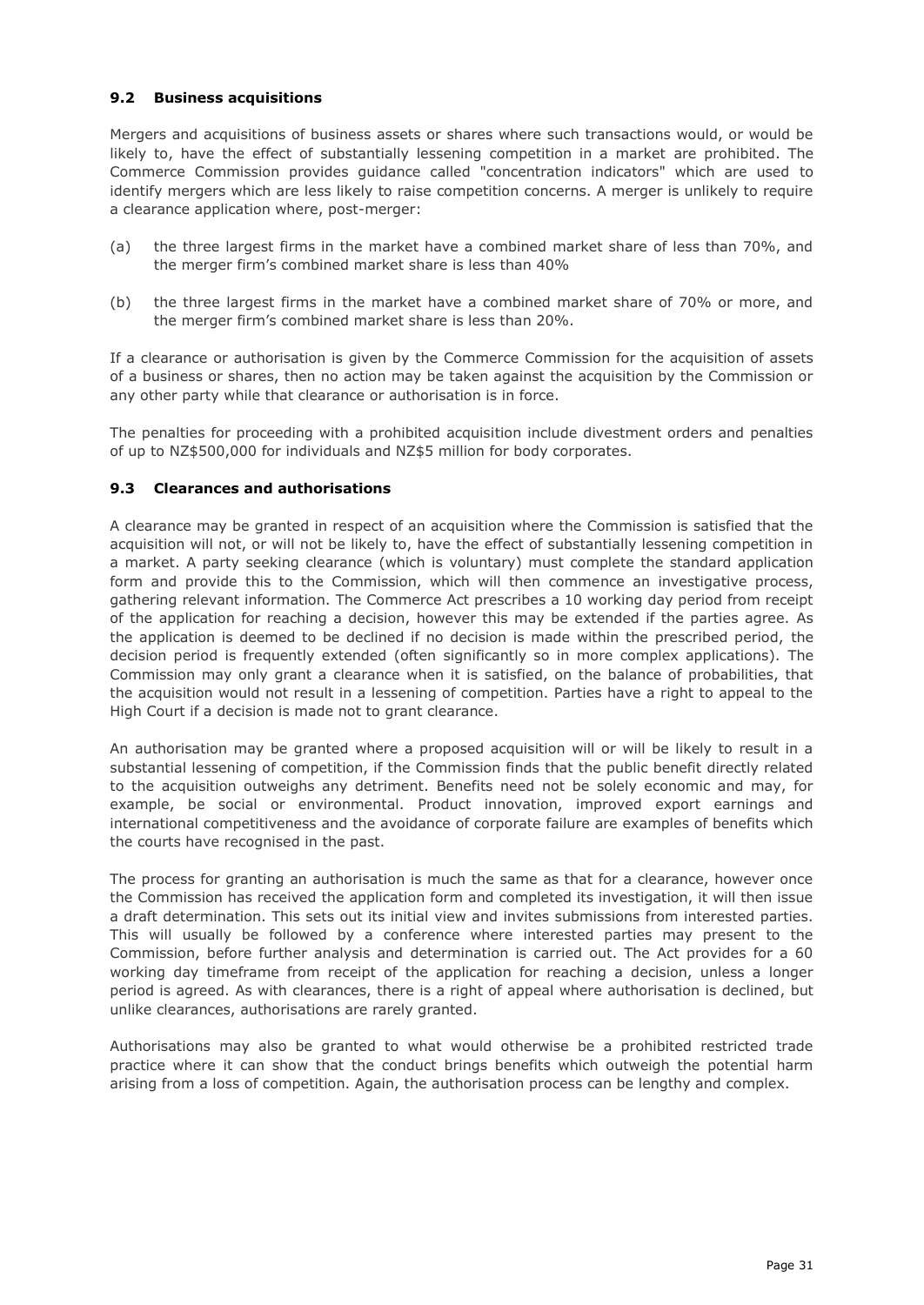## <span id="page-30-0"></span>**9.2 Business acquisitions**

Mergers and acquisitions of business assets or shares where such transactions would, or would be likely to, have the effect of substantially lessening competition in a market are prohibited. The Commerce Commission provides guidance called "concentration indicators" which are used to identify mergers which are less likely to raise competition concerns. A merger is unlikely to require a clearance application where, post-merger:

- (a) the three largest firms in the market have a combined market share of less than 70%, and the merger firm's combined market share is less than 40%
- (b) the three largest firms in the market have a combined market share of 70% or more, and the merger firm's combined market share is less than 20%.

If a clearance or authorisation is given by the Commerce Commission for the acquisition of assets of a business or shares, then no action may be taken against the acquisition by the Commission or any other party while that clearance or authorisation is in force.

The penalties for proceeding with a prohibited acquisition include divestment orders and penalties of up to NZ\$500,000 for individuals and NZ\$5 million for body corporates.

## <span id="page-30-1"></span>**9.3 Clearances and authorisations**

A clearance may be granted in respect of an acquisition where the Commission is satisfied that the acquisition will not, or will not be likely to, have the effect of substantially lessening competition in a market. A party seeking clearance (which is voluntary) must complete the standard application form and provide this to the Commission, which will then commence an investigative process, gathering relevant information. The Commerce Act prescribes a 10 working day period from receipt of the application for reaching a decision, however this may be extended if the parties agree. As the application is deemed to be declined if no decision is made within the prescribed period, the decision period is frequently extended (often significantly so in more complex applications). The Commission may only grant a clearance when it is satisfied, on the balance of probabilities, that the acquisition would not result in a lessening of competition. Parties have a right to appeal to the High Court if a decision is made not to grant clearance.

An authorisation may be granted where a proposed acquisition will or will be likely to result in a substantial lessening of competition, if the Commission finds that the public benefit directly related to the acquisition outweighs any detriment. Benefits need not be solely economic and may, for example, be social or environmental. Product innovation, improved export earnings and international competitiveness and the avoidance of corporate failure are examples of benefits which the courts have recognised in the past.

The process for granting an authorisation is much the same as that for a clearance, however once the Commission has received the application form and completed its investigation, it will then issue a draft determination. This sets out its initial view and invites submissions from interested parties. This will usually be followed by a conference where interested parties may present to the Commission, before further analysis and determination is carried out. The Act provides for a 60 working day timeframe from receipt of the application for reaching a decision, unless a longer period is agreed. As with clearances, there is a right of appeal where authorisation is declined, but unlike clearances, authorisations are rarely granted.

<span id="page-30-2"></span>Authorisations may also be granted to what would otherwise be a prohibited restricted trade practice where it can show that the conduct brings benefits which outweigh the potential harm arising from a loss of competition. Again, the authorisation process can be lengthy and complex.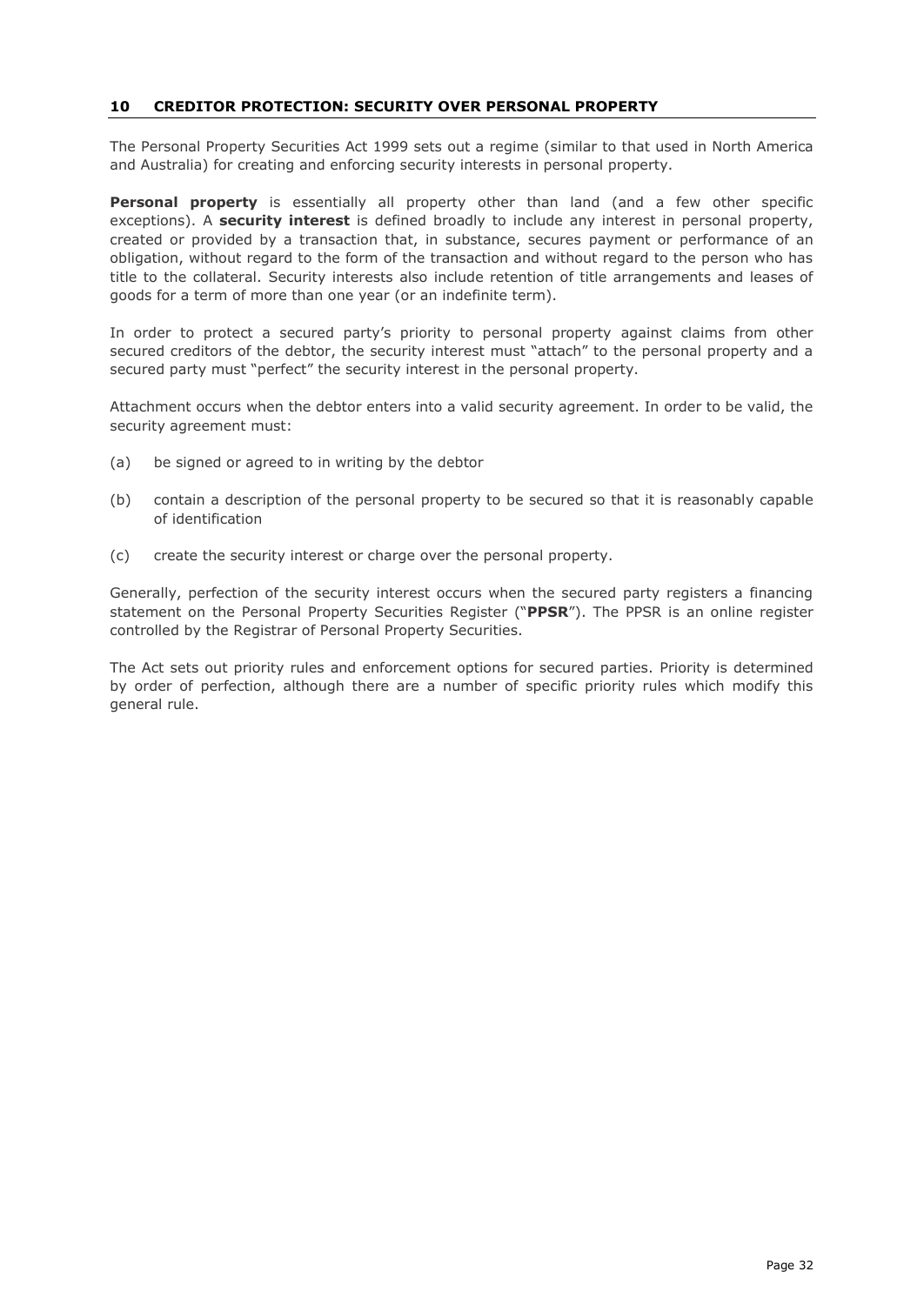## **10 CREDITOR PROTECTION: SECURITY OVER PERSONAL PROPERTY**

The Personal Property Securities Act 1999 sets out a regime (similar to that used in North America and Australia) for creating and enforcing security interests in personal property.

**Personal property** is essentially all property other than land (and a few other specific exceptions). A **security interest** is defined broadly to include any interest in personal property, created or provided by a transaction that, in substance, secures payment or performance of an obligation, without regard to the form of the transaction and without regard to the person who has title to the collateral. Security interests also include retention of title arrangements and leases of goods for a term of more than one year (or an indefinite term).

In order to protect a secured party's priority to personal property against claims from other secured creditors of the debtor, the security interest must "attach" to the personal property and a secured party must "perfect" the security interest in the personal property.

Attachment occurs when the debtor enters into a valid security agreement. In order to be valid, the security agreement must:

- (a) be signed or agreed to in writing by the debtor
- (b) contain a description of the personal property to be secured so that it is reasonably capable of identification
- (c) create the security interest or charge over the personal property.

Generally, perfection of the security interest occurs when the secured party registers a financing statement on the Personal Property Securities Register ("**PPSR**"). The PPSR is an online register controlled by the Registrar of Personal Property Securities.

<span id="page-31-0"></span>The Act sets out priority rules and enforcement options for secured parties. Priority is determined by order of perfection, although there are a number of specific priority rules which modify this general rule.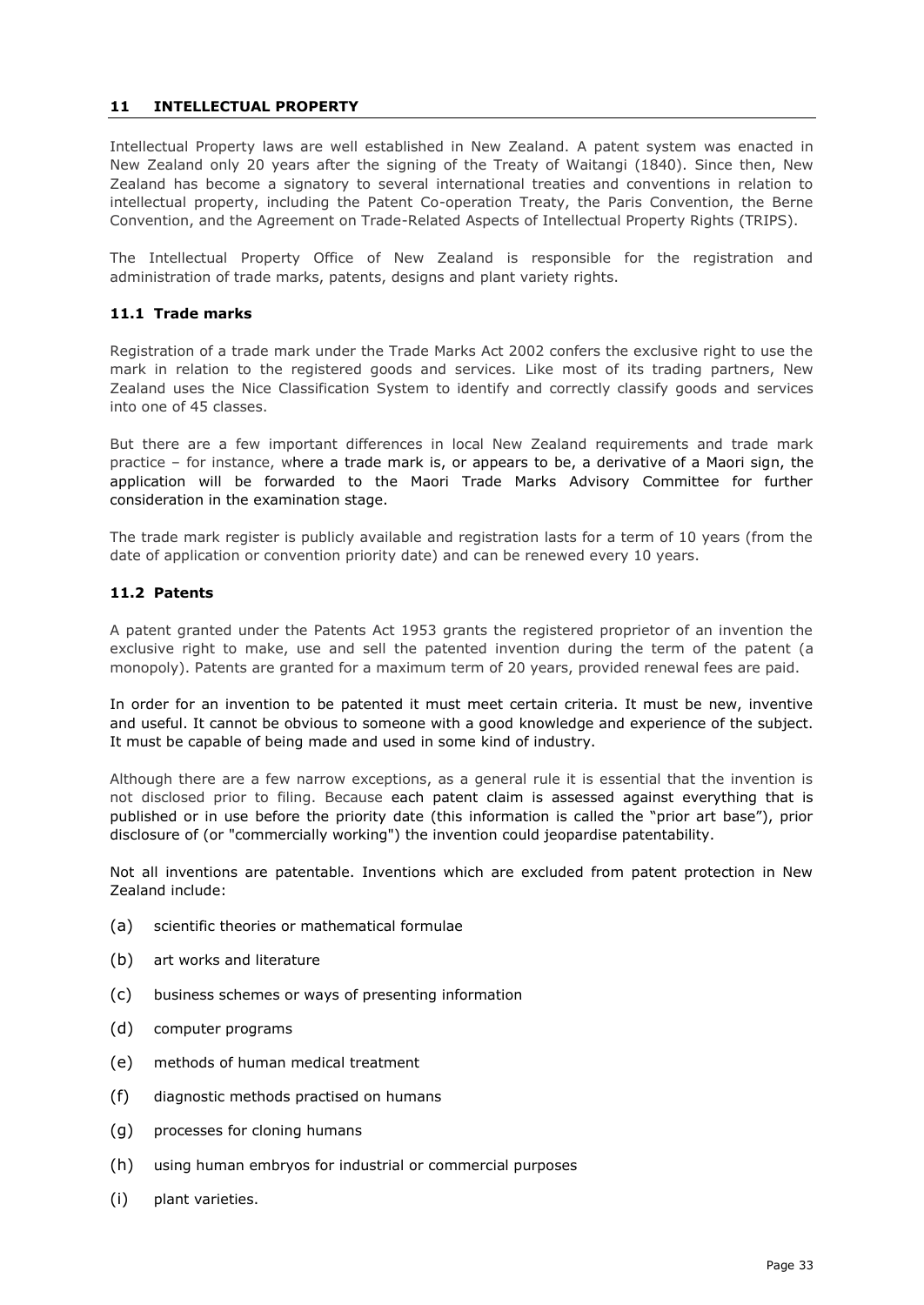# **11 INTELLECTUAL PROPERTY**

Intellectual Property laws are well established in New Zealand. A patent system was enacted in New Zealand only 20 years after the signing of the Treaty of Waitangi (1840). Since then, New Zealand has become a signatory to several international treaties and conventions in relation to intellectual property, including the Patent Co-operation Treaty, the Paris Convention, the Berne Convention, and the Agreement on Trade-Related Aspects of Intellectual Property Rights (TRIPS).

The Intellectual Property Office of New Zealand is responsible for the registration and administration of trade marks, patents, designs and plant variety rights.

## <span id="page-32-0"></span>**11.1 Trade marks**

Registration of a trade mark under the Trade Marks Act 2002 confers the exclusive right to use the mark in relation to the registered goods and services. Like most of its trading partners, New Zealand uses the Nice Classification System to identify and correctly classify goods and services into one of 45 classes.

But there are a few important differences in local New Zealand requirements and trade mark practice – for instance, where a trade mark is, or appears to be, a derivative of a Maori sign, the application will be forwarded to the Maori Trade Marks Advisory Committee for further consideration in the examination stage.

The trade mark register is publicly available and registration lasts for a term of 10 years (from the date of application or convention priority date) and can be renewed every 10 years.

## <span id="page-32-1"></span>**11.2 Patents**

A patent granted under the Patents Act 1953 grants the registered proprietor of an invention the exclusive right to make, use and sell the patented invention during the term of the patent (a monopoly). Patents are granted for a maximum term of 20 years, provided renewal fees are paid.

In order for an invention to be patented it must meet certain criteria. It must be new, inventive and useful. It cannot be obvious to someone with a good knowledge and experience of the subject. It must be capable of being made and used in some kind of industry.

Although there are a few narrow exceptions, as a general rule it is essential that the invention is not disclosed prior to filing. Because each patent claim is assessed against everything that is published or in use before the priority date (this information is called the "prior art base"), prior disclosure of (or "commercially working") the invention could jeopardise patentability.

Not all inventions are patentable. Inventions which are excluded from patent protection in New Zealand include:

- (a) scientific theories or mathematical formulae
- (b) art works and literature
- (c) business schemes or ways of presenting information
- (d) computer programs
- (e) methods of human medical treatment
- (f) diagnostic methods practised on humans
- (g) processes for cloning humans
- (h) using human embryos for industrial or commercial purposes
- (i) plant varieties.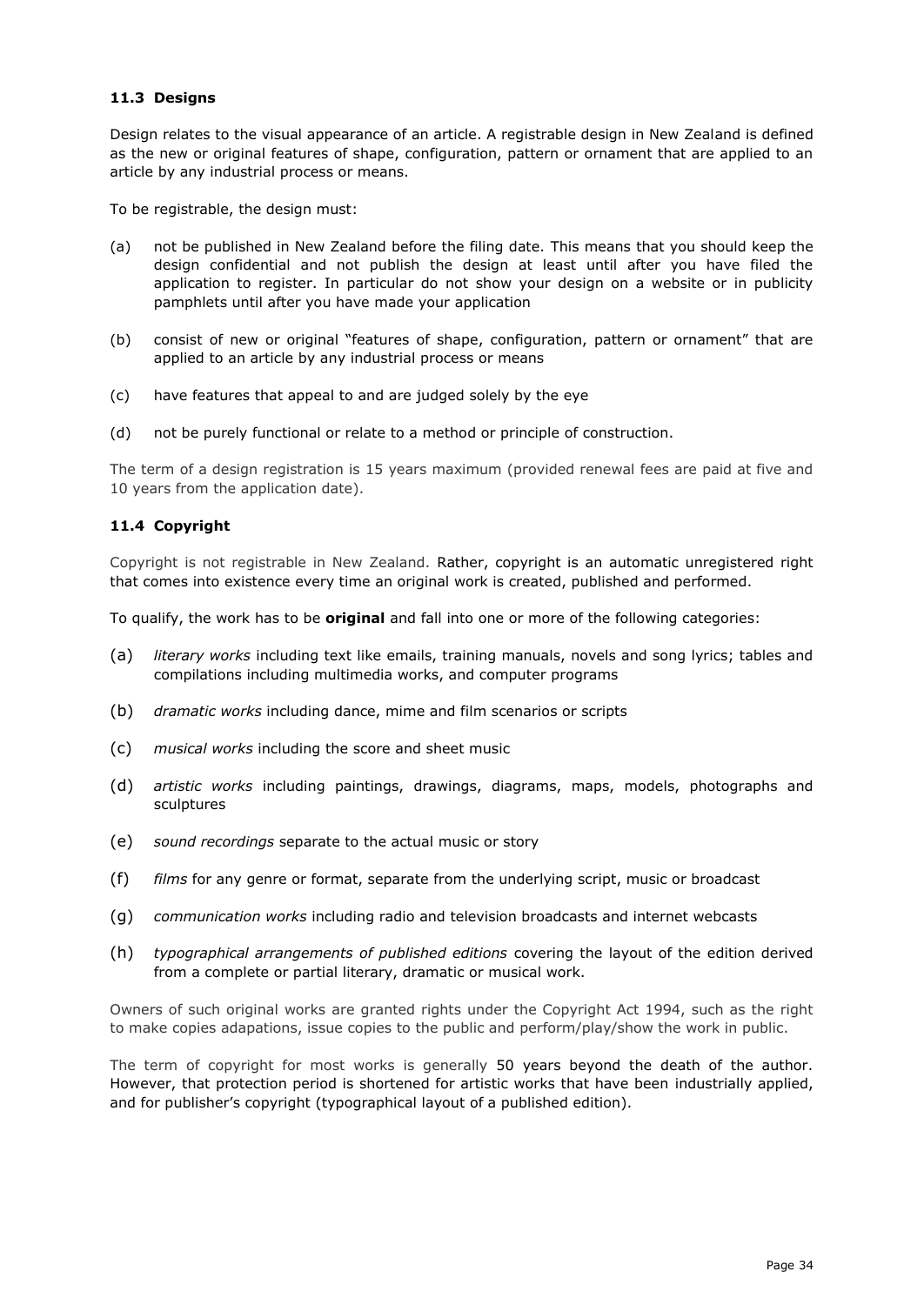# <span id="page-33-0"></span>**11.3 Designs**

Design relates to the visual appearance of an article. A registrable design in New Zealand is defined as the new or original features of shape, configuration, pattern or ornament that are applied to an article by any industrial process or means.

To be registrable, the design must:

- (a) not be published in New Zealand before the filing date. This means that you should keep the design confidential and not publish the design at least until after you have filed the application to register. In particular do not show your design on a website or in publicity pamphlets until after you have made your application
- (b) consist of new or original "features of shape, configuration, pattern or ornament" that are applied to an article by any industrial process or means
- (c) have features that appeal to and are judged solely by the eye
- (d) not be purely functional or relate to a method or principle of construction.

The term of a design registration is 15 years maximum (provided renewal fees are paid at five and 10 years from the application date).

## <span id="page-33-1"></span>**11.4 Copyright**

Copyright is not registrable in New Zealand. Rather, copyright is an automatic unregistered right that comes into existence every time an original work is created, published and performed.

To qualify, the work has to be **original** and fall into one or more of the following categories:

- (a) *literary works* including text like emails, training manuals, novels and song lyrics; tables and compilations including multimedia works, and computer programs
- (b) *dramatic works* including dance, mime and film scenarios or scripts
- (c) *musical works* including the score and sheet music
- (d) *artistic works* including paintings, drawings, diagrams, maps, models, photographs and sculptures
- (e) *sound recordings* separate to the actual music or story
- (f) *films* for any genre or format, separate from the underlying script, music or broadcast
- (g) *communication works* including radio and television broadcasts and internet webcasts
- (h) *typographical arrangements of published editions* covering the layout of the edition derived from a complete or partial literary, dramatic or musical work.

Owners of such original works are granted rights under the Copyright Act 1994, such as the right to make copies adapations, issue copies to the public and perform/play/show the work in public.

The term of copyright for most works is generally 50 years beyond the death of the author. However, that protection period is shortened for artistic works that have been industrially applied, and for publisher's copyright (typographical layout of a published edition).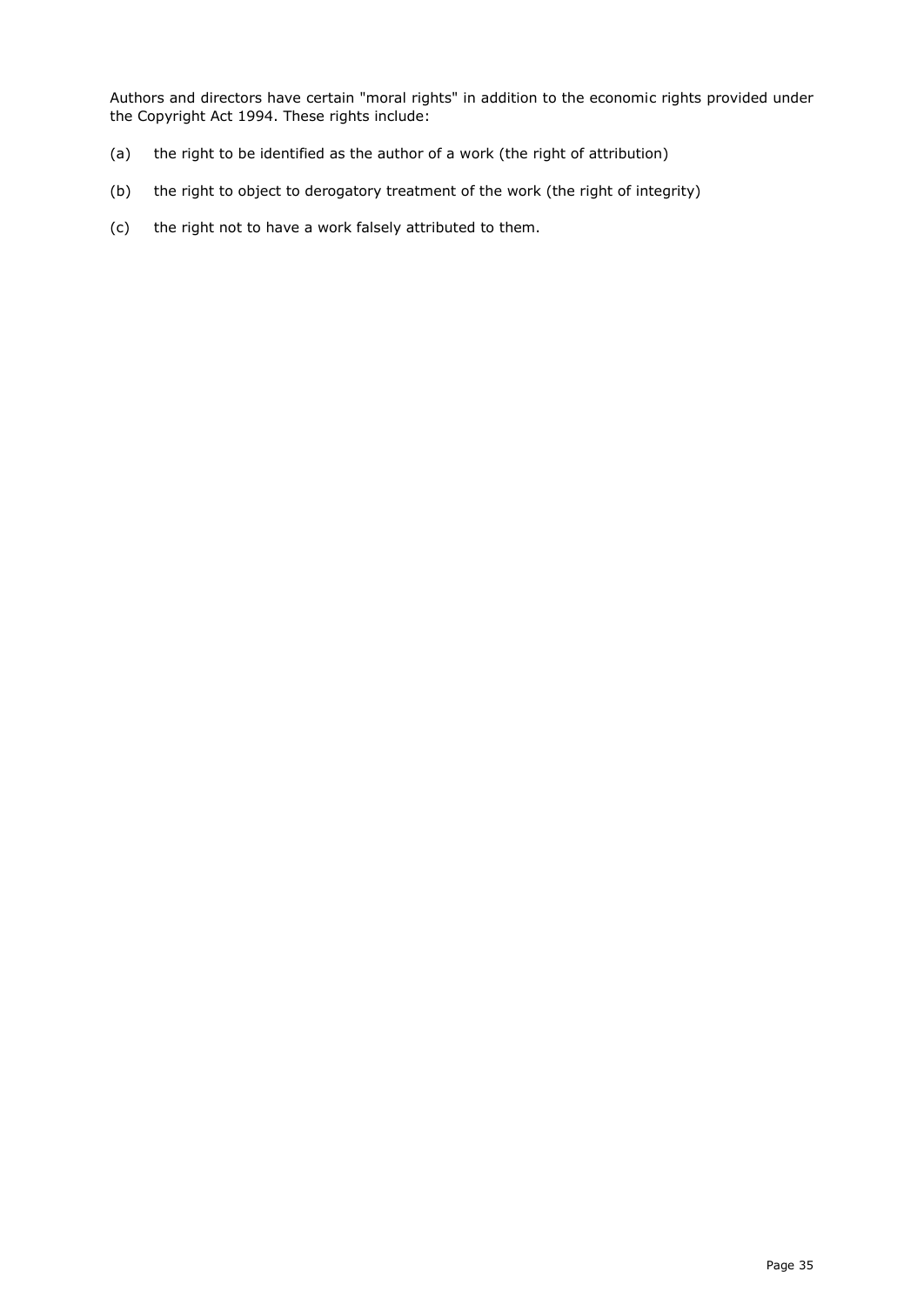Authors and directors have certain "moral rights" in addition to the economic rights provided under the Copyright Act 1994. These rights include:

- (a) the right to be identified as the author of a work (the right of attribution)
- (b) the right to object to derogatory treatment of the work (the right of integrity)
- <span id="page-34-0"></span>(c) the right not to have a work falsely attributed to them.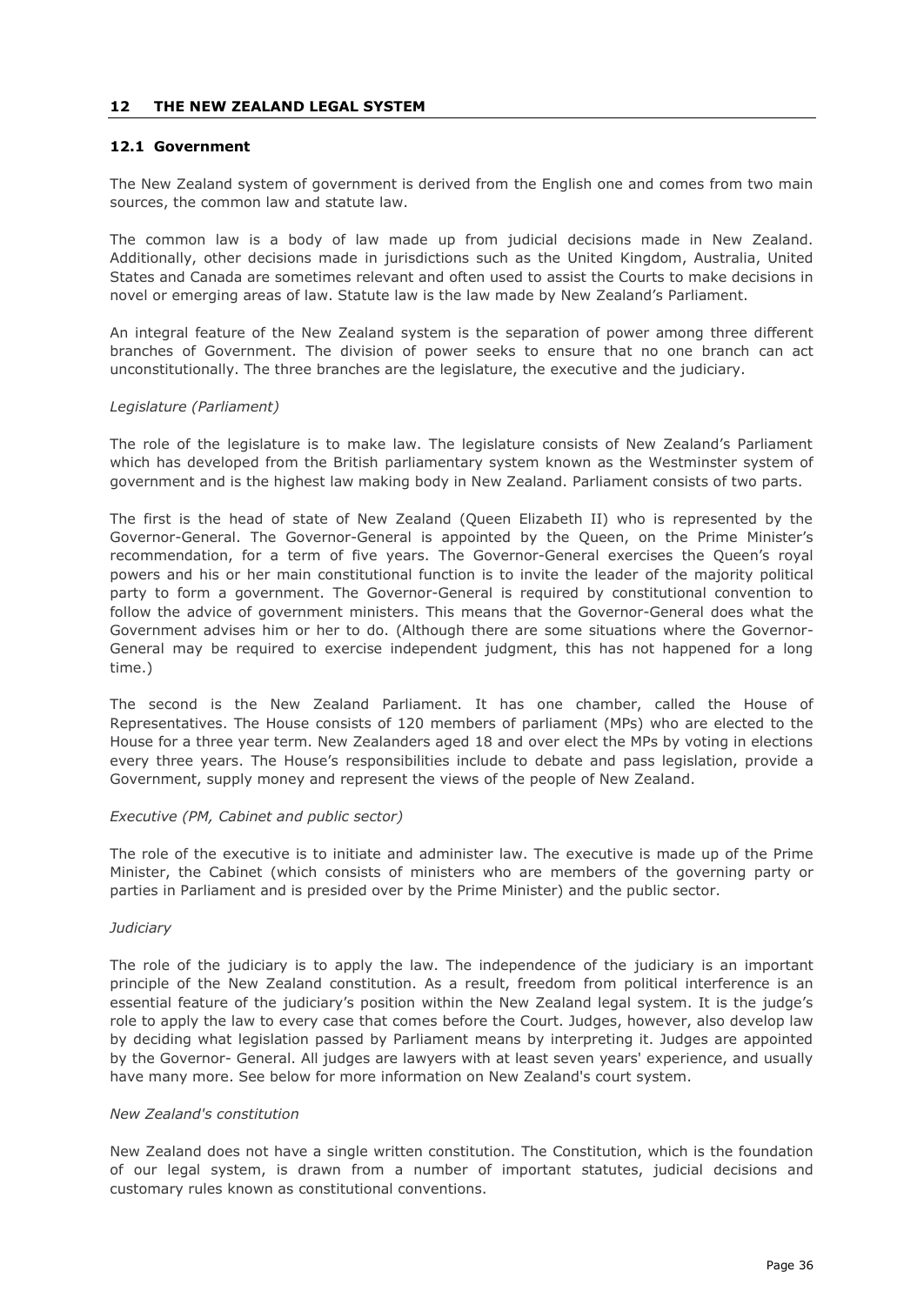#### **12 THE NEW ZEALAND LEGAL SYSTEM**

## <span id="page-35-0"></span>**12.1 Government**

The New Zealand system of government is derived from the English one and comes from two main sources, the common law and statute law.

The common law is a body of law made up from judicial decisions made in New Zealand. Additionally, other decisions made in jurisdictions such as the United Kingdom, Australia, United States and Canada are sometimes relevant and often used to assist the Courts to make decisions in novel or emerging areas of law. Statute law is the law made by New Zealand's Parliament.

An integral feature of the New Zealand system is the separation of power among three different branches of Government. The division of power seeks to ensure that no one branch can act unconstitutionally. The three branches are the legislature, the executive and the judiciary.

## *Legislature (Parliament)*

The role of the legislature is to make law. The legislature consists of New Zealand's Parliament which has developed from the British parliamentary system known as the Westminster system of government and is the highest law making body in New Zealand. Parliament consists of two parts.

The first is the head of state of New Zealand (Queen Elizabeth II) who is represented by the Governor-General. The Governor-General is appointed by the Queen, on the Prime Minister's recommendation, for a term of five years. The Governor-General exercises the Queen's royal powers and his or her main constitutional function is to invite the leader of the majority political party to form a government. The Governor-General is required by constitutional convention to follow the advice of government ministers. This means that the Governor-General does what the Government advises him or her to do. (Although there are some situations where the Governor-General may be required to exercise independent judgment, this has not happened for a long time.)

The second is the New Zealand Parliament. It has one chamber, called the House of Representatives. The House consists of 120 members of parliament (MPs) who are elected to the House for a three year term. New Zealanders aged 18 and over elect the MPs by voting in elections every three years. The House's responsibilities include to debate and pass legislation, provide a Government, supply money and represent the views of the people of New Zealand.

## *Executive (PM, Cabinet and public sector)*

The role of the executive is to initiate and administer law. The executive is made up of the Prime Minister, the Cabinet (which consists of ministers who are members of the governing party or parties in Parliament and is presided over by the Prime Minister) and the public sector.

## *Judiciary*

The role of the judiciary is to apply the law. The independence of the judiciary is an important principle of the New Zealand constitution. As a result, freedom from political interference is an essential feature of the judiciary's position within the New Zealand legal system. It is the judge's role to apply the law to every case that comes before the Court. Judges, however, also develop law by deciding what legislation passed by Parliament means by interpreting it. Judges are appointed by the Governor- General. All judges are lawyers with at least seven years' experience, and usually have many more. See below for more information on New Zealand's court system.

## *New Zealand's constitution*

New Zealand does not have a single written constitution. The Constitution, which is the foundation of our legal system, is drawn from a number of important statutes, judicial decisions and customary rules known as constitutional conventions.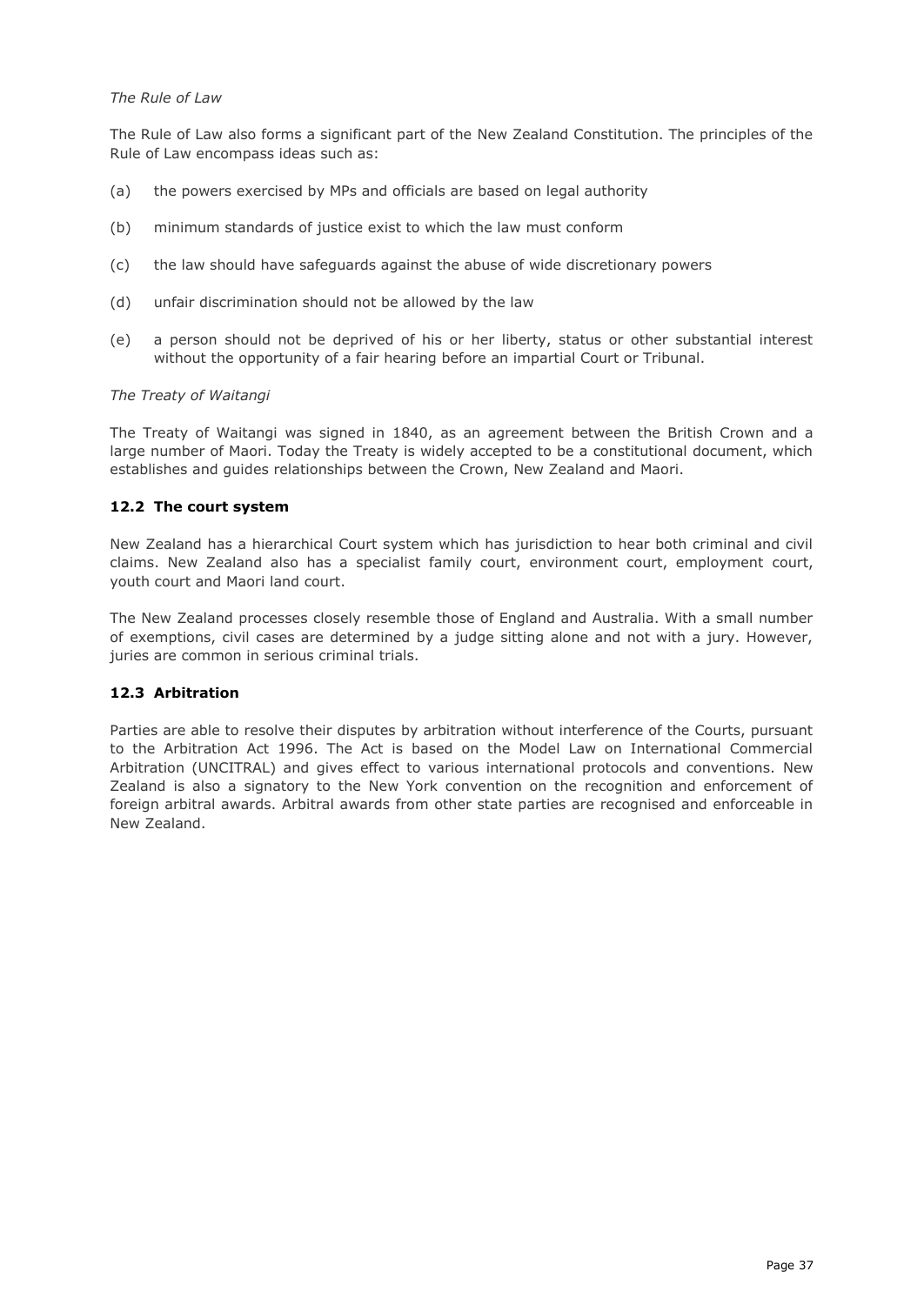## *The Rule of Law*

The Rule of Law also forms a significant part of the New Zealand Constitution. The principles of the Rule of Law encompass ideas such as:

- (a) the powers exercised by MPs and officials are based on legal authority
- (b) minimum standards of justice exist to which the law must conform
- (c) the law should have safeguards against the abuse of wide discretionary powers
- (d) unfair discrimination should not be allowed by the law
- (e) a person should not be deprived of his or her liberty, status or other substantial interest without the opportunity of a fair hearing before an impartial Court or Tribunal.

## *The Treaty of Waitangi*

The Treaty of Waitangi was signed in 1840, as an agreement between the British Crown and a large number of Maori. Today the Treaty is widely accepted to be a constitutional document, which establishes and guides relationships between the Crown, New Zealand and Maori.

# <span id="page-36-0"></span>**12.2 The court system**

New Zealand has a hierarchical Court system which has jurisdiction to hear both criminal and civil claims. New Zealand also has a specialist family court, environment court, employment court, youth court and Maori land court.

The New Zealand processes closely resemble those of England and Australia. With a small number of exemptions, civil cases are determined by a judge sitting alone and not with a jury. However, juries are common in serious criminal trials.

# <span id="page-36-1"></span>**12.3 Arbitration**

Parties are able to resolve their disputes by arbitration without interference of the Courts, pursuant to the Arbitration Act 1996. The Act is based on the Model Law on International Commercial Arbitration (UNCITRAL) and gives effect to various international protocols and conventions. New Zealand is also a signatory to the New York convention on the recognition and enforcement of foreign arbitral awards. Arbitral awards from other state parties are recognised and enforceable in New Zealand.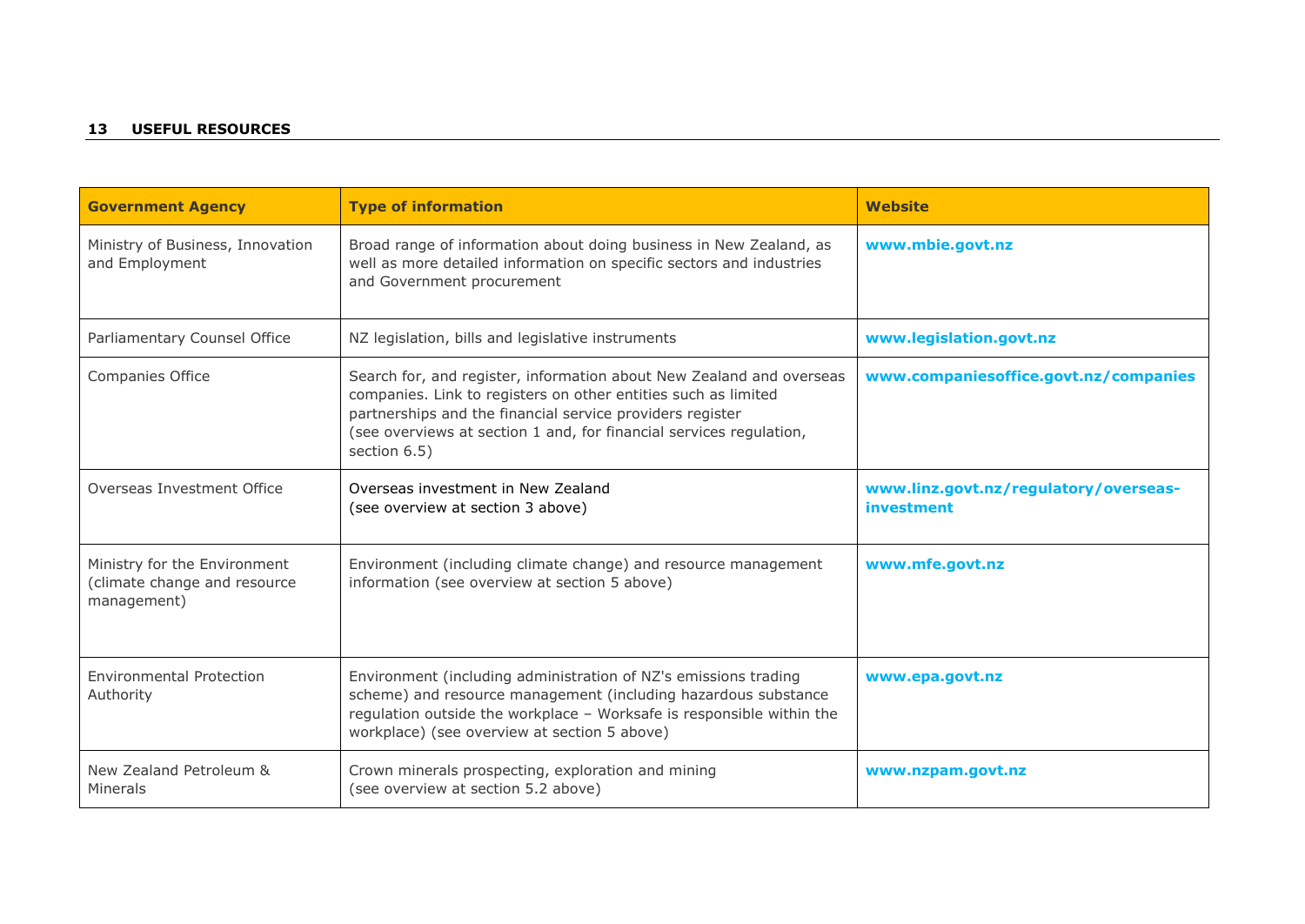# **13 USEFUL RESOURCES**

| <b>Government Agency</b>                                                    | <b>Type of information</b>                                                                                                                                                                                                                                                                 | <b>Website</b>                                      |
|-----------------------------------------------------------------------------|--------------------------------------------------------------------------------------------------------------------------------------------------------------------------------------------------------------------------------------------------------------------------------------------|-----------------------------------------------------|
| Ministry of Business, Innovation<br>and Employment                          | Broad range of information about doing business in New Zealand, as<br>well as more detailed information on specific sectors and industries<br>and Government procurement                                                                                                                   | www.mbie.govt.nz                                    |
| Parliamentary Counsel Office                                                | NZ legislation, bills and legislative instruments                                                                                                                                                                                                                                          | www.legislation.govt.nz                             |
| Companies Office                                                            | Search for, and register, information about New Zealand and overseas<br>companies. Link to registers on other entities such as limited<br>partnerships and the financial service providers register<br>(see overviews at section 1 and, for financial services regulation,<br>section 6.5) | www.companiesoffice.govt.nz/companies               |
| Overseas Investment Office                                                  | Overseas investment in New Zealand<br>(see overview at section 3 above)                                                                                                                                                                                                                    | www.linz.govt.nz/regulatory/overseas-<br>investment |
| Ministry for the Environment<br>(climate change and resource<br>management) | Environment (including climate change) and resource management<br>information (see overview at section 5 above)                                                                                                                                                                            | www.mfe.govt.nz                                     |
| <b>Environmental Protection</b><br>Authority                                | Environment (including administration of NZ's emissions trading<br>scheme) and resource management (including hazardous substance<br>regulation outside the workplace - Worksafe is responsible within the<br>workplace) (see overview at section 5 above)                                 | www.epa.govt.nz                                     |
| New Zealand Petroleum &<br>Minerals                                         | Crown minerals prospecting, exploration and mining<br>(see overview at section 5.2 above)                                                                                                                                                                                                  | www.nzpam.govt.nz                                   |